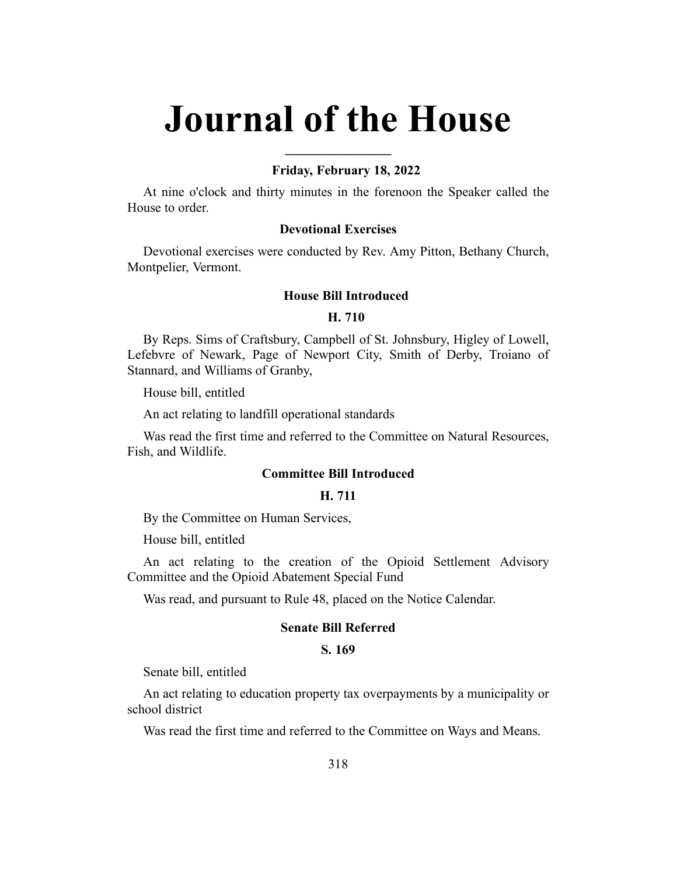# **Journal of the House**

**\_\_\_\_\_\_\_\_\_\_\_\_\_\_\_\_**

#### **Friday, February 18, 2022**

At nine o'clock and thirty minutes in the forenoon the Speaker called the House to order.

#### **Devotional Exercises**

Devotional exercises were conducted by Rev. Amy Pitton, Bethany Church, Montpelier, Vermont.

#### **House Bill Introduced**

#### **H. 710**

By Reps. Sims of Craftsbury, Campbell of St. Johnsbury, Higley of Lowell, Lefebvre of Newark, Page of Newport City, Smith of Derby, Troiano of Stannard, and Williams of Granby,

House bill, entitled

An act relating to landfill operational standards

Was read the first time and referred to the Committee on Natural Resources, Fish, and Wildlife.

# **Committee Bill Introduced**

## **H. 711**

By the Committee on Human Services,

House bill, entitled

An act relating to the creation of the Opioid Settlement Advisory Committee and the Opioid Abatement Special Fund

Was read, and pursuant to Rule 48, placed on the Notice Calendar.

#### **Senate Bill Referred**

#### **S. 169**

Senate bill, entitled

An act relating to education property tax overpayments by a municipality or school district

Was read the first time and referred to the Committee on Ways and Means.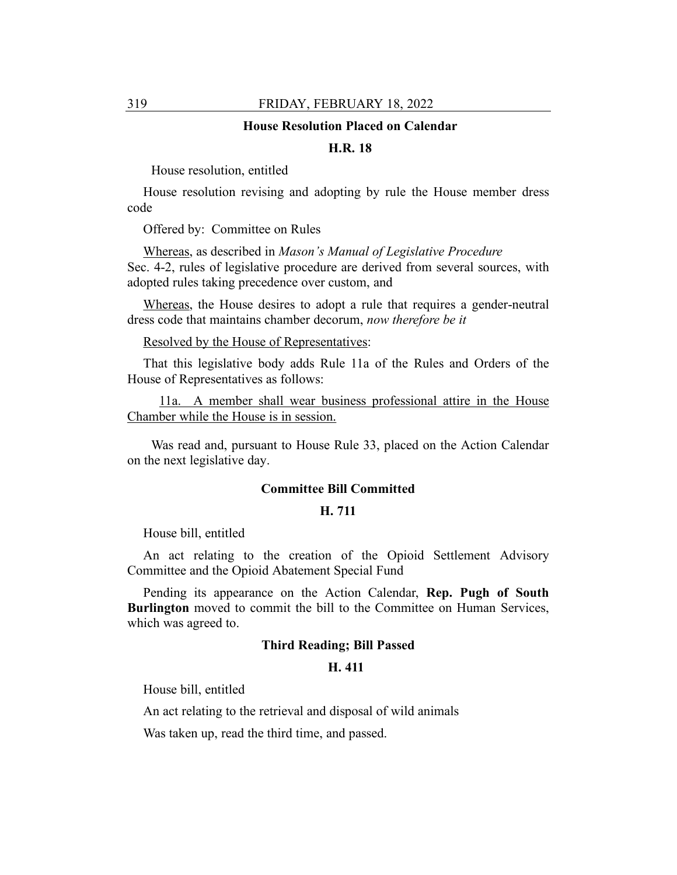#### **House Resolution Placed on Calendar**

## **H.R. 18**

House resolution, entitled

House resolution revising and adopting by rule the House member dress code

Offered by: Committee on Rules

Whereas, as described in *Mason's Manual of Legislative Procedure* Sec. 4-2, rules of legislative procedure are derived from several sources, with adopted rules taking precedence over custom, and

Whereas, the House desires to adopt a rule that requires a gender-neutral dress code that maintains chamber decorum, *now therefore be it*

Resolved by the House of Representatives:

That this legislative body adds Rule 11a of the Rules and Orders of the House of Representatives as follows:

11a. A member shall wear business professional attire in the House Chamber while the House is in session.

Was read and, pursuant to House Rule 33, placed on the Action Calendar on the next legislative day.

#### **Committee Bill Committed**

#### **H. 711**

House bill, entitled

An act relating to the creation of the Opioid Settlement Advisory Committee and the Opioid Abatement Special Fund

Pending its appearance on the Action Calendar, **Rep. Pugh of South Burlington** moved to commit the bill to the Committee on Human Services, which was agreed to.

## **Third Reading; Bill Passed**

#### **H. 411**

House bill, entitled

An act relating to the retrieval and disposal of wild animals

Was taken up, read the third time, and passed.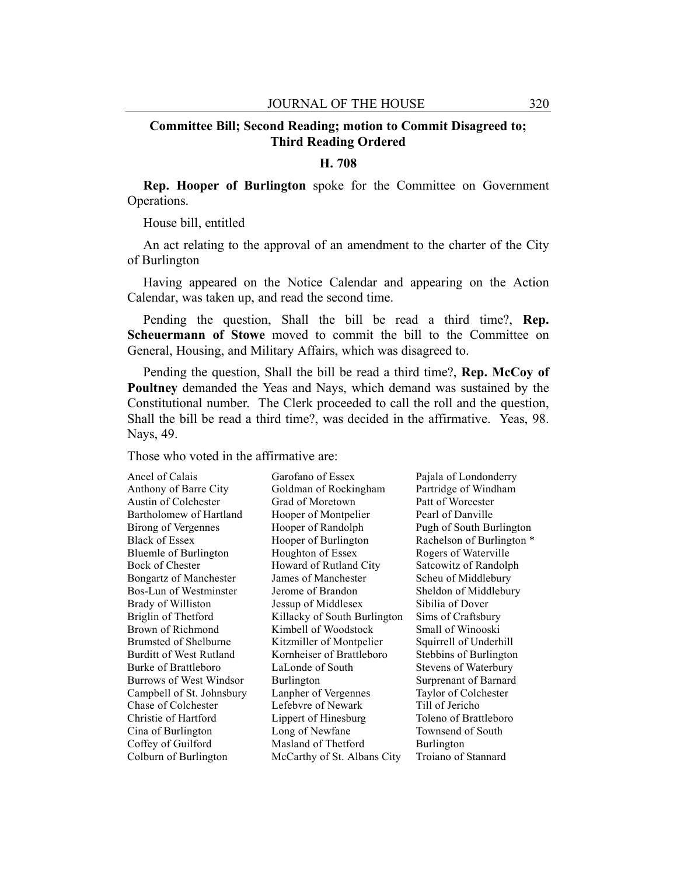## **Committee Bill; Second Reading; motion to Commit Disagreed to; Third Reading Ordered**

# **H. 708**

**Rep. Hooper of Burlington** spoke for the Committee on Government Operations.

House bill, entitled

An act relating to the approval of an amendment to the charter of the City of Burlington

Having appeared on the Notice Calendar and appearing on the Action Calendar, was taken up, and read the second time.

Pending the question, Shall the bill be read a third time?, **Rep. Scheuermann of Stowe** moved to commit the bill to the Committee on General, Housing, and Military Affairs, which was disagreed to.

Pending the question, Shall the bill be read a third time?, **Rep. McCoy of Poultney** demanded the Yeas and Nays, which demand was sustained by the Constitutional number. The Clerk proceeded to call the roll and the question, Shall the bill be read a third time?, was decided in the affirmative. Yeas, 98. Nays, 49.

Those who voted in the affirmative are:

| Ancel of Calais               | Garofano of Essex            | Pajala of Londonderry     |
|-------------------------------|------------------------------|---------------------------|
| Anthony of Barre City         | Goldman of Rockingham        | Partridge of Windham      |
| Austin of Colchester          | Grad of Moretown             | Patt of Worcester         |
| Bartholomew of Hartland       | Hooper of Montpelier         | Pearl of Danville         |
| <b>Birong of Vergennes</b>    | Hooper of Randolph           | Pugh of South Burlington  |
| Black of Essex                | Hooper of Burlington         | Rachelson of Burlington * |
| <b>Bluemle of Burlington</b>  | Houghton of Essex            | Rogers of Waterville      |
| Bock of Chester               | Howard of Rutland City       | Satcowitz of Randolph     |
| <b>Bongartz of Manchester</b> | James of Manchester          | Scheu of Middlebury       |
| Bos-Lun of Westminster        | Jerome of Brandon            | Sheldon of Middlebury     |
| <b>Brady of Williston</b>     | Jessup of Middlesex          | Sibilia of Dover          |
| Briglin of Thetford           | Killacky of South Burlington | Sims of Craftsbury        |
| Brown of Richmond             | Kimbell of Woodstock         | Small of Winooski         |
| Brumsted of Shelburne         | Kitzmiller of Montpelier     | Squirrell of Underhill    |
| Burditt of West Rutland       | Kornheiser of Brattleboro    | Stebbins of Burlington    |
| Burke of Brattleboro          | LaLonde of South             | Stevens of Waterbury      |
| Burrows of West Windsor       | Burlington                   | Surprenant of Barnard     |
| Campbell of St. Johnsbury     | Lanpher of Vergennes         | Taylor of Colchester      |
| Chase of Colchester           | Lefebvre of Newark           | Till of Jericho           |
| Christie of Hartford          | Lippert of Hinesburg         | Toleno of Brattleboro     |
| Cina of Burlington            | Long of Newfane              | Townsend of South         |
| Coffey of Guilford            | Masland of Thetford          | Burlington                |
| Colburn of Burlington         | McCarthy of St. Albans City  | Troiano of Stannard       |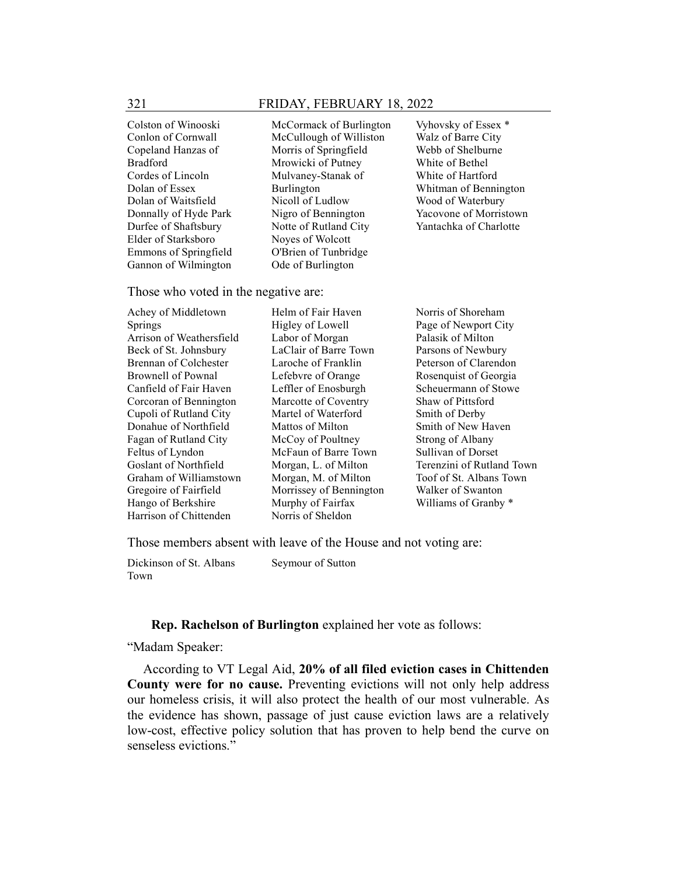Colston of Winooski Conlon of Cornwall Copeland Hanzas of Bradford Cordes of Lincoln Dolan of Essex Dolan of Waitsfield Donnally of Hyde Park Durfee of Shaftsbury Elder of Starksboro Emmons of Springfield Gannon of Wilmington

McCormack of Burlington McCullough of Williston Morris of Springfield Mrowicki of Putney Mulvaney-Stanak of Burlington Nicoll of Ludlow Nigro of Bennington Notte of Rutland City Noyes of Wolcott O'Brien of Tunbridge Ode of Burlington

Vyhovsky of Essex \* Walz of Barre City Webb of Shelburne White of Bethel White of Hartford Whitman of Bennington Wood of Waterbury Yacovone of Morristown Yantachka of Charlotte

Those who voted in the negative are:

Achey of Middletown Springs Arrison of Weathersfield Beck of St. Johnsbury Brennan of Colchester Brownell of Pownal Canfield of Fair Haven Corcoran of Bennington Cupoli of Rutland City Donahue of Northfield Fagan of Rutland City Feltus of Lyndon Goslant of Northfield Graham of Williamstown Gregoire of Fairfield Hango of Berkshire Harrison of Chittenden

Helm of Fair Haven Higley of Lowell Labor of Morgan LaClair of Barre Town Laroche of Franklin Lefebvre of Orange Leffler of Enosburgh Marcotte of Coventry Martel of Waterford Mattos of Milton McCoy of Poultney McFaun of Barre Town Morgan, L. of Milton Morgan, M. of Milton Morrissey of Bennington Murphy of Fairfax Norris of Sheldon

Norris of Shoreham Page of Newport City Palasik of Milton Parsons of Newbury Peterson of Clarendon Rosenquist of Georgia Scheuermann of Stowe Shaw of Pittsford Smith of Derby Smith of New Haven Strong of Albany Sullivan of Dorset Terenzini of Rutland Town Toof of St. Albans Town Walker of Swanton Williams of Granby \*

Those members absent with leave of the House and not voting are:

Dickinson of St. Albans Town Seymour of Sutton

#### **Rep. Rachelson of Burlington** explained her vote as follows:

"Madam Speaker:

According to VT Legal Aid, **20% of all filed eviction cases in Chittenden County were for no cause.** Preventing evictions will not only help address our homeless crisis, it will also protect the health of our most vulnerable. As the evidence has shown, passage of just cause eviction laws are a relatively low-cost, effective policy solution that has proven to help bend the curve on senseless evictions."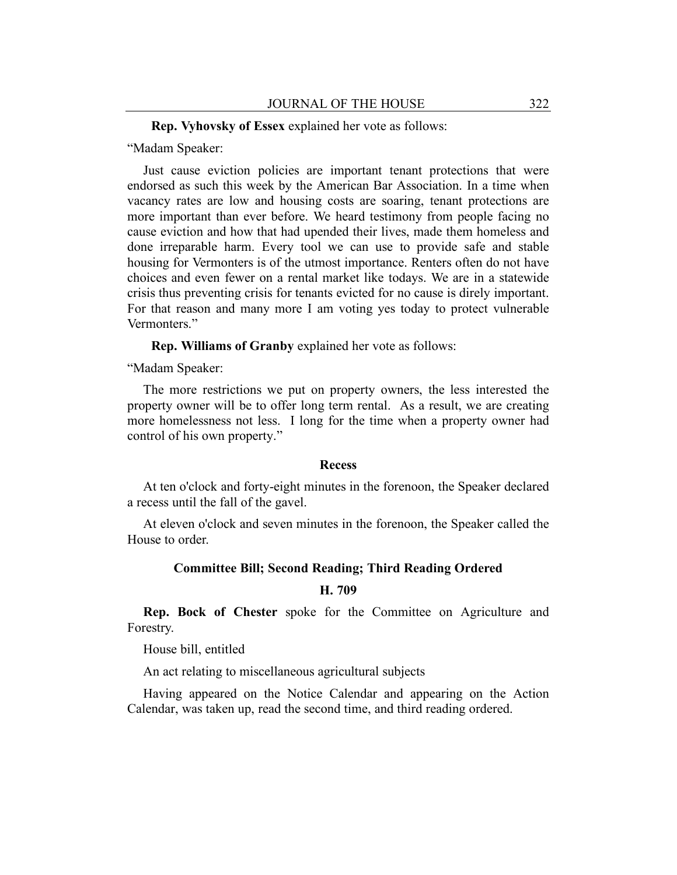#### **Rep. Vyhovsky of Essex** explained her vote as follows:

"Madam Speaker:

Just cause eviction policies are important tenant protections that were endorsed as such this week by the American Bar Association. In a time when vacancy rates are low and housing costs are soaring, tenant protections are more important than ever before. We heard testimony from people facing no cause eviction and how that had upended their lives, made them homeless and done irreparable harm. Every tool we can use to provide safe and stable housing for Vermonters is of the utmost importance. Renters often do not have choices and even fewer on a rental market like todays. We are in a statewide crisis thus preventing crisis for tenants evicted for no cause is direly important. For that reason and many more I am voting yes today to protect vulnerable Vermonters."

**Rep. Williams of Granby** explained her vote as follows:

"Madam Speaker:

The more restrictions we put on property owners, the less interested the property owner will be to offer long term rental. As a result, we are creating more homelessness not less. I long for the time when a property owner had control of his own property."

## **Recess**

At ten o'clock and forty-eight minutes in the forenoon, the Speaker declared a recess until the fall of the gavel.

At eleven o'clock and seven minutes in the forenoon, the Speaker called the House to order.

#### **Committee Bill; Second Reading; Third Reading Ordered**

## **H. 709**

**Rep. Bock of Chester** spoke for the Committee on Agriculture and Forestry.

House bill, entitled

An act relating to miscellaneous agricultural subjects

Having appeared on the Notice Calendar and appearing on the Action Calendar, was taken up, read the second time, and third reading ordered.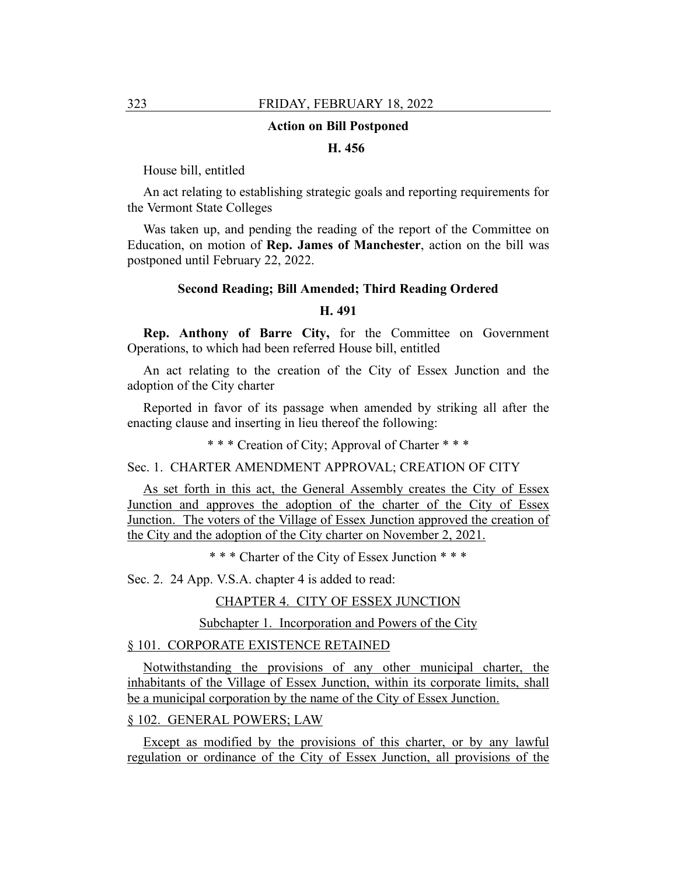#### **Action on Bill Postponed**

## **H. 456**

House bill, entitled

An act relating to establishing strategic goals and reporting requirements for the Vermont State Colleges

Was taken up, and pending the reading of the report of the Committee on Education, on motion of **Rep. James of Manchester**, action on the bill was postponed until February 22, 2022.

#### **Second Reading; Bill Amended; Third Reading Ordered**

#### **H. 491**

**Rep. Anthony of Barre City,** for the Committee on Government Operations, to which had been referred House bill, entitled

An act relating to the creation of the City of Essex Junction and the adoption of the City charter

Reported in favor of its passage when amended by striking all after the enacting clause and inserting in lieu thereof the following:

\* \* \* Creation of City; Approval of Charter \* \* \*

Sec. 1. CHARTER AMENDMENT APPROVAL; CREATION OF CITY

As set forth in this act, the General Assembly creates the City of Essex Junction and approves the adoption of the charter of the City of Essex Junction. The voters of the Village of Essex Junction approved the creation of the City and the adoption of the City charter on November 2, 2021.

\* \* \* Charter of the City of Essex Junction \* \* \*

Sec. 2. 24 App. V.S.A. chapter 4 is added to read:

CHAPTER 4. CITY OF ESSEX JUNCTION

Subchapter 1. Incorporation and Powers of the City

## § 101. CORPORATE EXISTENCE RETAINED

Notwithstanding the provisions of any other municipal charter, the inhabitants of the Village of Essex Junction, within its corporate limits, shall be a municipal corporation by the name of the City of Essex Junction.

## § 102. GENERAL POWERS; LAW

Except as modified by the provisions of this charter, or by any lawful regulation or ordinance of the City of Essex Junction, all provisions of the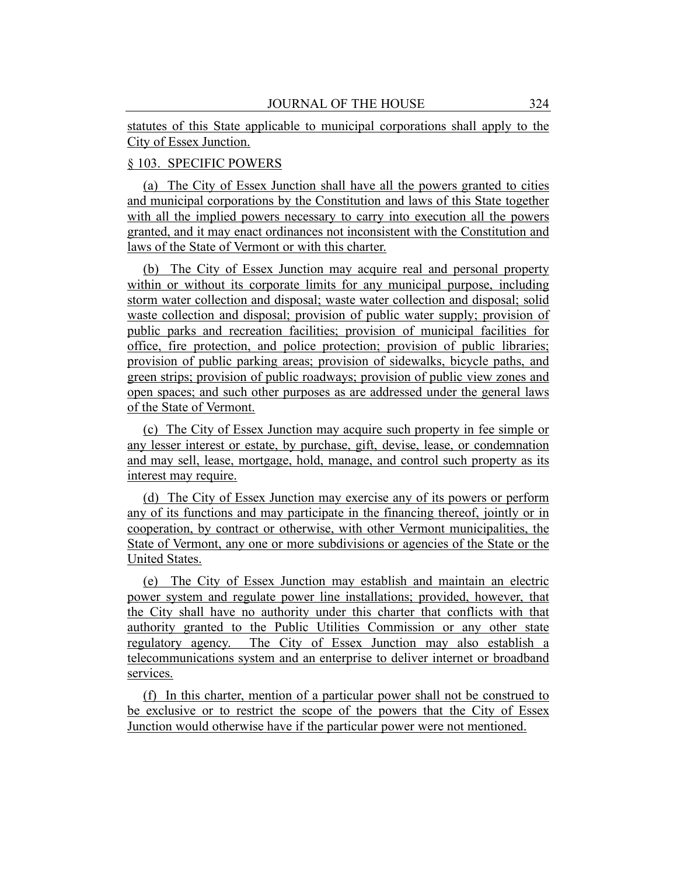statutes of this State applicable to municipal corporations shall apply to the City of Essex Junction.

# § 103. SPECIFIC POWERS

(a) The City of Essex Junction shall have all the powers granted to cities and municipal corporations by the Constitution and laws of this State together with all the implied powers necessary to carry into execution all the powers granted, and it may enact ordinances not inconsistent with the Constitution and laws of the State of Vermont or with this charter.

(b) The City of Essex Junction may acquire real and personal property within or without its corporate limits for any municipal purpose, including storm water collection and disposal; waste water collection and disposal; solid waste collection and disposal; provision of public water supply; provision of public parks and recreation facilities; provision of municipal facilities for office, fire protection, and police protection; provision of public libraries; provision of public parking areas; provision of sidewalks, bicycle paths, and green strips; provision of public roadways; provision of public view zones and open spaces; and such other purposes as are addressed under the general laws of the State of Vermont.

(c) The City of Essex Junction may acquire such property in fee simple or any lesser interest or estate, by purchase, gift, devise, lease, or condemnation and may sell, lease, mortgage, hold, manage, and control such property as its interest may require.

(d) The City of Essex Junction may exercise any of its powers or perform any of its functions and may participate in the financing thereof, jointly or in cooperation, by contract or otherwise, with other Vermont municipalities, the State of Vermont, any one or more subdivisions or agencies of the State or the United States.

(e) The City of Essex Junction may establish and maintain an electric power system and regulate power line installations; provided, however, that the City shall have no authority under this charter that conflicts with that authority granted to the Public Utilities Commission or any other state regulatory agency. The City of Essex Junction may also establish a telecommunications system and an enterprise to deliver internet or broadband services.

(f) In this charter, mention of a particular power shall not be construed to be exclusive or to restrict the scope of the powers that the City of Essex Junction would otherwise have if the particular power were not mentioned.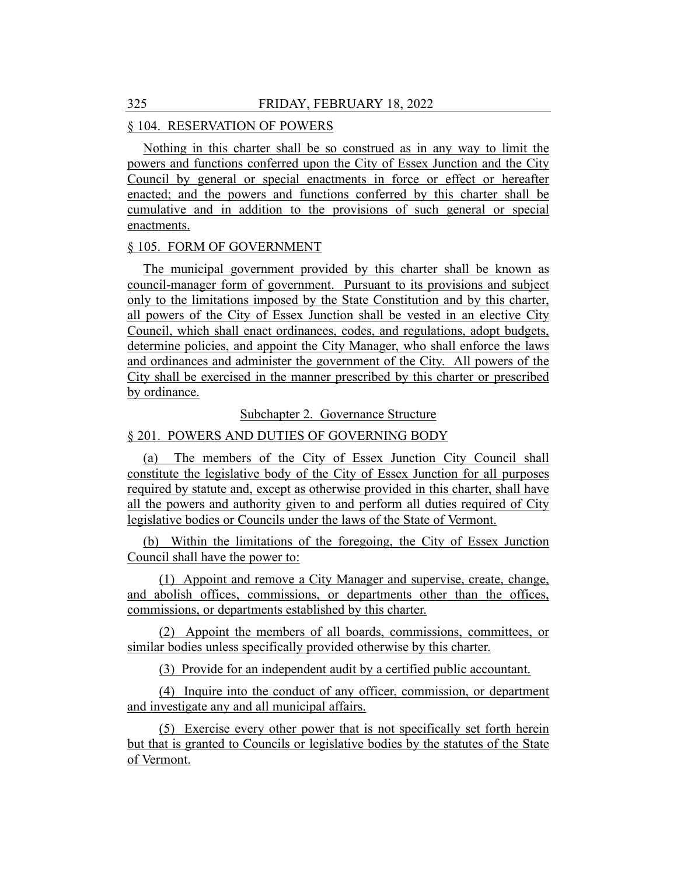# § 104. RESERVATION OF POWERS

Nothing in this charter shall be so construed as in any way to limit the powers and functions conferred upon the City of Essex Junction and the City Council by general or special enactments in force or effect or hereafter enacted; and the powers and functions conferred by this charter shall be cumulative and in addition to the provisions of such general or special enactments.

#### § 105. FORM OF GOVERNMENT

The municipal government provided by this charter shall be known as council-manager form of government. Pursuant to its provisions and subject only to the limitations imposed by the State Constitution and by this charter, all powers of the City of Essex Junction shall be vested in an elective City Council, which shall enact ordinances, codes, and regulations, adopt budgets, determine policies, and appoint the City Manager, who shall enforce the laws and ordinances and administer the government of the City. All powers of the City shall be exercised in the manner prescribed by this charter or prescribed by ordinance.

Subchapter 2. Governance Structure

## § 201. POWERS AND DUTIES OF GOVERNING BODY

(a) The members of the City of Essex Junction City Council shall constitute the legislative body of the City of Essex Junction for all purposes required by statute and, except as otherwise provided in this charter, shall have all the powers and authority given to and perform all duties required of City legislative bodies or Councils under the laws of the State of Vermont.

(b) Within the limitations of the foregoing, the City of Essex Junction Council shall have the power to:

(1) Appoint and remove a City Manager and supervise, create, change, and abolish offices, commissions, or departments other than the offices, commissions, or departments established by this charter.

(2) Appoint the members of all boards, commissions, committees, or similar bodies unless specifically provided otherwise by this charter.

(3) Provide for an independent audit by a certified public accountant.

(4) Inquire into the conduct of any officer, commission, or department and investigate any and all municipal affairs.

(5) Exercise every other power that is not specifically set forth herein but that is granted to Councils or legislative bodies by the statutes of the State of Vermont.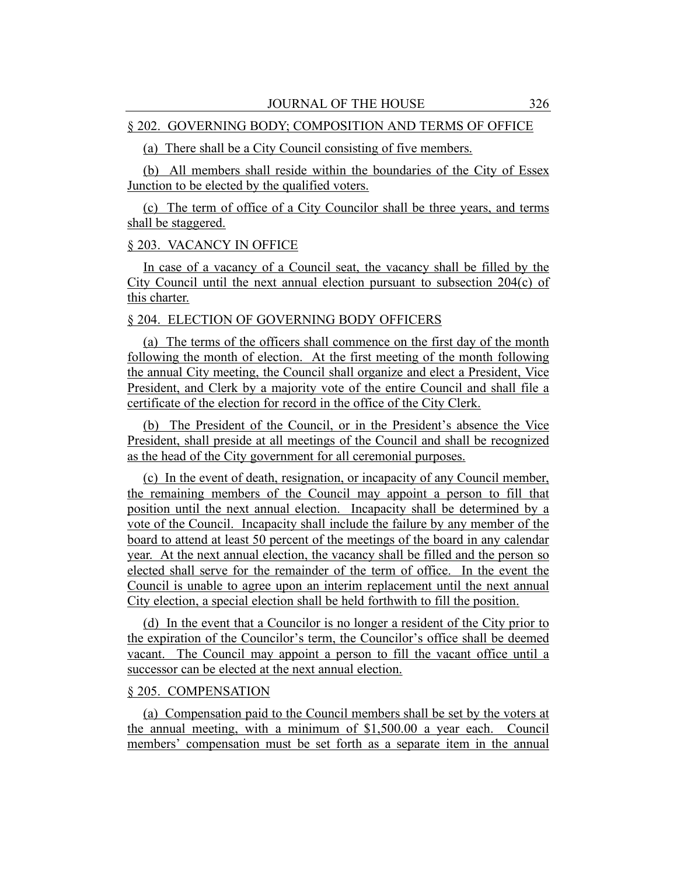## § 202. GOVERNING BODY; COMPOSITION AND TERMS OF OFFICE

# (a) There shall be a City Council consisting of five members.

(b) All members shall reside within the boundaries of the City of Essex Junction to be elected by the qualified voters.

(c) The term of office of a City Councilor shall be three years, and terms shall be staggered.

## § 203. VACANCY IN OFFICE

In case of a vacancy of a Council seat, the vacancy shall be filled by the City Council until the next annual election pursuant to subsection  $204(c)$  of this charter.

#### § 204. ELECTION OF GOVERNING BODY OFFICERS

(a) The terms of the officers shall commence on the first day of the month following the month of election. At the first meeting of the month following the annual City meeting, the Council shall organize and elect a President, Vice President, and Clerk by a majority vote of the entire Council and shall file a certificate of the election for record in the office of the City Clerk.

(b) The President of the Council, or in the President's absence the Vice President, shall preside at all meetings of the Council and shall be recognized as the head of the City government for all ceremonial purposes.

(c) In the event of death, resignation, or incapacity of any Council member, the remaining members of the Council may appoint a person to fill that position until the next annual election. Incapacity shall be determined by a vote of the Council. Incapacity shall include the failure by any member of the board to attend at least 50 percent of the meetings of the board in any calendar year. At the next annual election, the vacancy shall be filled and the person so elected shall serve for the remainder of the term of office. In the event the Council is unable to agree upon an interim replacement until the next annual City election, a special election shall be held forthwith to fill the position.

(d) In the event that a Councilor is no longer a resident of the City prior to the expiration of the Councilor's term, the Councilor's office shall be deemed vacant. The Council may appoint a person to fill the vacant office until a successor can be elected at the next annual election.

#### § 205. COMPENSATION

(a) Compensation paid to the Council members shall be set by the voters at the annual meeting, with a minimum of \$1,500.00 a year each. Council members' compensation must be set forth as a separate item in the annual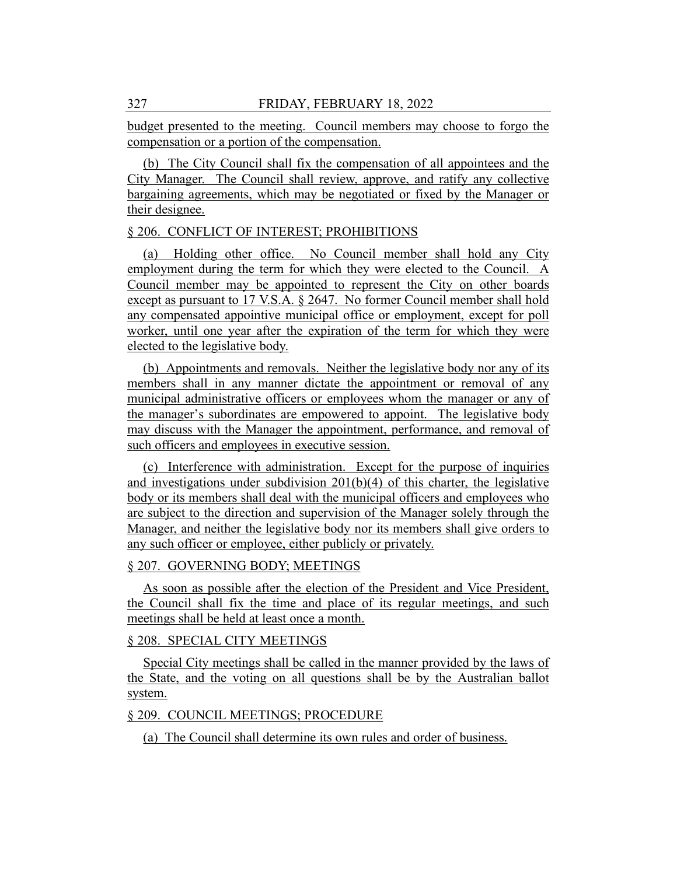budget presented to the meeting. Council members may choose to forgo the compensation or a portion of the compensation.

(b) The City Council shall fix the compensation of all appointees and the City Manager. The Council shall review, approve, and ratify any collective bargaining agreements, which may be negotiated or fixed by the Manager or their designee.

# § 206. CONFLICT OF INTEREST; PROHIBITIONS

(a) Holding other office. No Council member shall hold any City employment during the term for which they were elected to the Council. A Council member may be appointed to represent the City on other boards except as pursuant to 17 V.S.A. § 2647. No former Council member shall hold any compensated appointive municipal office or employment, except for poll worker, until one year after the expiration of the term for which they were elected to the legislative body.

(b) Appointments and removals. Neither the legislative body nor any of its members shall in any manner dictate the appointment or removal of any municipal administrative officers or employees whom the manager or any of the manager's subordinates are empowered to appoint. The legislative body may discuss with the Manager the appointment, performance, and removal of such officers and employees in executive session.

(c) Interference with administration. Except for the purpose of inquiries and investigations under subdivision  $201(b)(4)$  of this charter, the legislative body or its members shall deal with the municipal officers and employees who are subject to the direction and supervision of the Manager solely through the Manager, and neither the legislative body nor its members shall give orders to any such officer or employee, either publicly or privately.

## § 207. GOVERNING BODY; MEETINGS

As soon as possible after the election of the President and Vice President, the Council shall fix the time and place of its regular meetings, and such meetings shall be held at least once a month.

# § 208. SPECIAL CITY MEETINGS

Special City meetings shall be called in the manner provided by the laws of the State, and the voting on all questions shall be by the Australian ballot system.

# § 209. COUNCIL MEETINGS; PROCEDURE

(a) The Council shall determine its own rules and order of business.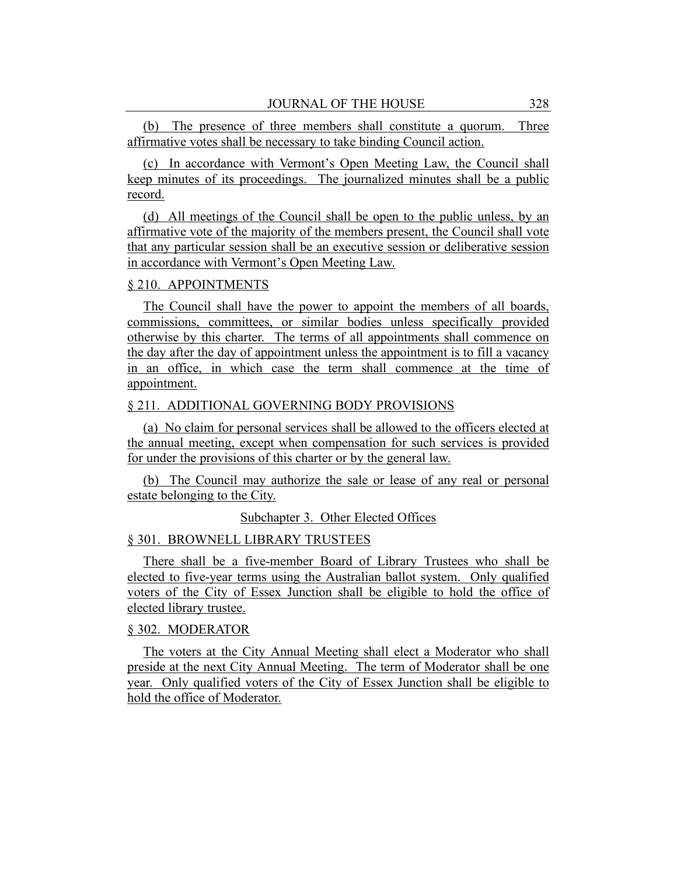(b) The presence of three members shall constitute a quorum. Three affirmative votes shall be necessary to take binding Council action.

(c) In accordance with Vermont's Open Meeting Law, the Council shall keep minutes of its proceedings. The journalized minutes shall be a public record.

(d) All meetings of the Council shall be open to the public unless, by an affirmative vote of the majority of the members present, the Council shall vote that any particular session shall be an executive session or deliberative session in accordance with Vermont's Open Meeting Law.

#### § 210. APPOINTMENTS

The Council shall have the power to appoint the members of all boards, commissions, committees, or similar bodies unless specifically provided otherwise by this charter. The terms of all appointments shall commence on the day after the day of appointment unless the appointment is to fill a vacancy in an office, in which case the term shall commence at the time of appointment.

#### § 211. ADDITIONAL GOVERNING BODY PROVISIONS

(a) No claim for personal services shall be allowed to the officers elected at the annual meeting, except when compensation for such services is provided for under the provisions of this charter or by the general law.

(b) The Council may authorize the sale or lease of any real or personal estate belonging to the City.

## Subchapter 3. Other Elected Offices

#### § 301. BROWNELL LIBRARY TRUSTEES

There shall be a five-member Board of Library Trustees who shall be elected to five-year terms using the Australian ballot system. Only qualified voters of the City of Essex Junction shall be eligible to hold the office of elected library trustee.

#### § 302. MODERATOR

The voters at the City Annual Meeting shall elect a Moderator who shall preside at the next City Annual Meeting. The term of Moderator shall be one year. Only qualified voters of the City of Essex Junction shall be eligible to hold the office of Moderator.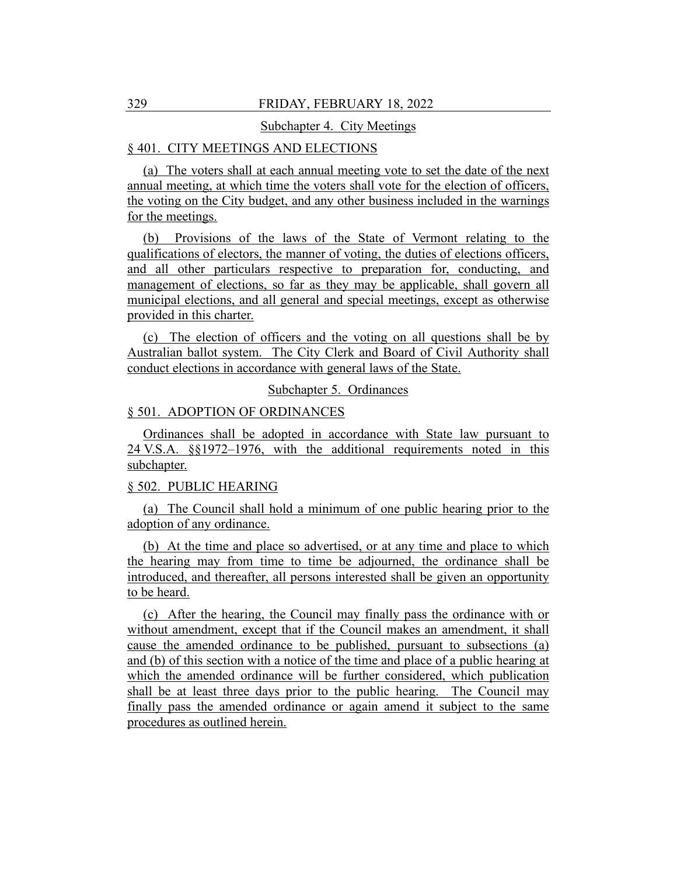## 329 FRIDAY, FEBRUARY 18, 2022

#### Subchapter 4. City Meetings

# § 401. CITY MEETINGS AND ELECTIONS

(a) The voters shall at each annual meeting vote to set the date of the next annual meeting, at which time the voters shall vote for the election of officers, the voting on the City budget, and any other business included in the warnings for the meetings.

(b) Provisions of the laws of the State of Vermont relating to the qualifications of electors, the manner of voting, the duties of elections officers, and all other particulars respective to preparation for, conducting, and management of elections, so far as they may be applicable, shall govern all municipal elections, and all general and special meetings, except as otherwise provided in this charter.

(c) The election of officers and the voting on all questions shall be by Australian ballot system. The City Clerk and Board of Civil Authority shall conduct elections in accordance with general laws of the State.

## Subchapter 5. Ordinances

#### § 501. ADOPTION OF ORDINANCES

Ordinances shall be adopted in accordance with State law pursuant to 24 V.S.A. §§1972–1976, with the additional requirements noted in this subchapter.

#### § 502. PUBLIC HEARING

(a) The Council shall hold a minimum of one public hearing prior to the adoption of any ordinance.

(b) At the time and place so advertised, or at any time and place to which the hearing may from time to time be adjourned, the ordinance shall be introduced, and thereafter, all persons interested shall be given an opportunity to be heard.

(c) After the hearing, the Council may finally pass the ordinance with or without amendment, except that if the Council makes an amendment, it shall cause the amended ordinance to be published, pursuant to subsections (a) and (b) of this section with a notice of the time and place of a public hearing at which the amended ordinance will be further considered, which publication shall be at least three days prior to the public hearing. The Council may finally pass the amended ordinance or again amend it subject to the same procedures as outlined herein.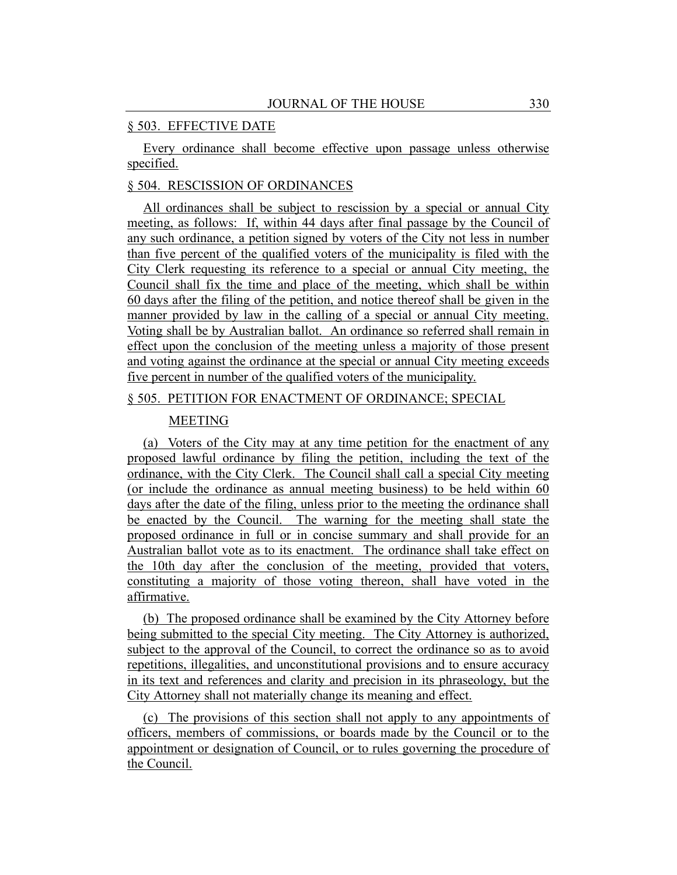#### § 503. EFFECTIVE DATE

Every ordinance shall become effective upon passage unless otherwise specified.

# § 504. RESCISSION OF ORDINANCES

All ordinances shall be subject to rescission by a special or annual City meeting, as follows: If, within 44 days after final passage by the Council of any such ordinance, a petition signed by voters of the City not less in number than five percent of the qualified voters of the municipality is filed with the City Clerk requesting its reference to a special or annual City meeting, the Council shall fix the time and place of the meeting, which shall be within 60 days after the filing of the petition, and notice thereof shall be given in the manner provided by law in the calling of a special or annual City meeting. Voting shall be by Australian ballot. An ordinance so referred shall remain in effect upon the conclusion of the meeting unless a majority of those present and voting against the ordinance at the special or annual City meeting exceeds five percent in number of the qualified voters of the municipality.

#### § 505. PETITION FOR ENACTMENT OF ORDINANCE; SPECIAL

#### MEETING

(a) Voters of the City may at any time petition for the enactment of any proposed lawful ordinance by filing the petition, including the text of the ordinance, with the City Clerk. The Council shall call a special City meeting (or include the ordinance as annual meeting business) to be held within 60 days after the date of the filing, unless prior to the meeting the ordinance shall be enacted by the Council. The warning for the meeting shall state the proposed ordinance in full or in concise summary and shall provide for an Australian ballot vote as to its enactment. The ordinance shall take effect on the 10th day after the conclusion of the meeting, provided that voters, constituting a majority of those voting thereon, shall have voted in the affirmative.

(b) The proposed ordinance shall be examined by the City Attorney before being submitted to the special City meeting. The City Attorney is authorized, subject to the approval of the Council, to correct the ordinance so as to avoid repetitions, illegalities, and unconstitutional provisions and to ensure accuracy in its text and references and clarity and precision in its phraseology, but the City Attorney shall not materially change its meaning and effect.

(c) The provisions of this section shall not apply to any appointments of officers, members of commissions, or boards made by the Council or to the appointment or designation of Council, or to rules governing the procedure of the Council.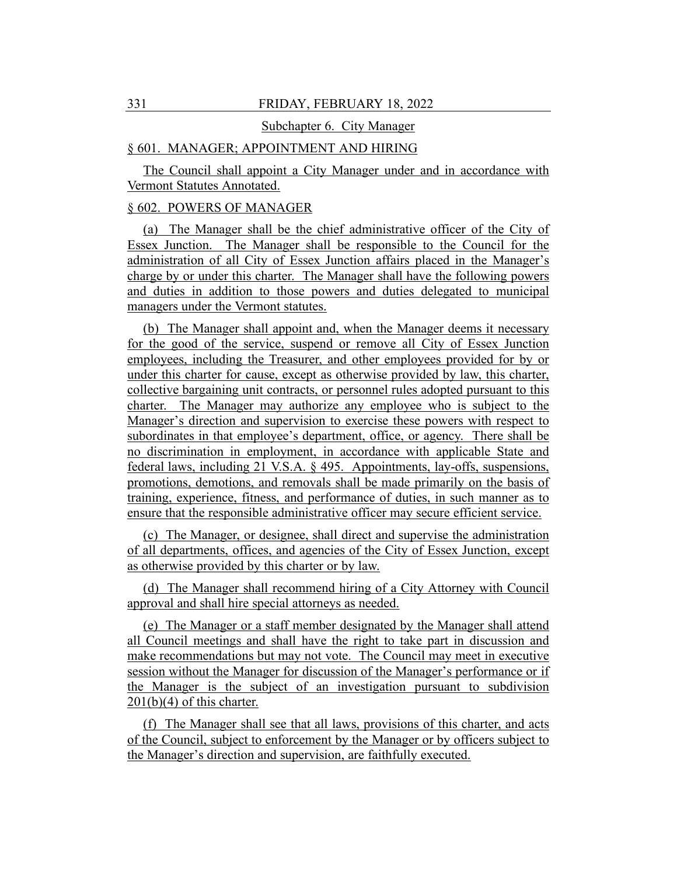#### Subchapter 6. City Manager

# § 601. MANAGER; APPOINTMENT AND HIRING

The Council shall appoint a City Manager under and in accordance with Vermont Statutes Annotated.

## § 602. POWERS OF MANAGER

(a) The Manager shall be the chief administrative officer of the City of Essex Junction. The Manager shall be responsible to the Council for the administration of all City of Essex Junction affairs placed in the Manager's charge by or under this charter. The Manager shall have the following powers and duties in addition to those powers and duties delegated to municipal managers under the Vermont statutes.

(b) The Manager shall appoint and, when the Manager deems it necessary for the good of the service, suspend or remove all City of Essex Junction employees, including the Treasurer, and other employees provided for by or under this charter for cause, except as otherwise provided by law, this charter, collective bargaining unit contracts, or personnel rules adopted pursuant to this charter. The Manager may authorize any employee who is subject to the Manager's direction and supervision to exercise these powers with respect to subordinates in that employee's department, office, or agency. There shall be no discrimination in employment, in accordance with applicable State and federal laws, including 21 V.S.A. § 495. Appointments, lay-offs, suspensions, promotions, demotions, and removals shall be made primarily on the basis of training, experience, fitness, and performance of duties, in such manner as to ensure that the responsible administrative officer may secure efficient service.

(c) The Manager, or designee, shall direct and supervise the administration of all departments, offices, and agencies of the City of Essex Junction, except as otherwise provided by this charter or by law.

(d) The Manager shall recommend hiring of a City Attorney with Council approval and shall hire special attorneys as needed.

(e) The Manager or a staff member designated by the Manager shall attend all Council meetings and shall have the right to take part in discussion and make recommendations but may not vote. The Council may meet in executive session without the Manager for discussion of the Manager's performance or if the Manager is the subject of an investigation pursuant to subdivision 201(b)(4) of this charter.

(f) The Manager shall see that all laws, provisions of this charter, and acts of the Council, subject to enforcement by the Manager or by officers subject to the Manager's direction and supervision, are faithfully executed.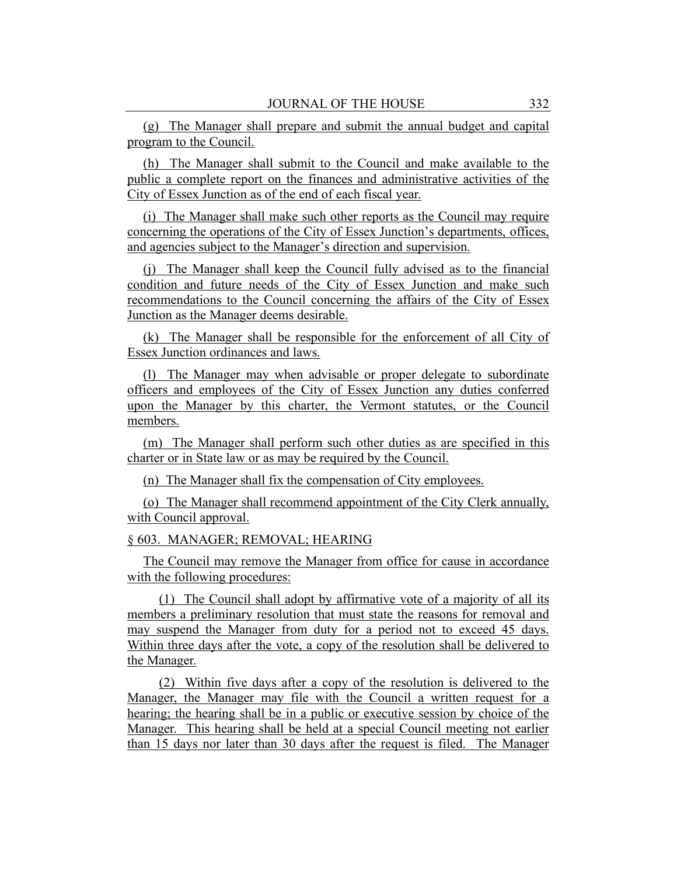(g) The Manager shall prepare and submit the annual budget and capital program to the Council.

(h) The Manager shall submit to the Council and make available to the public a complete report on the finances and administrative activities of the City of Essex Junction as of the end of each fiscal year.

(i) The Manager shall make such other reports as the Council may require concerning the operations of the City of Essex Junction's departments, offices, and agencies subject to the Manager's direction and supervision.

(j) The Manager shall keep the Council fully advised as to the financial condition and future needs of the City of Essex Junction and make such recommendations to the Council concerning the affairs of the City of Essex Junction as the Manager deems desirable.

(k) The Manager shall be responsible for the enforcement of all City of Essex Junction ordinances and laws.

(l) The Manager may when advisable or proper delegate to subordinate officers and employees of the City of Essex Junction any duties conferred upon the Manager by this charter, the Vermont statutes, or the Council members.

(m) The Manager shall perform such other duties as are specified in this charter or in State law or as may be required by the Council.

(n) The Manager shall fix the compensation of City employees.

(o) The Manager shall recommend appointment of the City Clerk annually, with Council approval.

#### § 603. MANAGER; REMOVAL; HEARING

The Council may remove the Manager from office for cause in accordance with the following procedures:

(1) The Council shall adopt by affirmative vote of a majority of all its members a preliminary resolution that must state the reasons for removal and may suspend the Manager from duty for a period not to exceed 45 days. Within three days after the vote, a copy of the resolution shall be delivered to the Manager.

(2) Within five days after a copy of the resolution is delivered to the Manager, the Manager may file with the Council a written request for a hearing; the hearing shall be in a public or executive session by choice of the Manager. This hearing shall be held at a special Council meeting not earlier than 15 days nor later than 30 days after the request is filed. The Manager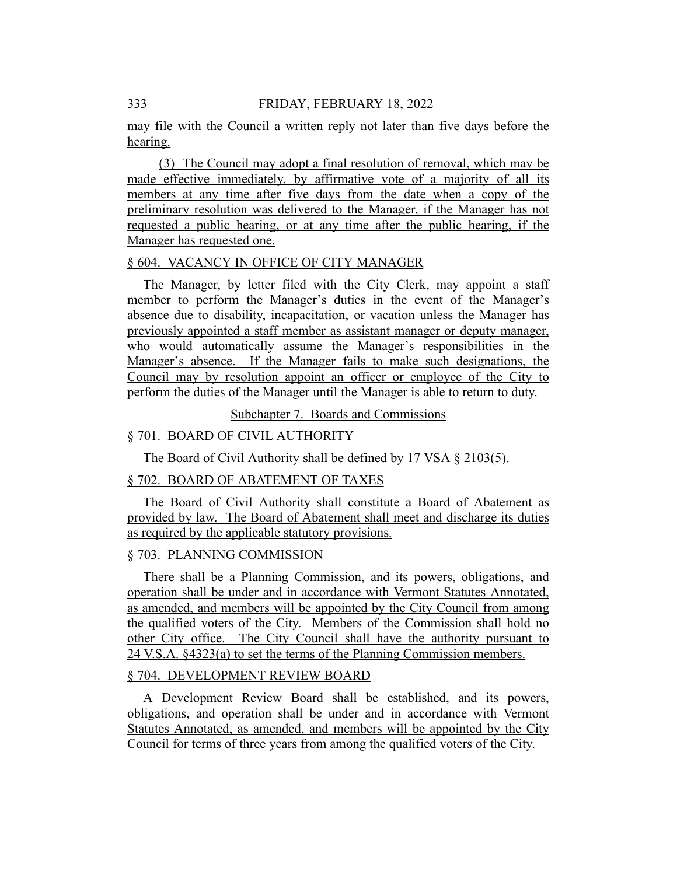may file with the Council a written reply not later than five days before the hearing.

(3) The Council may adopt a final resolution of removal, which may be made effective immediately, by affirmative vote of a majority of all its members at any time after five days from the date when a copy of the preliminary resolution was delivered to the Manager, if the Manager has not requested a public hearing, or at any time after the public hearing, if the Manager has requested one.

#### § 604. VACANCY IN OFFICE OF CITY MANAGER

The Manager, by letter filed with the City Clerk, may appoint a staff member to perform the Manager's duties in the event of the Manager's absence due to disability, incapacitation, or vacation unless the Manager has previously appointed a staff member as assistant manager or deputy manager, who would automatically assume the Manager's responsibilities in the Manager's absence. If the Manager fails to make such designations, the Council may by resolution appoint an officer or employee of the City to perform the duties of the Manager until the Manager is able to return to duty.

Subchapter 7. Boards and Commissions

## § 701. BOARD OF CIVIL AUTHORITY

The Board of Civil Authority shall be defined by 17 VSA § 2103(5).

# § 702. BOARD OF ABATEMENT OF TAXES

The Board of Civil Authority shall constitute a Board of Abatement as provided by law. The Board of Abatement shall meet and discharge its duties as required by the applicable statutory provisions.

#### § 703. PLANNING COMMISSION

There shall be a Planning Commission, and its powers, obligations, and operation shall be under and in accordance with Vermont Statutes Annotated, as amended, and members will be appointed by the City Council from among the qualified voters of the City. Members of the Commission shall hold no other City office. The City Council shall have the authority pursuant to 24 V.S.A. §4323(a) to set the terms of the Planning Commission members.

# § 704. DEVELOPMENT REVIEW BOARD

A Development Review Board shall be established, and its powers, obligations, and operation shall be under and in accordance with Vermont Statutes Annotated, as amended, and members will be appointed by the City Council for terms of three years from among the qualified voters of the City.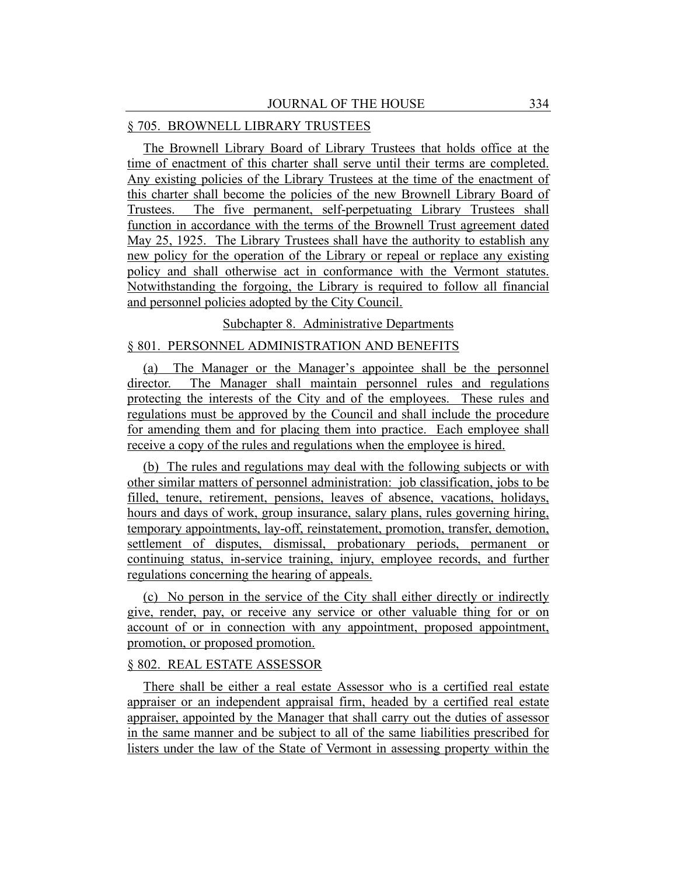## § 705. BROWNELL LIBRARY TRUSTEES

The Brownell Library Board of Library Trustees that holds office at the time of enactment of this charter shall serve until their terms are completed. Any existing policies of the Library Trustees at the time of the enactment of this charter shall become the policies of the new Brownell Library Board of Trustees. The five permanent, self-perpetuating Library Trustees shall function in accordance with the terms of the Brownell Trust agreement dated May 25, 1925. The Library Trustees shall have the authority to establish any new policy for the operation of the Library or repeal or replace any existing policy and shall otherwise act in conformance with the Vermont statutes. Notwithstanding the forgoing, the Library is required to follow all financial and personnel policies adopted by the City Council.

## Subchapter 8. Administrative Departments

# § 801. PERSONNEL ADMINISTRATION AND BENEFITS

(a) The Manager or the Manager's appointee shall be the personnel director. The Manager shall maintain personnel rules and regulations protecting the interests of the City and of the employees. These rules and regulations must be approved by the Council and shall include the procedure for amending them and for placing them into practice. Each employee shall receive a copy of the rules and regulations when the employee is hired.

(b) The rules and regulations may deal with the following subjects or with other similar matters of personnel administration: job classification, jobs to be filled, tenure, retirement, pensions, leaves of absence, vacations, holidays, hours and days of work, group insurance, salary plans, rules governing hiring, temporary appointments, lay-off, reinstatement, promotion, transfer, demotion, settlement of disputes, dismissal, probationary periods, permanent or continuing status, in-service training, injury, employee records, and further regulations concerning the hearing of appeals.

(c) No person in the service of the City shall either directly or indirectly give, render, pay, or receive any service or other valuable thing for or on account of or in connection with any appointment, proposed appointment, promotion, or proposed promotion.

# § 802. REAL ESTATE ASSESSOR

There shall be either a real estate Assessor who is a certified real estate appraiser or an independent appraisal firm, headed by a certified real estate appraiser, appointed by the Manager that shall carry out the duties of assessor in the same manner and be subject to all of the same liabilities prescribed for listers under the law of the State of Vermont in assessing property within the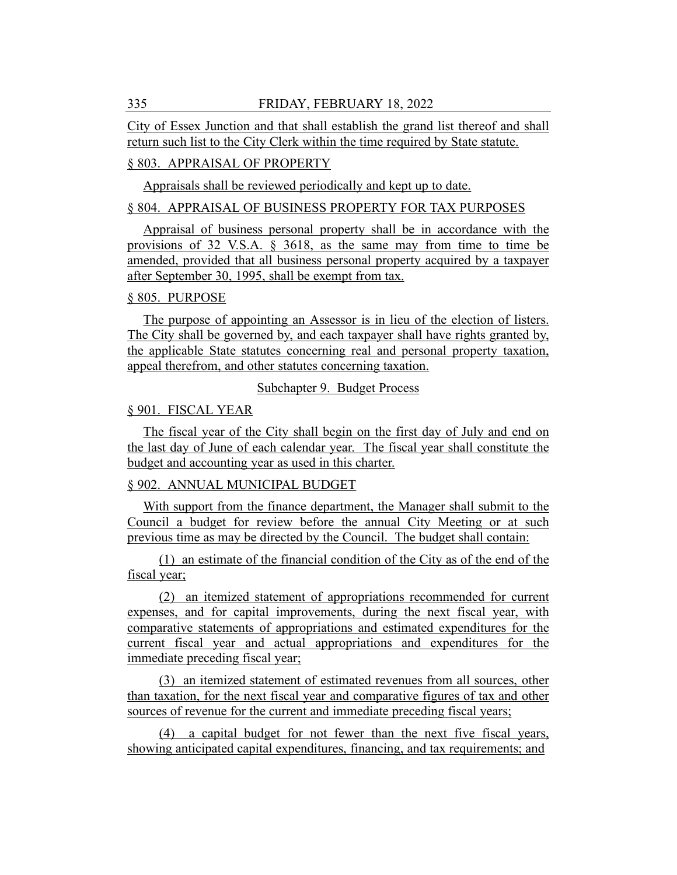City of Essex Junction and that shall establish the grand list thereof and shall return such list to the City Clerk within the time required by State statute.

# § 803. APPRAISAL OF PROPERTY

Appraisals shall be reviewed periodically and kept up to date.

## § 804. APPRAISAL OF BUSINESS PROPERTY FOR TAX PURPOSES

Appraisal of business personal property shall be in accordance with the provisions of 32 V.S.A. § 3618, as the same may from time to time be amended, provided that all business personal property acquired by a taxpayer after September 30, 1995, shall be exempt from tax.

## § 805. PURPOSE

The purpose of appointing an Assessor is in lieu of the election of listers. The City shall be governed by, and each taxpayer shall have rights granted by, the applicable State statutes concerning real and personal property taxation, appeal therefrom, and other statutes concerning taxation.

#### Subchapter 9. Budget Process

## § 901. FISCAL YEAR

The fiscal year of the City shall begin on the first day of July and end on the last day of June of each calendar year. The fiscal year shall constitute the budget and accounting year as used in this charter.

## § 902. ANNUAL MUNICIPAL BUDGET

With support from the finance department, the Manager shall submit to the Council a budget for review before the annual City Meeting or at such previous time as may be directed by the Council. The budget shall contain:

(1) an estimate of the financial condition of the City as of the end of the fiscal year;

(2) an itemized statement of appropriations recommended for current expenses, and for capital improvements, during the next fiscal year, with comparative statements of appropriations and estimated expenditures for the current fiscal year and actual appropriations and expenditures for the immediate preceding fiscal year;

(3) an itemized statement of estimated revenues from all sources, other than taxation, for the next fiscal year and comparative figures of tax and other sources of revenue for the current and immediate preceding fiscal years;

(4) a capital budget for not fewer than the next five fiscal years, showing anticipated capital expenditures, financing, and tax requirements; and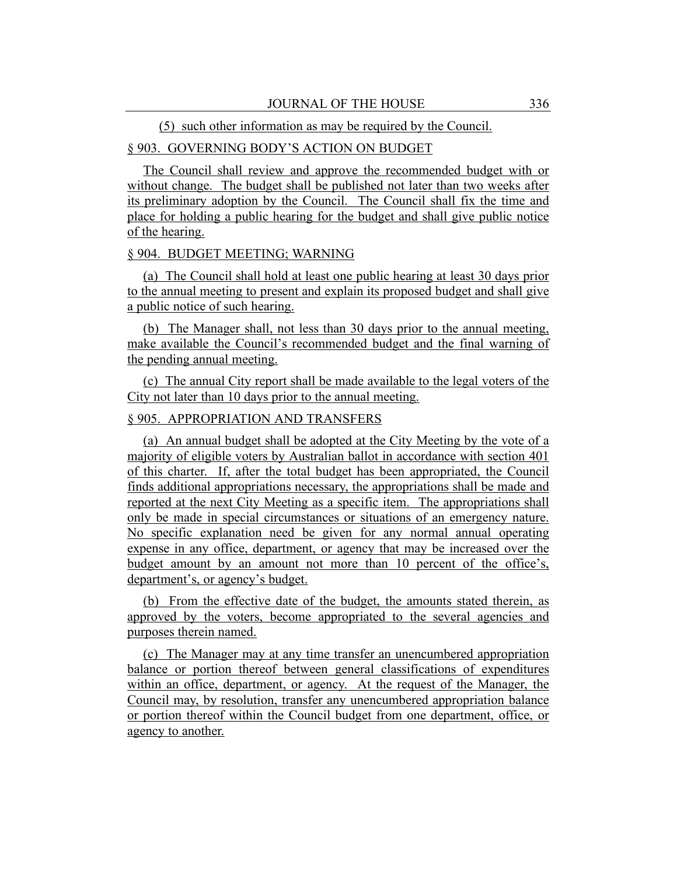#### (5) such other information as may be required by the Council.

# § 903. GOVERNING BODY'S ACTION ON BUDGET

The Council shall review and approve the recommended budget with or without change. The budget shall be published not later than two weeks after its preliminary adoption by the Council. The Council shall fix the time and place for holding a public hearing for the budget and shall give public notice of the hearing.

#### § 904. BUDGET MEETING; WARNING

(a) The Council shall hold at least one public hearing at least 30 days prior to the annual meeting to present and explain its proposed budget and shall give a public notice of such hearing.

(b) The Manager shall, not less than 30 days prior to the annual meeting, make available the Council's recommended budget and the final warning of the pending annual meeting.

(c) The annual City report shall be made available to the legal voters of the City not later than 10 days prior to the annual meeting.

## § 905. APPROPRIATION AND TRANSFERS

(a) An annual budget shall be adopted at the City Meeting by the vote of a majority of eligible voters by Australian ballot in accordance with section 401 of this charter. If, after the total budget has been appropriated, the Council finds additional appropriations necessary, the appropriations shall be made and reported at the next City Meeting as a specific item. The appropriations shall only be made in special circumstances or situations of an emergency nature. No specific explanation need be given for any normal annual operating expense in any office, department, or agency that may be increased over the budget amount by an amount not more than 10 percent of the office's, department's, or agency's budget.

(b) From the effective date of the budget, the amounts stated therein, as approved by the voters, become appropriated to the several agencies and purposes therein named.

(c) The Manager may at any time transfer an unencumbered appropriation balance or portion thereof between general classifications of expenditures within an office, department, or agency. At the request of the Manager, the Council may, by resolution, transfer any unencumbered appropriation balance or portion thereof within the Council budget from one department, office, or agency to another.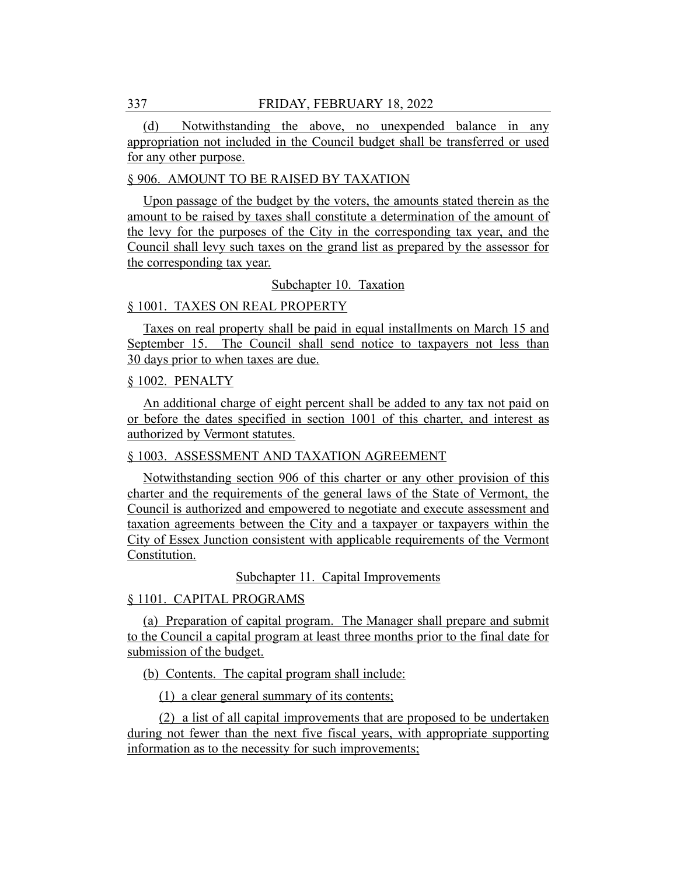(d) Notwithstanding the above, no unexpended balance in any appropriation not included in the Council budget shall be transferred or used for any other purpose.

#### § 906. AMOUNT TO BE RAISED BY TAXATION

Upon passage of the budget by the voters, the amounts stated therein as the amount to be raised by taxes shall constitute a determination of the amount of the levy for the purposes of the City in the corresponding tax year, and the Council shall levy such taxes on the grand list as prepared by the assessor for the corresponding tax year.

#### Subchapter 10. Taxation

## § 1001. TAXES ON REAL PROPERTY

Taxes on real property shall be paid in equal installments on March 15 and September 15. The Council shall send notice to taxpayers not less than 30 days prior to when taxes are due.

#### § 1002. PENALTY

An additional charge of eight percent shall be added to any tax not paid on or before the dates specified in section 1001 of this charter, and interest as authorized by Vermont statutes.

## § 1003. ASSESSMENT AND TAXATION AGREEMENT

Notwithstanding section 906 of this charter or any other provision of this charter and the requirements of the general laws of the State of Vermont, the Council is authorized and empowered to negotiate and execute assessment and taxation agreements between the City and a taxpayer or taxpayers within the City of Essex Junction consistent with applicable requirements of the Vermont Constitution.

Subchapter 11. Capital Improvements

# § 1101. CAPITAL PROGRAMS

(a) Preparation of capital program. The Manager shall prepare and submit to the Council a capital program at least three months prior to the final date for submission of the budget.

(b) Contents. The capital program shall include:

(1) a clear general summary of its contents;

(2) a list of all capital improvements that are proposed to be undertaken during not fewer than the next five fiscal years, with appropriate supporting information as to the necessity for such improvements;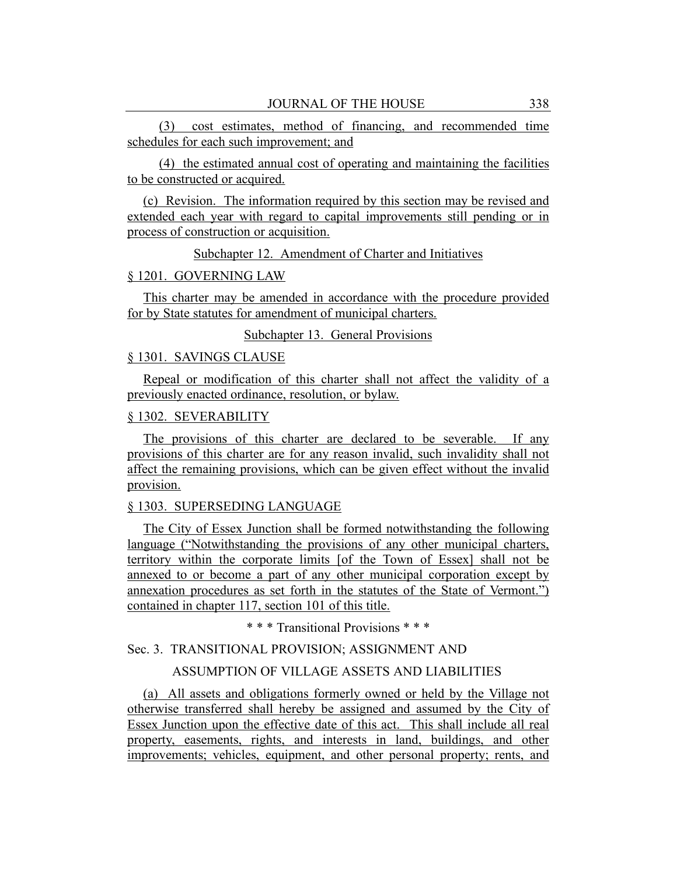(3) cost estimates, method of financing, and recommended time schedules for each such improvement; and

(4) the estimated annual cost of operating and maintaining the facilities to be constructed or acquired.

(c) Revision. The information required by this section may be revised and extended each year with regard to capital improvements still pending or in process of construction or acquisition.

Subchapter 12. Amendment of Charter and Initiatives

#### § 1201. GOVERNING LAW

This charter may be amended in accordance with the procedure provided for by State statutes for amendment of municipal charters.

#### Subchapter 13. General Provisions

#### § 1301. SAVINGS CLAUSE

Repeal or modification of this charter shall not affect the validity of a previously enacted ordinance, resolution, or bylaw.

# § 1302. SEVERABILITY

The provisions of this charter are declared to be severable. If any provisions of this charter are for any reason invalid, such invalidity shall not affect the remaining provisions, which can be given effect without the invalid provision.

## § 1303. SUPERSEDING LANGUAGE

The City of Essex Junction shall be formed notwithstanding the following language ("Notwithstanding the provisions of any other municipal charters, territory within the corporate limits [of the Town of Essex] shall not be annexed to or become a part of any other municipal corporation except by annexation procedures as set forth in the statutes of the State of Vermont.") contained in chapter 117, section 101 of this title.

\* \* \* Transitional Provisions \* \* \*

# Sec. 3. TRANSITIONAL PROVISION; ASSIGNMENT AND

## ASSUMPTION OF VILLAGE ASSETS AND LIABILITIES

(a) All assets and obligations formerly owned or held by the Village not otherwise transferred shall hereby be assigned and assumed by the City of Essex Junction upon the effective date of this act. This shall include all real property, easements, rights, and interests in land, buildings, and other improvements; vehicles, equipment, and other personal property; rents, and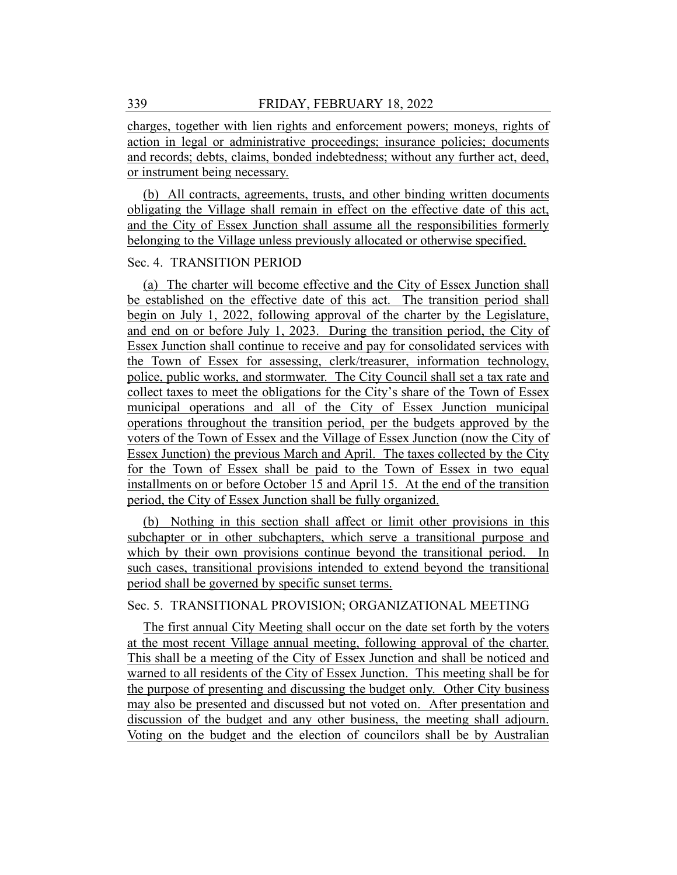charges, together with lien rights and enforcement powers; moneys, rights of action in legal or administrative proceedings; insurance policies; documents and records; debts, claims, bonded indebtedness; without any further act, deed, or instrument being necessary.

(b) All contracts, agreements, trusts, and other binding written documents obligating the Village shall remain in effect on the effective date of this act, and the City of Essex Junction shall assume all the responsibilities formerly belonging to the Village unless previously allocated or otherwise specified.

# Sec. 4. TRANSITION PERIOD

(a) The charter will become effective and the City of Essex Junction shall be established on the effective date of this act. The transition period shall begin on July 1, 2022, following approval of the charter by the Legislature, and end on or before July 1, 2023. During the transition period, the City of Essex Junction shall continue to receive and pay for consolidated services with the Town of Essex for assessing, clerk/treasurer, information technology, police, public works, and stormwater. The City Council shall set a tax rate and collect taxes to meet the obligations for the City's share of the Town of Essex municipal operations and all of the City of Essex Junction municipal operations throughout the transition period, per the budgets approved by the voters of the Town of Essex and the Village of Essex Junction (now the City of Essex Junction) the previous March and April. The taxes collected by the City for the Town of Essex shall be paid to the Town of Essex in two equal installments on or before October 15 and April 15. At the end of the transition period, the City of Essex Junction shall be fully organized.

(b) Nothing in this section shall affect or limit other provisions in this subchapter or in other subchapters, which serve a transitional purpose and which by their own provisions continue beyond the transitional period. In such cases, transitional provisions intended to extend beyond the transitional period shall be governed by specific sunset terms.

## Sec. 5. TRANSITIONAL PROVISION; ORGANIZATIONAL MEETING

The first annual City Meeting shall occur on the date set forth by the voters at the most recent Village annual meeting, following approval of the charter. This shall be a meeting of the City of Essex Junction and shall be noticed and warned to all residents of the City of Essex Junction. This meeting shall be for the purpose of presenting and discussing the budget only. Other City business may also be presented and discussed but not voted on. After presentation and discussion of the budget and any other business, the meeting shall adjourn. Voting on the budget and the election of councilors shall be by Australian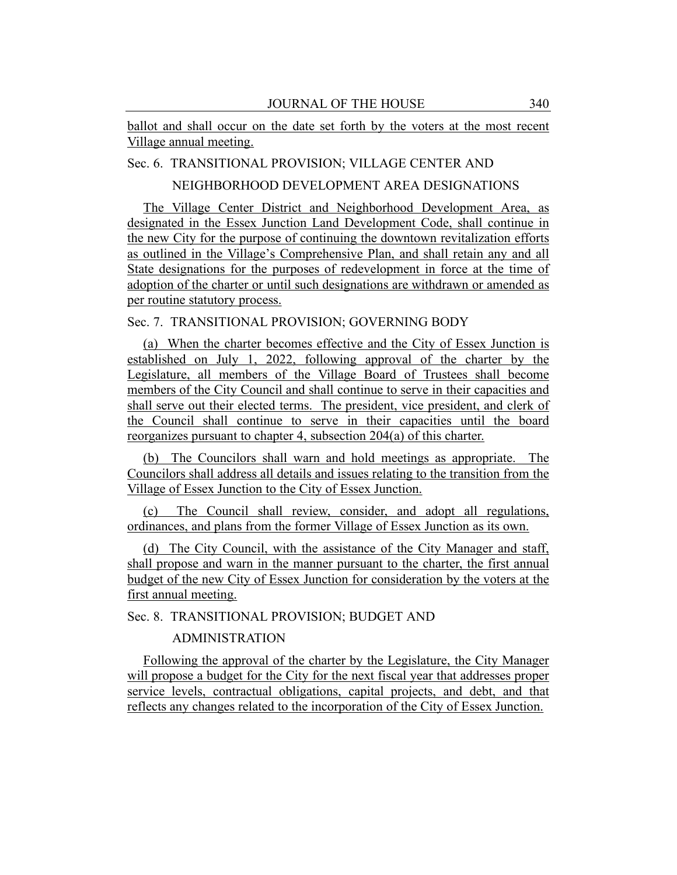ballot and shall occur on the date set forth by the voters at the most recent Village annual meeting.

# Sec. 6. TRANSITIONAL PROVISION; VILLAGE CENTER AND

NEIGHBORHOOD DEVELOPMENT AREA DESIGNATIONS

The Village Center District and Neighborhood Development Area, as designated in the Essex Junction Land Development Code, shall continue in the new City for the purpose of continuing the downtown revitalization efforts as outlined in the Village's Comprehensive Plan, and shall retain any and all State designations for the purposes of redevelopment in force at the time of adoption of the charter or until such designations are withdrawn or amended as per routine statutory process.

# Sec. 7. TRANSITIONAL PROVISION; GOVERNING BODY

(a) When the charter becomes effective and the City of Essex Junction is established on July 1, 2022, following approval of the charter by the Legislature, all members of the Village Board of Trustees shall become members of the City Council and shall continue to serve in their capacities and shall serve out their elected terms. The president, vice president, and clerk of the Council shall continue to serve in their capacities until the board reorganizes pursuant to chapter 4, subsection 204(a) of this charter.

(b) The Councilors shall warn and hold meetings as appropriate. The Councilors shall address all details and issues relating to the transition from the Village of Essex Junction to the City of Essex Junction.

(c) The Council shall review, consider, and adopt all regulations, ordinances, and plans from the former Village of Essex Junction as its own.

(d) The City Council, with the assistance of the City Manager and staff, shall propose and warn in the manner pursuant to the charter, the first annual budget of the new City of Essex Junction for consideration by the voters at the first annual meeting.

Sec. 8. TRANSITIONAL PROVISION; BUDGET AND

## ADMINISTRATION

Following the approval of the charter by the Legislature, the City Manager will propose a budget for the City for the next fiscal year that addresses proper service levels, contractual obligations, capital projects, and debt, and that reflects any changes related to the incorporation of the City of Essex Junction.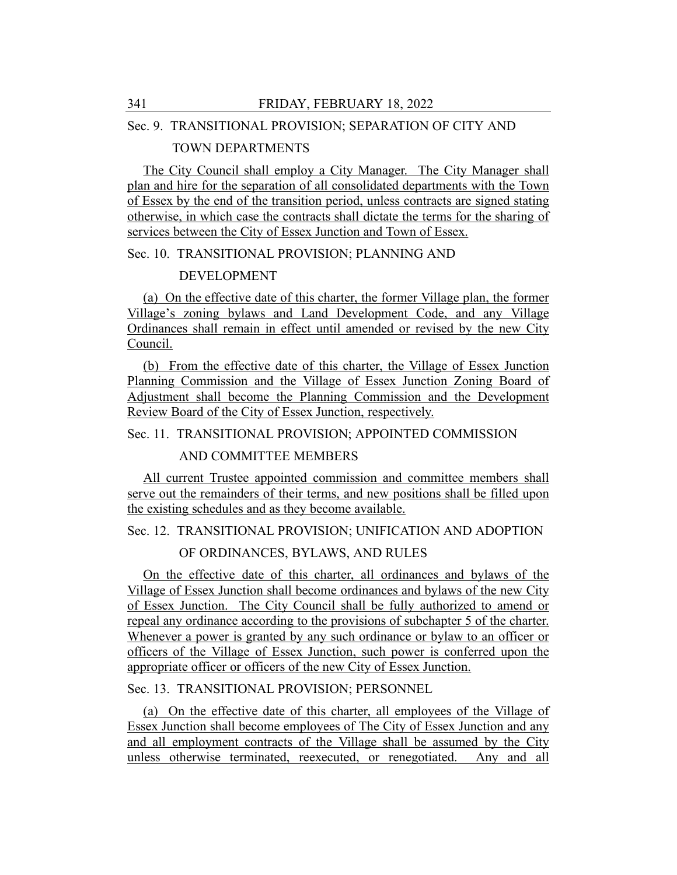## Sec. 9. TRANSITIONAL PROVISION; SEPARATION OF CITY AND

## TOWN DEPARTMENTS

The City Council shall employ a City Manager. The City Manager shall plan and hire for the separation of all consolidated departments with the Town of Essex by the end of the transition period, unless contracts are signed stating otherwise, in which case the contracts shall dictate the terms for the sharing of services between the City of Essex Junction and Town of Essex.

## Sec. 10. TRANSITIONAL PROVISION; PLANNING AND

## DEVELOPMENT

(a) On the effective date of this charter, the former Village plan, the former Village's zoning bylaws and Land Development Code, and any Village Ordinances shall remain in effect until amended or revised by the new City Council.

(b) From the effective date of this charter, the Village of Essex Junction Planning Commission and the Village of Essex Junction Zoning Board of Adjustment shall become the Planning Commission and the Development Review Board of the City of Essex Junction, respectively.

# Sec. 11. TRANSITIONAL PROVISION; APPOINTED COMMISSION

# AND COMMITTEE MEMBERS

All current Trustee appointed commission and committee members shall serve out the remainders of their terms, and new positions shall be filled upon the existing schedules and as they become available.

## Sec. 12. TRANSITIONAL PROVISION; UNIFICATION AND ADOPTION

# OF ORDINANCES, BYLAWS, AND RULES

On the effective date of this charter, all ordinances and bylaws of the Village of Essex Junction shall become ordinances and bylaws of the new City of Essex Junction. The City Council shall be fully authorized to amend or repeal any ordinance according to the provisions of subchapter 5 of the charter. Whenever a power is granted by any such ordinance or bylaw to an officer or officers of the Village of Essex Junction, such power is conferred upon the appropriate officer or officers of the new City of Essex Junction.

# Sec. 13. TRANSITIONAL PROVISION; PERSONNEL

(a) On the effective date of this charter, all employees of the Village of Essex Junction shall become employees of The City of Essex Junction and any and all employment contracts of the Village shall be assumed by the City unless otherwise terminated, reexecuted, or renegotiated. Any and all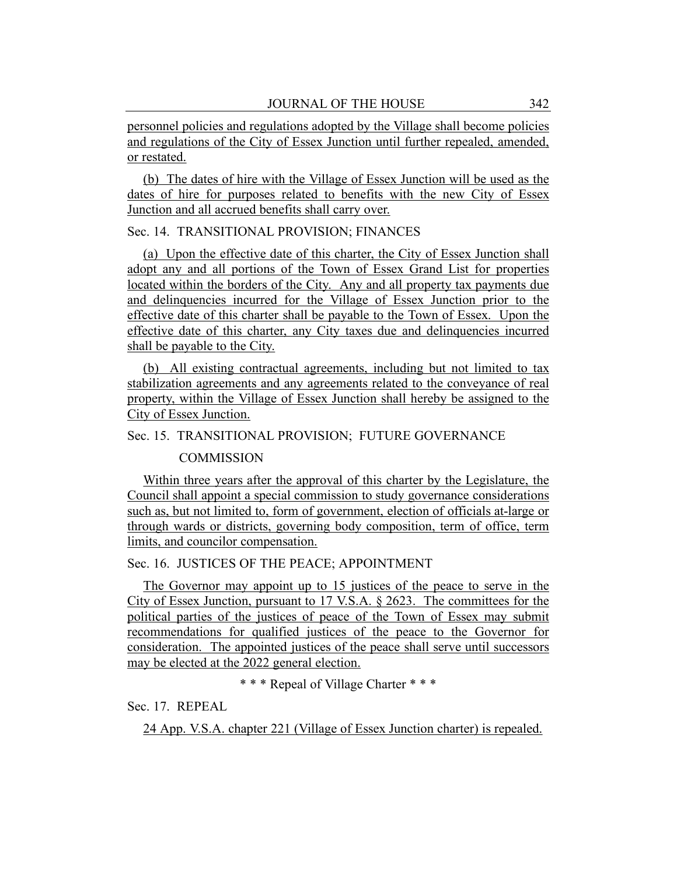personnel policies and regulations adopted by the Village shall become policies and regulations of the City of Essex Junction until further repealed, amended, or restated.

(b) The dates of hire with the Village of Essex Junction will be used as the dates of hire for purposes related to benefits with the new City of Essex Junction and all accrued benefits shall carry over.

# Sec. 14. TRANSITIONAL PROVISION; FINANCES

(a) Upon the effective date of this charter, the City of Essex Junction shall adopt any and all portions of the Town of Essex Grand List for properties located within the borders of the City. Any and all property tax payments due and delinquencies incurred for the Village of Essex Junction prior to the effective date of this charter shall be payable to the Town of Essex. Upon the effective date of this charter, any City taxes due and delinquencies incurred shall be payable to the City.

(b) All existing contractual agreements, including but not limited to tax stabilization agreements and any agreements related to the conveyance of real property, within the Village of Essex Junction shall hereby be assigned to the City of Essex Junction.

## Sec. 15. TRANSITIONAL PROVISION; FUTURE GOVERNANCE

#### **COMMISSION**

Within three years after the approval of this charter by the Legislature, the Council shall appoint a special commission to study governance considerations such as, but not limited to, form of government, election of officials at-large or through wards or districts, governing body composition, term of office, term limits, and councilor compensation.

## Sec. 16. JUSTICES OF THE PEACE; APPOINTMENT

The Governor may appoint up to 15 justices of the peace to serve in the City of Essex Junction, pursuant to 17 V.S.A. § 2623. The committees for the political parties of the justices of peace of the Town of Essex may submit recommendations for qualified justices of the peace to the Governor for consideration. The appointed justices of the peace shall serve until successors may be elected at the 2022 general election.

\* \* \* Repeal of Village Charter \* \* \*

Sec. 17. REPEAL

24 App. V.S.A. chapter 221 (Village of Essex Junction charter) is repealed.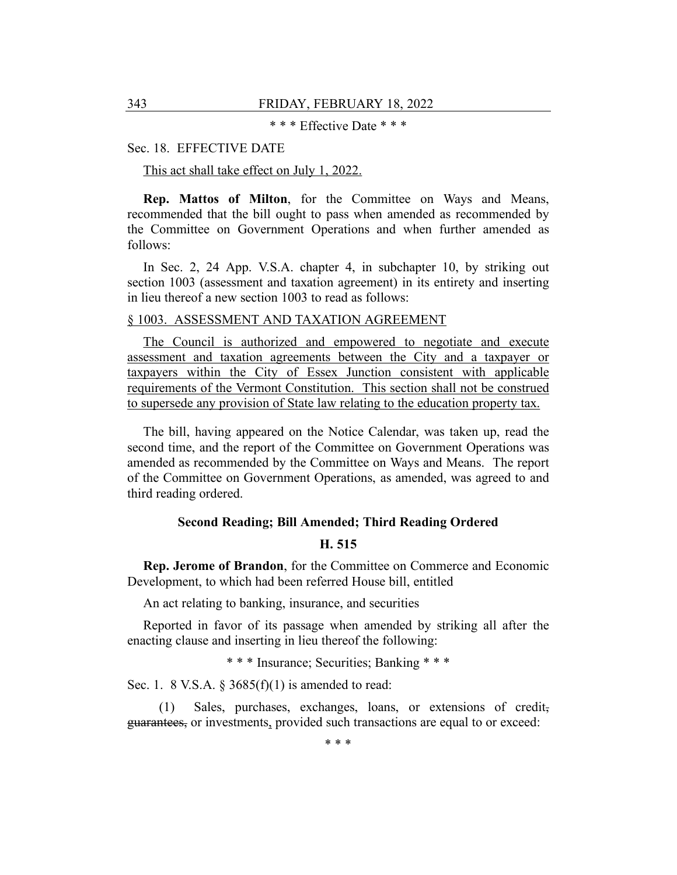\* \* \* Effective Date \* \* \*

#### Sec. 18. EFFECTIVE DATE

This act shall take effect on July 1, 2022.

**Rep. Mattos of Milton**, for the Committee on Ways and Means, recommended that the bill ought to pass when amended as recommended by the Committee on Government Operations and when further amended as follows:

In Sec. 2, 24 App. V.S.A. chapter 4, in subchapter 10, by striking out section 1003 (assessment and taxation agreement) in its entirety and inserting in lieu thereof a new section 1003 to read as follows:

#### § 1003. ASSESSMENT AND TAXATION AGREEMENT

The Council is authorized and empowered to negotiate and execute assessment and taxation agreements between the City and a taxpayer or taxpayers within the City of Essex Junction consistent with applicable requirements of the Vermont Constitution. This section shall not be construed to supersede any provision of State law relating to the education property tax.

The bill, having appeared on the Notice Calendar, was taken up, read the second time, and the report of the Committee on Government Operations was amended as recommended by the Committee on Ways and Means. The report of the Committee on Government Operations, as amended, was agreed to and third reading ordered.

## **Second Reading; Bill Amended; Third Reading Ordered**

#### **H. 515**

**Rep. Jerome of Brandon**, for the Committee on Commerce and Economic Development, to which had been referred House bill, entitled

An act relating to banking, insurance, and securities

Reported in favor of its passage when amended by striking all after the enacting clause and inserting in lieu thereof the following:

\* \* \* Insurance; Securities; Banking \* \* \*

Sec. 1. 8 V.S.A.  $\S 3685(f)(1)$  is amended to read:

(1) Sales, purchases, exchanges, loans, or extensions of credit, guarantees, or investments, provided such transactions are equal to or exceed:

\* \* \*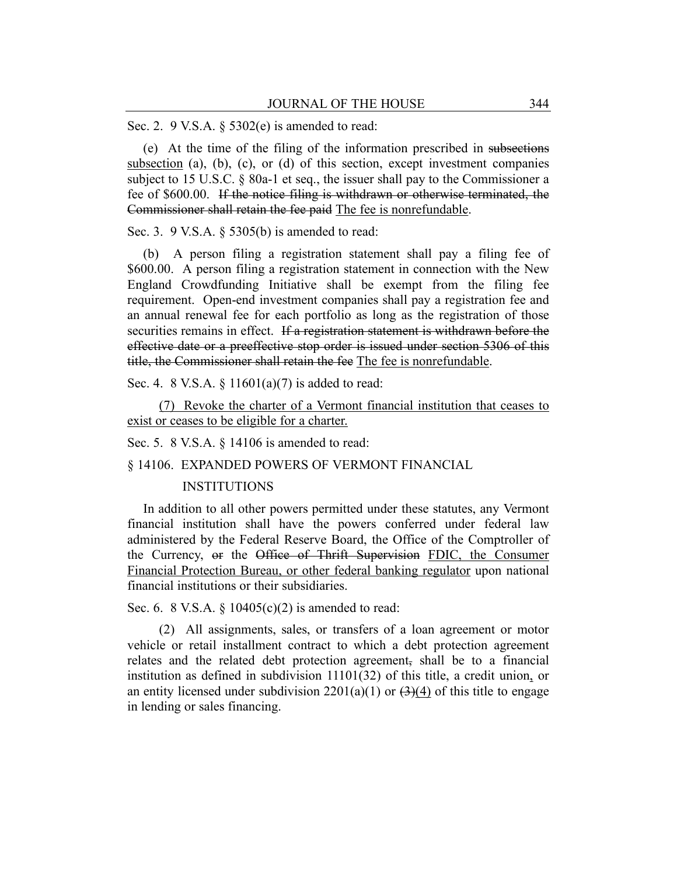Sec. 2. 9 V.S.A. § 5302(e) is amended to read:

(e) At the time of the filing of the information prescribed in subsections subsection (a), (b), (c), or (d) of this section, except investment companies subject to 15 U.S.C. § 80a-1 et seq., the issuer shall pay to the Commissioner a fee of \$600.00. If the notice filing is withdrawn or otherwise terminated, the Commissioner shall retain the fee paid The fee is nonrefundable.

Sec. 3. 9 V.S.A. § 5305(b) is amended to read:

(b) A person filing a registration statement shall pay a filing fee of \$600.00. A person filing a registration statement in connection with the New England Crowdfunding Initiative shall be exempt from the filing fee requirement. Open-end investment companies shall pay a registration fee and an annual renewal fee for each portfolio as long as the registration of those securities remains in effect. If a registration statement is withdrawn before the effective date or a preeffective stop order is issued under section 5306 of this title, the Commissioner shall retain the fee The fee is nonrefundable.

Sec. 4. 8 V.S.A. § 11601(a)(7) is added to read:

(7) Revoke the charter of a Vermont financial institution that ceases to exist or ceases to be eligible for a charter.

Sec. 5. 8 V.S.A. § 14106 is amended to read:

§ 14106. EXPANDED POWERS OF VERMONT FINANCIAL

#### INSTITUTIONS

In addition to all other powers permitted under these statutes, any Vermont financial institution shall have the powers conferred under federal law administered by the Federal Reserve Board, the Office of the Comptroller of the Currency, or the Office of Thrift Supervision FDIC, the Consumer Financial Protection Bureau, or other federal banking regulator upon national financial institutions or their subsidiaries.

Sec. 6. 8 V.S.A. § 10405(c)(2) is amended to read:

(2) All assignments, sales, or transfers of a loan agreement or motor vehicle or retail installment contract to which a debt protection agreement relates and the related debt protection agreement, shall be to a financial institution as defined in subdivision 11101(32) of this title, a credit union, or an entity licensed under subdivision  $2201(a)(1)$  or  $(3)(4)$  of this title to engage in lending or sales financing.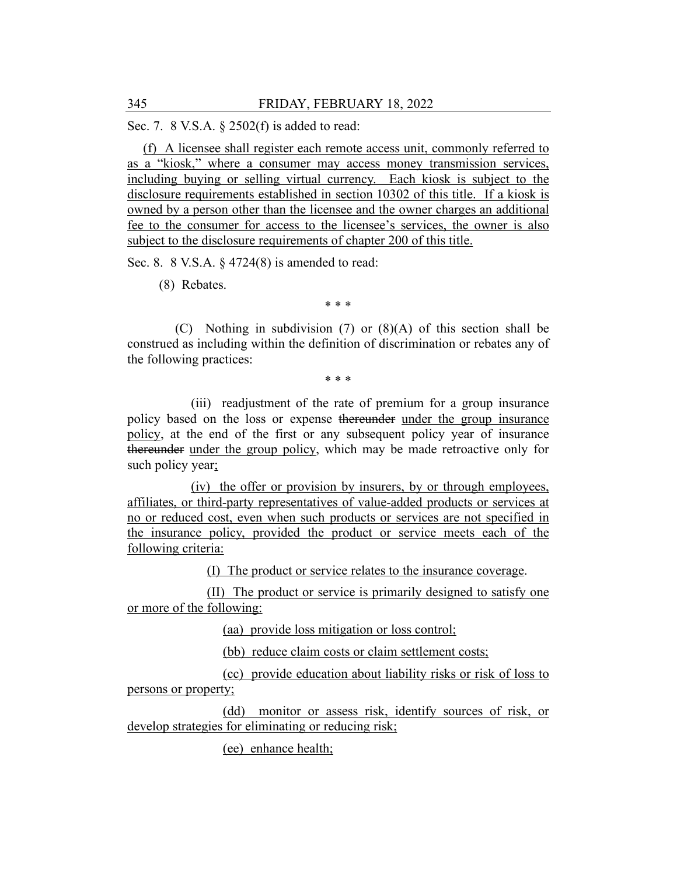Sec. 7. 8 V.S.A. § 2502(f) is added to read:

(f) A licensee shall register each remote access unit, commonly referred to as a "kiosk," where a consumer may access money transmission services, including buying or selling virtual currency. Each kiosk is subject to the disclosure requirements established in section 10302 of this title. If a kiosk is owned by a person other than the licensee and the owner charges an additional fee to the consumer for access to the licensee's services, the owner is also subject to the disclosure requirements of chapter 200 of this title.

Sec. 8. 8 V.S.A. § 4724(8) is amended to read:

(8) Rebates.

\* \* \*

(C) Nothing in subdivision (7) or (8)(A) of this section shall be construed as including within the definition of discrimination or rebates any of the following practices:

\* \* \*

(iii) readjustment of the rate of premium for a group insurance policy based on the loss or expense thereunder under the group insurance policy, at the end of the first or any subsequent policy year of insurance thereunder under the group policy, which may be made retroactive only for such policy year;

(iv) the offer or provision by insurers, by or through employees, affiliates, or third-party representatives of value-added products or services at no or reduced cost, even when such products or services are not specified in the insurance policy, provided the product or service meets each of the following criteria:

(I) The product or service relates to the insurance coverage.

(II) The product or service is primarily designed to satisfy one or more of the following:

(aa) provide loss mitigation or loss control;

(bb) reduce claim costs or claim settlement costs;

(cc) provide education about liability risks or risk of loss to persons or property;

(dd) monitor or assess risk, identify sources of risk, or develop strategies for eliminating or reducing risk;

(ee) enhance health;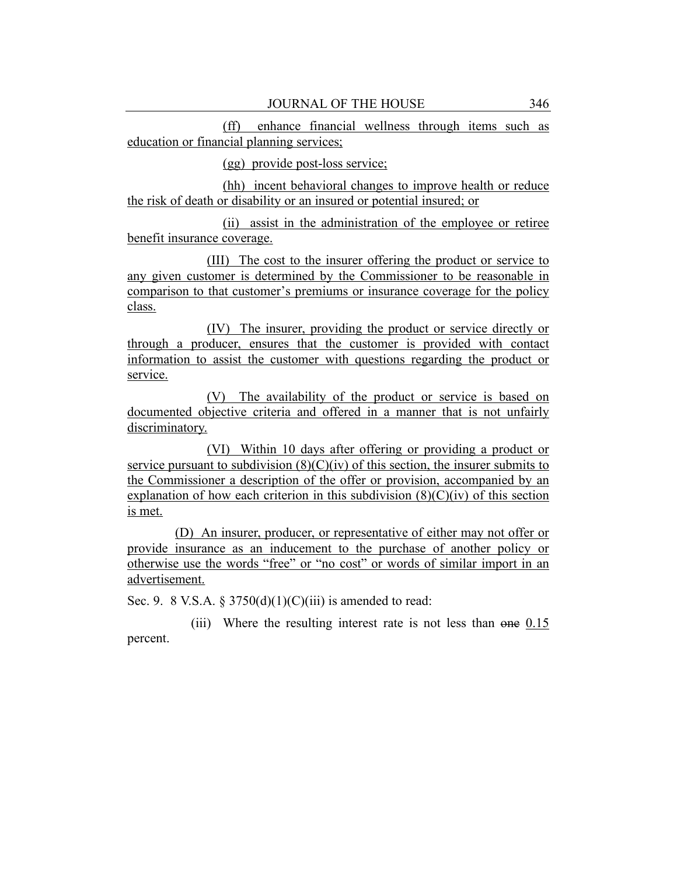(ff) enhance financial wellness through items such as education or financial planning services;

(gg) provide post-loss service;

(hh) incent behavioral changes to improve health or reduce the risk of death or disability or an insured or potential insured; or

(ii) assist in the administration of the employee or retiree benefit insurance coverage.

(III) The cost to the insurer offering the product or service to any given customer is determined by the Commissioner to be reasonable in comparison to that customer's premiums or insurance coverage for the policy class.

(IV) The insurer, providing the product or service directly or through a producer, ensures that the customer is provided with contact information to assist the customer with questions regarding the product or service.

(V) The availability of the product or service is based on documented objective criteria and offered in a manner that is not unfairly discriminatory.

(VI) Within 10 days after offering or providing a product or service pursuant to subdivision  $(8)(C)(iv)$  of this section, the insurer submits to the Commissioner a description of the offer or provision, accompanied by an explanation of how each criterion in this subdivision  $(8)(C)(iv)$  of this section is met.

(D) An insurer, producer, or representative of either may not offer or provide insurance as an inducement to the purchase of another policy or otherwise use the words "free" or "no cost" or words of similar import in an advertisement.

Sec. 9. 8 V.S.A. § 3750(d)(1)(C)(iii) is amended to read:

(iii) Where the resulting interest rate is not less than one 0.15 percent.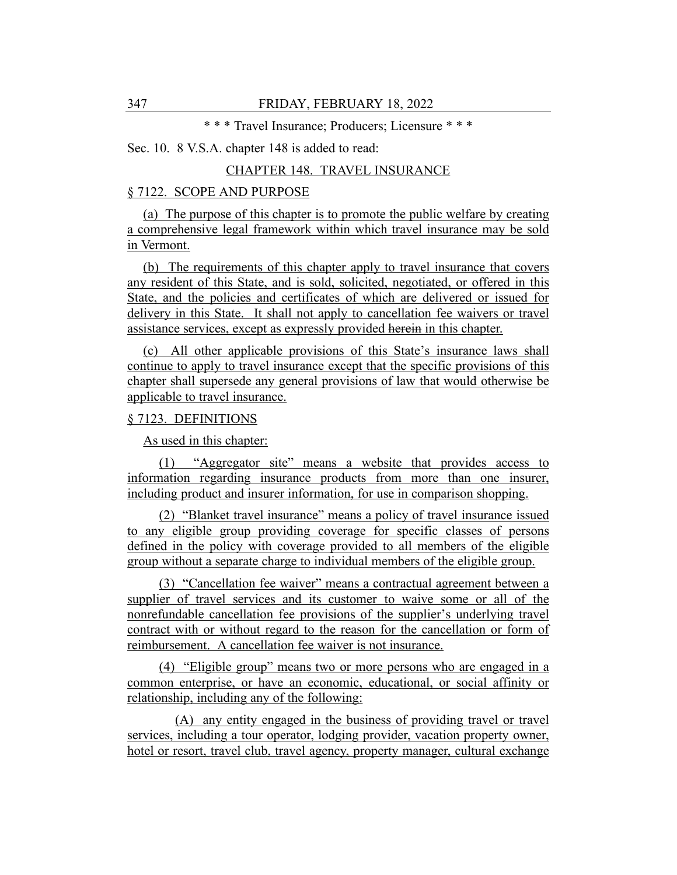\* \* \* Travel Insurance; Producers; Licensure \* \* \*

## Sec. 10. 8 V.S.A. chapter 148 is added to read:

# CHAPTER 148. TRAVEL INSURANCE

# § 7122. SCOPE AND PURPOSE

(a) The purpose of this chapter is to promote the public welfare by creating a comprehensive legal framework within which travel insurance may be sold in Vermont.

(b) The requirements of this chapter apply to travel insurance that covers any resident of this State, and is sold, solicited, negotiated, or offered in this State, and the policies and certificates of which are delivered or issued for delivery in this State. It shall not apply to cancellation fee waivers or travel assistance services, except as expressly provided herein in this chapter.

(c) All other applicable provisions of this State's insurance laws shall continue to apply to travel insurance except that the specific provisions of this chapter shall supersede any general provisions of law that would otherwise be applicable to travel insurance.

## § 7123. DEFINITIONS

As used in this chapter:

(1) "Aggregator site" means a website that provides access to information regarding insurance products from more than one insurer, including product and insurer information, for use in comparison shopping.

(2) "Blanket travel insurance" means a policy of travel insurance issued to any eligible group providing coverage for specific classes of persons defined in the policy with coverage provided to all members of the eligible group without a separate charge to individual members of the eligible group.

(3) "Cancellation fee waiver" means a contractual agreement between a supplier of travel services and its customer to waive some or all of the nonrefundable cancellation fee provisions of the supplier's underlying travel contract with or without regard to the reason for the cancellation or form of reimbursement. A cancellation fee waiver is not insurance.

(4) "Eligible group" means two or more persons who are engaged in a common enterprise, or have an economic, educational, or social affinity or relationship, including any of the following:

(A) any entity engaged in the business of providing travel or travel services, including a tour operator, lodging provider, vacation property owner, hotel or resort, travel club, travel agency, property manager, cultural exchange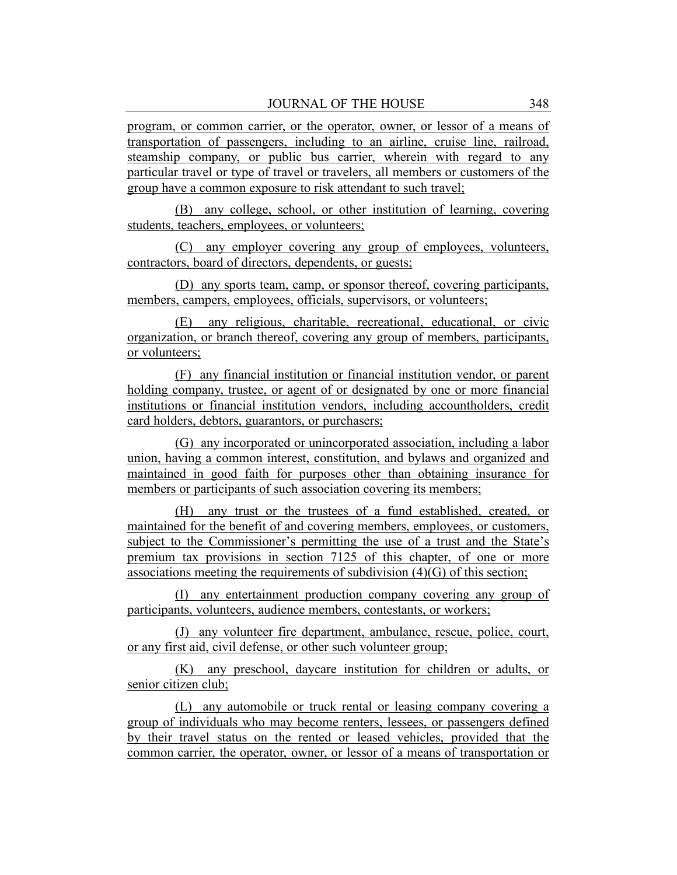program, or common carrier, or the operator, owner, or lessor of a means of transportation of passengers, including to an airline, cruise line, railroad, steamship company, or public bus carrier, wherein with regard to any particular travel or type of travel or travelers, all members or customers of the group have a common exposure to risk attendant to such travel;

(B) any college, school, or other institution of learning, covering students, teachers, employees, or volunteers;

(C) any employer covering any group of employees, volunteers, contractors, board of directors, dependents, or guests;

(D) any sports team, camp, or sponsor thereof, covering participants, members, campers, employees, officials, supervisors, or volunteers;

(E) any religious, charitable, recreational, educational, or civic organization, or branch thereof, covering any group of members, participants, or volunteers;

(F) any financial institution or financial institution vendor, or parent holding company, trustee, or agent of or designated by one or more financial institutions or financial institution vendors, including accountholders, credit card holders, debtors, guarantors, or purchasers;

(G) any incorporated or unincorporated association, including a labor union, having a common interest, constitution, and bylaws and organized and maintained in good faith for purposes other than obtaining insurance for members or participants of such association covering its members;

(H) any trust or the trustees of a fund established, created, or maintained for the benefit of and covering members, employees, or customers, subject to the Commissioner's permitting the use of a trust and the State's premium tax provisions in section 7125 of this chapter, of one or more associations meeting the requirements of subdivision (4)(G) of this section;

(I) any entertainment production company covering any group of participants, volunteers, audience members, contestants, or workers;

(J) any volunteer fire department, ambulance, rescue, police, court, or any first aid, civil defense, or other such volunteer group;

(K) any preschool, daycare institution for children or adults, or senior citizen club;

(L) any automobile or truck rental or leasing company covering a group of individuals who may become renters, lessees, or passengers defined by their travel status on the rented or leased vehicles, provided that the common carrier, the operator, owner, or lessor of a means of transportation or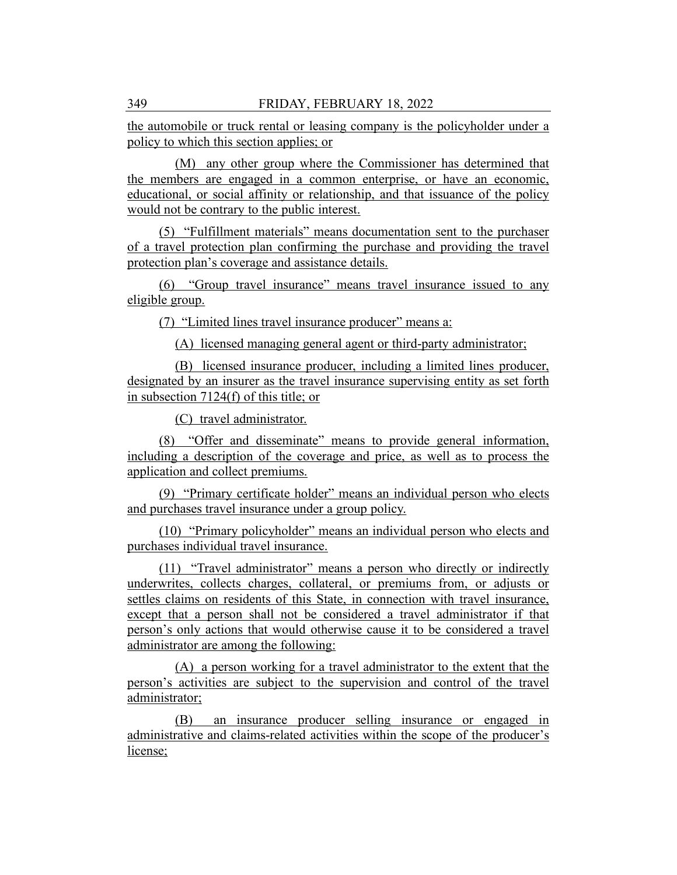the automobile or truck rental or leasing company is the policyholder under a policy to which this section applies; or

(M) any other group where the Commissioner has determined that the members are engaged in a common enterprise, or have an economic, educational, or social affinity or relationship, and that issuance of the policy would not be contrary to the public interest.

(5) "Fulfillment materials" means documentation sent to the purchaser of a travel protection plan confirming the purchase and providing the travel protection plan's coverage and assistance details.

(6) "Group travel insurance" means travel insurance issued to any eligible group.

(7) "Limited lines travel insurance producer" means a:

(A) licensed managing general agent or third-party administrator;

(B) licensed insurance producer, including a limited lines producer, designated by an insurer as the travel insurance supervising entity as set forth in subsection 7124(f) of this title; or

(C) travel administrator.

(8) "Offer and disseminate" means to provide general information, including a description of the coverage and price, as well as to process the application and collect premiums.

(9) "Primary certificate holder" means an individual person who elects and purchases travel insurance under a group policy.

(10) "Primary policyholder" means an individual person who elects and purchases individual travel insurance.

(11) "Travel administrator" means a person who directly or indirectly underwrites, collects charges, collateral, or premiums from, or adjusts or settles claims on residents of this State, in connection with travel insurance, except that a person shall not be considered a travel administrator if that person's only actions that would otherwise cause it to be considered a travel administrator are among the following:

(A) a person working for a travel administrator to the extent that the person's activities are subject to the supervision and control of the travel administrator;

(B) an insurance producer selling insurance or engaged in administrative and claims-related activities within the scope of the producer's license;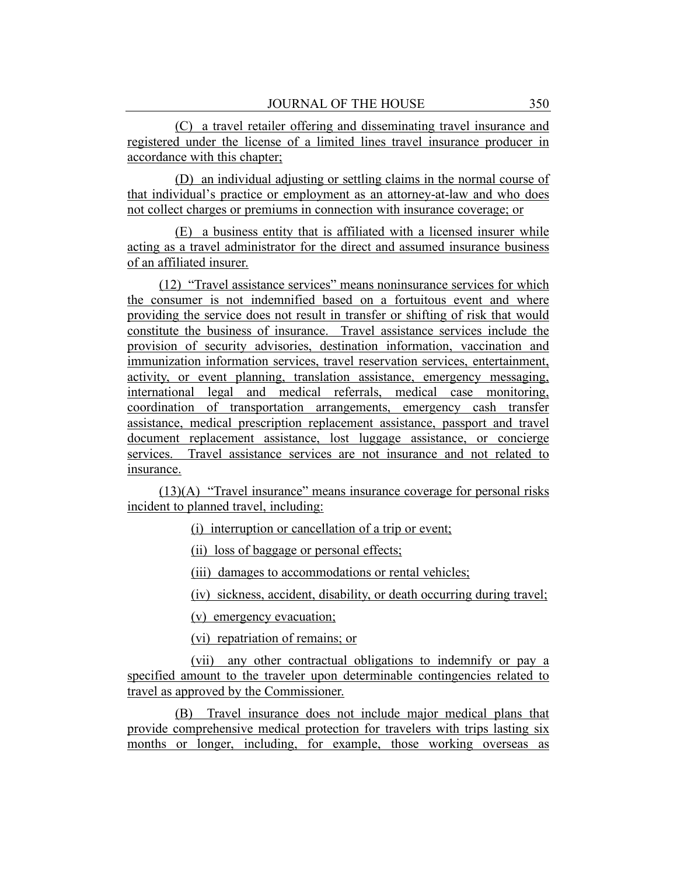(C) a travel retailer offering and disseminating travel insurance and registered under the license of a limited lines travel insurance producer in accordance with this chapter;

(D) an individual adjusting or settling claims in the normal course of that individual's practice or employment as an attorney-at-law and who does not collect charges or premiums in connection with insurance coverage; or

(E) a business entity that is affiliated with a licensed insurer while acting as a travel administrator for the direct and assumed insurance business of an affiliated insurer.

(12) "Travel assistance services" means noninsurance services for which the consumer is not indemnified based on a fortuitous event and where providing the service does not result in transfer or shifting of risk that would constitute the business of insurance. Travel assistance services include the provision of security advisories, destination information, vaccination and immunization information services, travel reservation services, entertainment, activity, or event planning, translation assistance, emergency messaging, international legal and medical referrals, medical case monitoring, coordination of transportation arrangements, emergency cash transfer assistance, medical prescription replacement assistance, passport and travel document replacement assistance, lost luggage assistance, or concierge services. Travel assistance services are not insurance and not related to insurance.

(13)(A) "Travel insurance" means insurance coverage for personal risks incident to planned travel, including:

(i) interruption or cancellation of a trip or event;

(ii) loss of baggage or personal effects;

(iii) damages to accommodations or rental vehicles;

(iv) sickness, accident, disability, or death occurring during travel;

(v) emergency evacuation;

(vi) repatriation of remains; or

(vii) any other contractual obligations to indemnify or pay a specified amount to the traveler upon determinable contingencies related to travel as approved by the Commissioner.

(B) Travel insurance does not include major medical plans that provide comprehensive medical protection for travelers with trips lasting six months or longer, including, for example, those working overseas as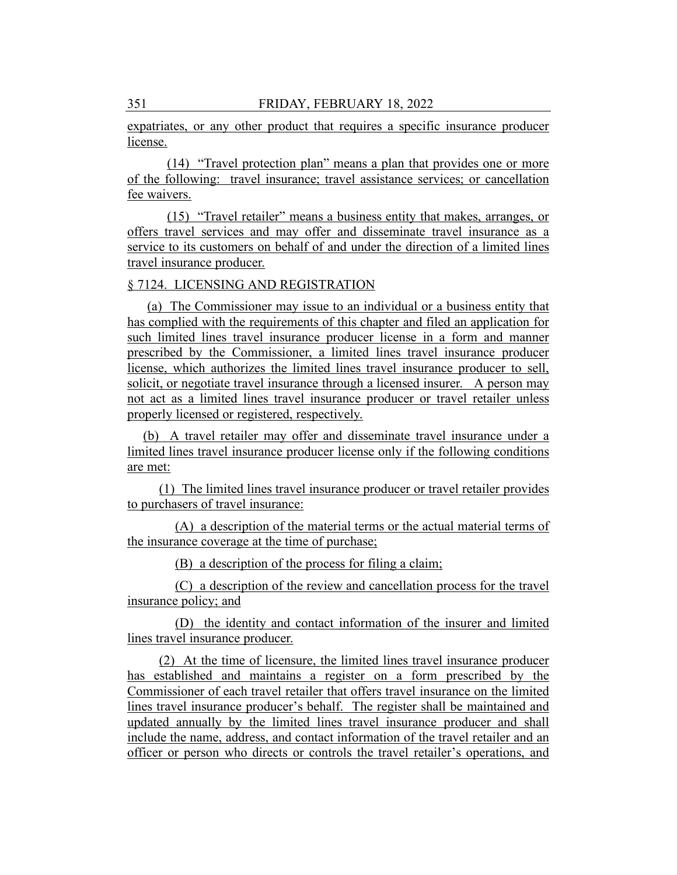expatriates, or any other product that requires a specific insurance producer license.

(14) "Travel protection plan" means a plan that provides one or more of the following: travel insurance; travel assistance services; or cancellation fee waivers.

(15) "Travel retailer" means a business entity that makes, arranges, or offers travel services and may offer and disseminate travel insurance as a service to its customers on behalf of and under the direction of a limited lines travel insurance producer.

#### § 7124. LICENSING AND REGISTRATION

(a) The Commissioner may issue to an individual or a business entity that has complied with the requirements of this chapter and filed an application for such limited lines travel insurance producer license in a form and manner prescribed by the Commissioner, a limited lines travel insurance producer license, which authorizes the limited lines travel insurance producer to sell, solicit, or negotiate travel insurance through a licensed insurer. A person may not act as a limited lines travel insurance producer or travel retailer unless properly licensed or registered, respectively.

(b) A travel retailer may offer and disseminate travel insurance under a limited lines travel insurance producer license only if the following conditions are met:

(1) The limited lines travel insurance producer or travel retailer provides to purchasers of travel insurance:

(A) a description of the material terms or the actual material terms of the insurance coverage at the time of purchase;

(B) a description of the process for filing a claim;

(C) a description of the review and cancellation process for the travel insurance policy; and

(D) the identity and contact information of the insurer and limited lines travel insurance producer.

(2) At the time of licensure, the limited lines travel insurance producer has established and maintains a register on a form prescribed by the Commissioner of each travel retailer that offers travel insurance on the limited lines travel insurance producer's behalf. The register shall be maintained and updated annually by the limited lines travel insurance producer and shall include the name, address, and contact information of the travel retailer and an officer or person who directs or controls the travel retailer's operations, and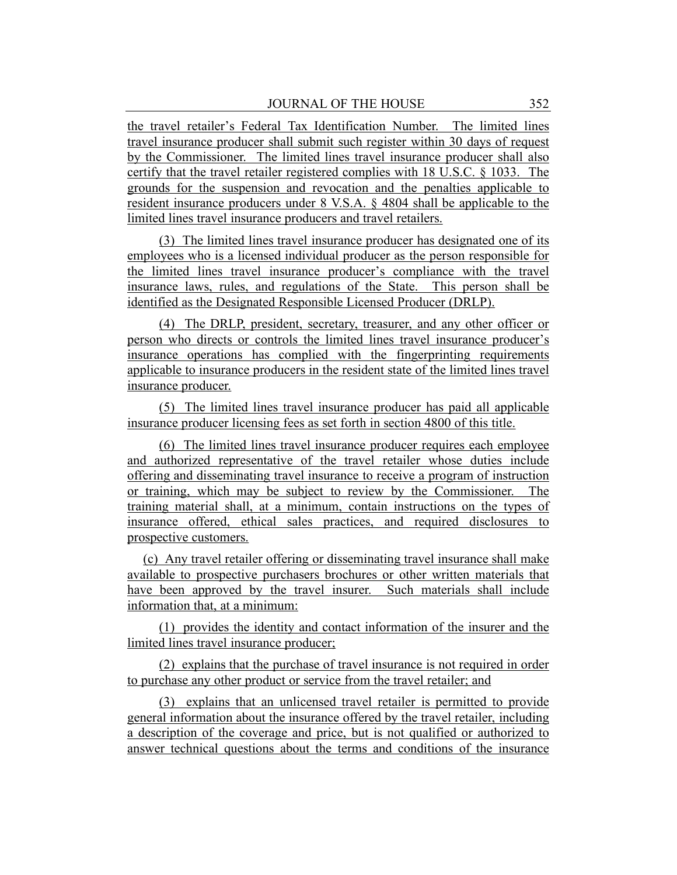the travel retailer's Federal Tax Identification Number. The limited lines travel insurance producer shall submit such register within 30 days of request by the Commissioner. The limited lines travel insurance producer shall also certify that the travel retailer registered complies with 18 U.S.C. § 1033. The grounds for the suspension and revocation and the penalties applicable to resident insurance producers under 8 V.S.A. § 4804 shall be applicable to the limited lines travel insurance producers and travel retailers.

(3) The limited lines travel insurance producer has designated one of its employees who is a licensed individual producer as the person responsible for the limited lines travel insurance producer's compliance with the travel insurance laws, rules, and regulations of the State. This person shall be identified as the Designated Responsible Licensed Producer (DRLP).

(4) The DRLP, president, secretary, treasurer, and any other officer or person who directs or controls the limited lines travel insurance producer's insurance operations has complied with the fingerprinting requirements applicable to insurance producers in the resident state of the limited lines travel insurance producer.

(5) The limited lines travel insurance producer has paid all applicable insurance producer licensing fees as set forth in section 4800 of this title.

(6) The limited lines travel insurance producer requires each employee and authorized representative of the travel retailer whose duties include offering and disseminating travel insurance to receive a program of instruction or training, which may be subject to review by the Commissioner. The training material shall, at a minimum, contain instructions on the types of insurance offered, ethical sales practices, and required disclosures to prospective customers.

(c) Any travel retailer offering or disseminating travel insurance shall make available to prospective purchasers brochures or other written materials that have been approved by the travel insurer. Such materials shall include information that, at a minimum:

(1) provides the identity and contact information of the insurer and the limited lines travel insurance producer;

(2) explains that the purchase of travel insurance is not required in order to purchase any other product or service from the travel retailer; and

(3) explains that an unlicensed travel retailer is permitted to provide general information about the insurance offered by the travel retailer, including a description of the coverage and price, but is not qualified or authorized to answer technical questions about the terms and conditions of the insurance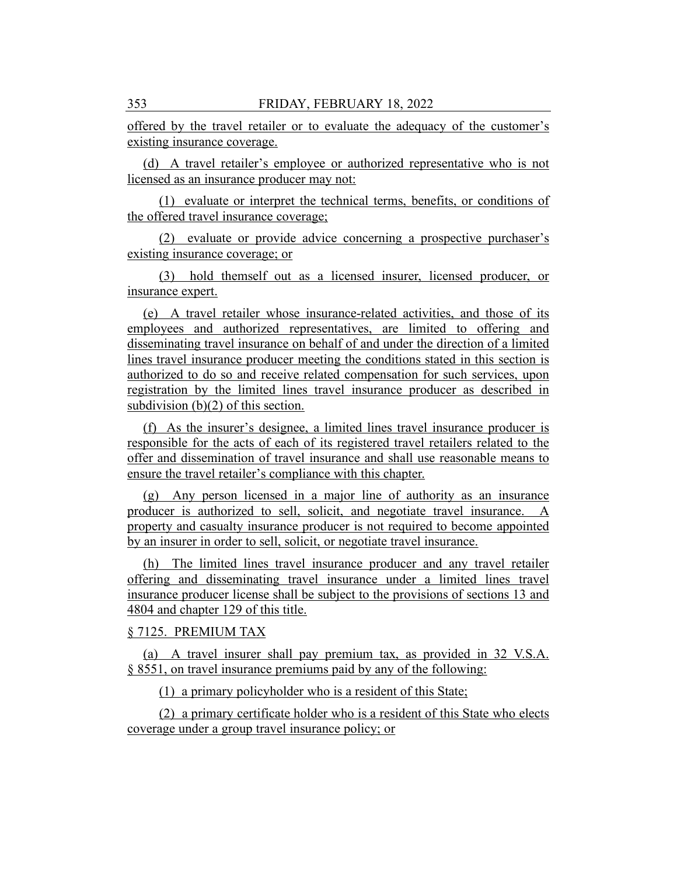offered by the travel retailer or to evaluate the adequacy of the customer's existing insurance coverage.

(d) A travel retailer's employee or authorized representative who is not licensed as an insurance producer may not:

(1) evaluate or interpret the technical terms, benefits, or conditions of the offered travel insurance coverage;

(2) evaluate or provide advice concerning a prospective purchaser's existing insurance coverage; or

(3) hold themself out as a licensed insurer, licensed producer, or insurance expert.

(e) A travel retailer whose insurance-related activities, and those of its employees and authorized representatives, are limited to offering and disseminating travel insurance on behalf of and under the direction of a limited lines travel insurance producer meeting the conditions stated in this section is authorized to do so and receive related compensation for such services, upon registration by the limited lines travel insurance producer as described in subdivision (b)(2) of this section.

(f) As the insurer's designee, a limited lines travel insurance producer is responsible for the acts of each of its registered travel retailers related to the offer and dissemination of travel insurance and shall use reasonable means to ensure the travel retailer's compliance with this chapter.

(g) Any person licensed in a major line of authority as an insurance producer is authorized to sell, solicit, and negotiate travel insurance. A property and casualty insurance producer is not required to become appointed by an insurer in order to sell, solicit, or negotiate travel insurance.

(h) The limited lines travel insurance producer and any travel retailer offering and disseminating travel insurance under a limited lines travel insurance producer license shall be subject to the provisions of sections 13 and 4804 and chapter 129 of this title.

# § 7125. PREMIUM TAX

(a) A travel insurer shall pay premium tax, as provided in 32 V.S.A. § 8551, on travel insurance premiums paid by any of the following:

(1) a primary policyholder who is a resident of this State;

(2) a primary certificate holder who is a resident of this State who elects coverage under a group travel insurance policy; or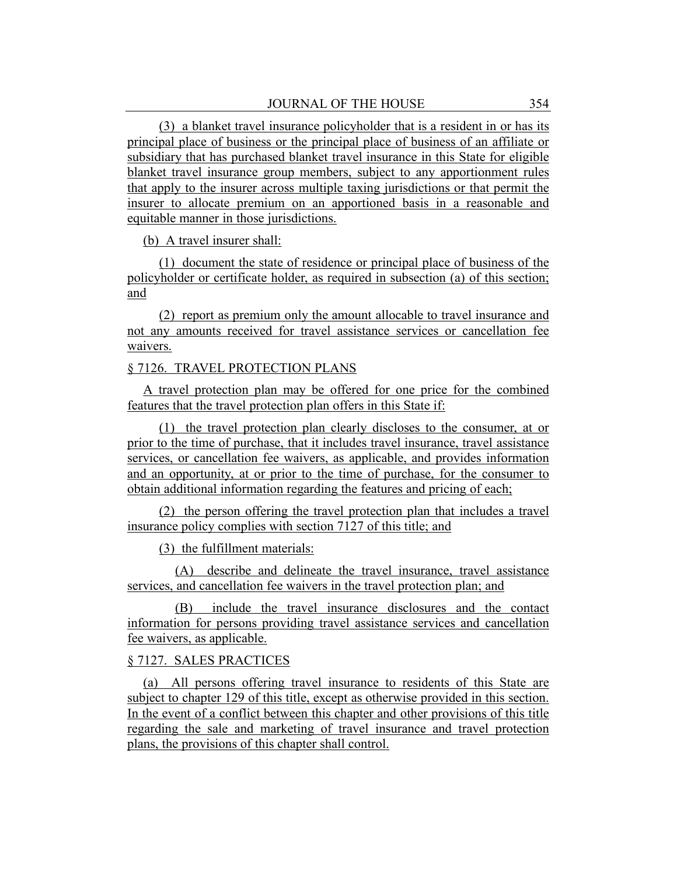(3) a blanket travel insurance policyholder that is a resident in or has its principal place of business or the principal place of business of an affiliate or subsidiary that has purchased blanket travel insurance in this State for eligible blanket travel insurance group members, subject to any apportionment rules that apply to the insurer across multiple taxing jurisdictions or that permit the insurer to allocate premium on an apportioned basis in a reasonable and equitable manner in those jurisdictions.

(b) A travel insurer shall:

(1) document the state of residence or principal place of business of the policyholder or certificate holder, as required in subsection (a) of this section; and

(2) report as premium only the amount allocable to travel insurance and not any amounts received for travel assistance services or cancellation fee waivers.

## § 7126. TRAVEL PROTECTION PLANS

A travel protection plan may be offered for one price for the combined features that the travel protection plan offers in this State if:

(1) the travel protection plan clearly discloses to the consumer, at or prior to the time of purchase, that it includes travel insurance, travel assistance services, or cancellation fee waivers, as applicable, and provides information and an opportunity, at or prior to the time of purchase, for the consumer to obtain additional information regarding the features and pricing of each;

(2) the person offering the travel protection plan that includes a travel insurance policy complies with section 7127 of this title; and

(3) the fulfillment materials:

(A) describe and delineate the travel insurance, travel assistance services, and cancellation fee waivers in the travel protection plan; and

(B) include the travel insurance disclosures and the contact information for persons providing travel assistance services and cancellation fee waivers, as applicable.

#### § 7127. SALES PRACTICES

(a) All persons offering travel insurance to residents of this State are subject to chapter 129 of this title, except as otherwise provided in this section. In the event of a conflict between this chapter and other provisions of this title regarding the sale and marketing of travel insurance and travel protection plans, the provisions of this chapter shall control.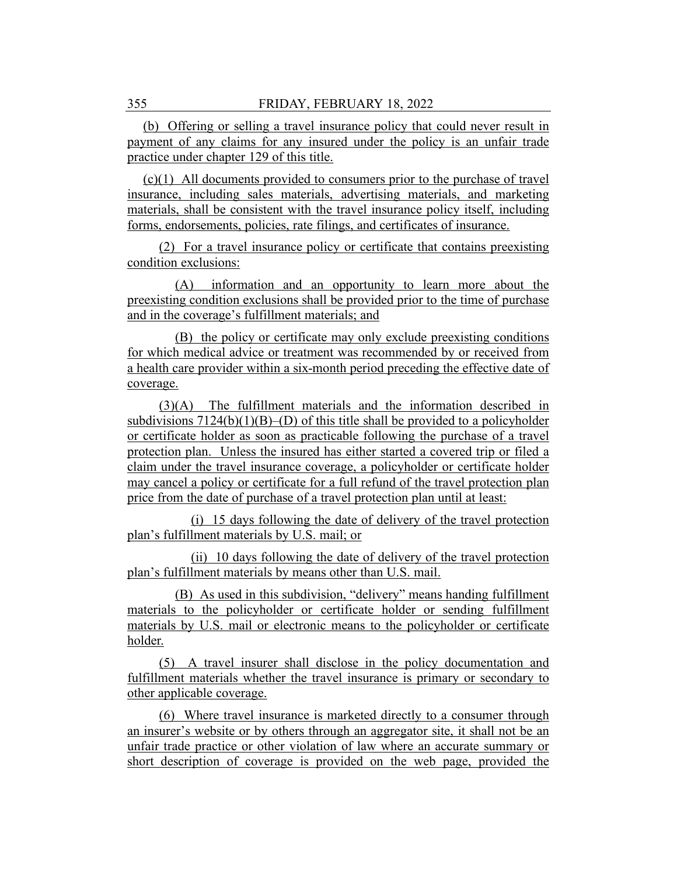(b) Offering or selling a travel insurance policy that could never result in payment of any claims for any insured under the policy is an unfair trade practice under chapter 129 of this title.

(c)(1) All documents provided to consumers prior to the purchase of travel insurance, including sales materials, advertising materials, and marketing materials, shall be consistent with the travel insurance policy itself, including forms, endorsements, policies, rate filings, and certificates of insurance.

(2) For a travel insurance policy or certificate that contains preexisting condition exclusions:

(A) information and an opportunity to learn more about the preexisting condition exclusions shall be provided prior to the time of purchase and in the coverage's fulfillment materials; and

(B) the policy or certificate may only exclude preexisting conditions for which medical advice or treatment was recommended by or received from a health care provider within a six-month period preceding the effective date of coverage.

(3)(A) The fulfillment materials and the information described in subdivisions  $7124(b)(1)(B)$ –(D) of this title shall be provided to a policyholder or certificate holder as soon as practicable following the purchase of a travel protection plan. Unless the insured has either started a covered trip or filed a claim under the travel insurance coverage, a policyholder or certificate holder may cancel a policy or certificate for a full refund of the travel protection plan price from the date of purchase of a travel protection plan until at least:

(i) 15 days following the date of delivery of the travel protection plan's fulfillment materials by U.S. mail; or

(ii) 10 days following the date of delivery of the travel protection plan's fulfillment materials by means other than U.S. mail.

(B) As used in this subdivision, "delivery" means handing fulfillment materials to the policyholder or certificate holder or sending fulfillment materials by U.S. mail or electronic means to the policyholder or certificate holder.

(5) A travel insurer shall disclose in the policy documentation and fulfillment materials whether the travel insurance is primary or secondary to other applicable coverage.

(6) Where travel insurance is marketed directly to a consumer through an insurer's website or by others through an aggregator site, it shall not be an unfair trade practice or other violation of law where an accurate summary or short description of coverage is provided on the web page, provided the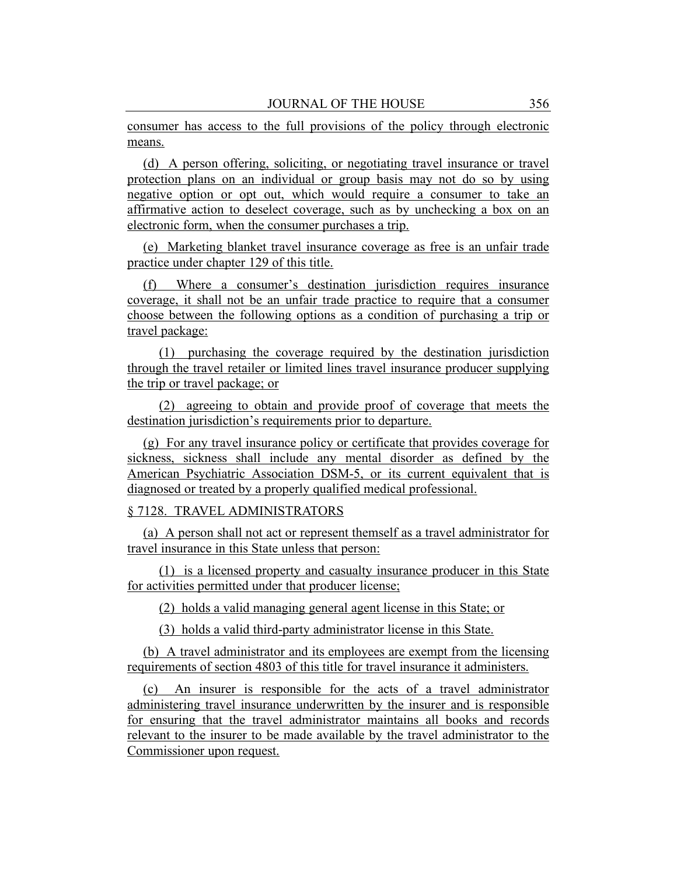consumer has access to the full provisions of the policy through electronic means.

(d) A person offering, soliciting, or negotiating travel insurance or travel protection plans on an individual or group basis may not do so by using negative option or opt out, which would require a consumer to take an affirmative action to deselect coverage, such as by unchecking a box on an electronic form, when the consumer purchases a trip.

(e) Marketing blanket travel insurance coverage as free is an unfair trade practice under chapter 129 of this title.

(f) Where a consumer's destination jurisdiction requires insurance coverage, it shall not be an unfair trade practice to require that a consumer choose between the following options as a condition of purchasing a trip or travel package:

(1) purchasing the coverage required by the destination jurisdiction through the travel retailer or limited lines travel insurance producer supplying the trip or travel package; or

(2) agreeing to obtain and provide proof of coverage that meets the destination jurisdiction's requirements prior to departure.

(g) For any travel insurance policy or certificate that provides coverage for sickness, sickness shall include any mental disorder as defined by the American Psychiatric Association DSM-5, or its current equivalent that is diagnosed or treated by a properly qualified medical professional.

#### § 7128. TRAVEL ADMINISTRATORS

(a) A person shall not act or represent themself as a travel administrator for travel insurance in this State unless that person:

(1) is a licensed property and casualty insurance producer in this State for activities permitted under that producer license;

(2) holds a valid managing general agent license in this State; or

(3) holds a valid third-party administrator license in this State.

(b) A travel administrator and its employees are exempt from the licensing requirements of section 4803 of this title for travel insurance it administers.

(c) An insurer is responsible for the acts of a travel administrator administering travel insurance underwritten by the insurer and is responsible for ensuring that the travel administrator maintains all books and records relevant to the insurer to be made available by the travel administrator to the Commissioner upon request.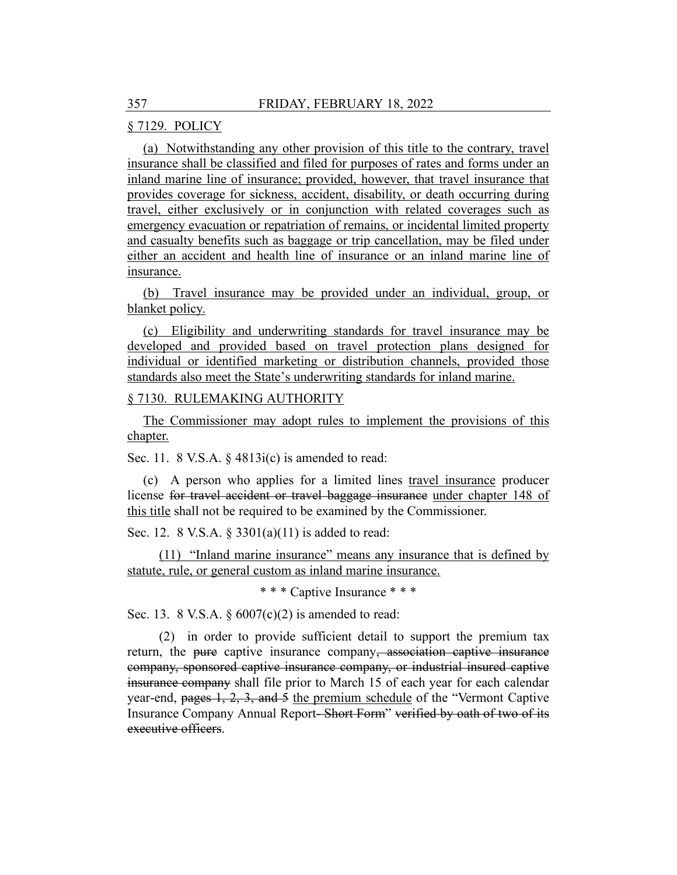# § 7129. POLICY

(a) Notwithstanding any other provision of this title to the contrary, travel insurance shall be classified and filed for purposes of rates and forms under an inland marine line of insurance; provided, however, that travel insurance that provides coverage for sickness, accident, disability, or death occurring during travel, either exclusively or in conjunction with related coverages such as emergency evacuation or repatriation of remains, or incidental limited property and casualty benefits such as baggage or trip cancellation, may be filed under either an accident and health line of insurance or an inland marine line of insurance.

(b) Travel insurance may be provided under an individual, group, or blanket policy.

(c) Eligibility and underwriting standards for travel insurance may be developed and provided based on travel protection plans designed for individual or identified marketing or distribution channels, provided those standards also meet the State's underwriting standards for inland marine.

## § 7130. RULEMAKING AUTHORITY

The Commissioner may adopt rules to implement the provisions of this chapter.

Sec. 11. 8 V.S.A. § 4813i(c) is amended to read:

(c) A person who applies for a limited lines travel insurance producer license for travel accident or travel baggage insurance under chapter 148 of this title shall not be required to be examined by the Commissioner.

Sec. 12. 8 V.S.A. § 3301(a)(11) is added to read:

(11) "Inland marine insurance" means any insurance that is defined by statute, rule, or general custom as inland marine insurance.

\* \* \* Captive Insurance \* \* \*

Sec. 13. 8 V.S.A.  $\S 6007(c)(2)$  is amended to read:

(2) in order to provide sufficient detail to support the premium tax return, the pure captive insurance company, association captive insurance company, sponsored captive insurance company, or industrial insured captive insurance company shall file prior to March 15 of each year for each calendar year-end, pages 1, 2, 3, and 5 the premium schedule of the "Vermont Captive Insurance Company Annual Report- Short Form" verified by oath of two of its executive officers.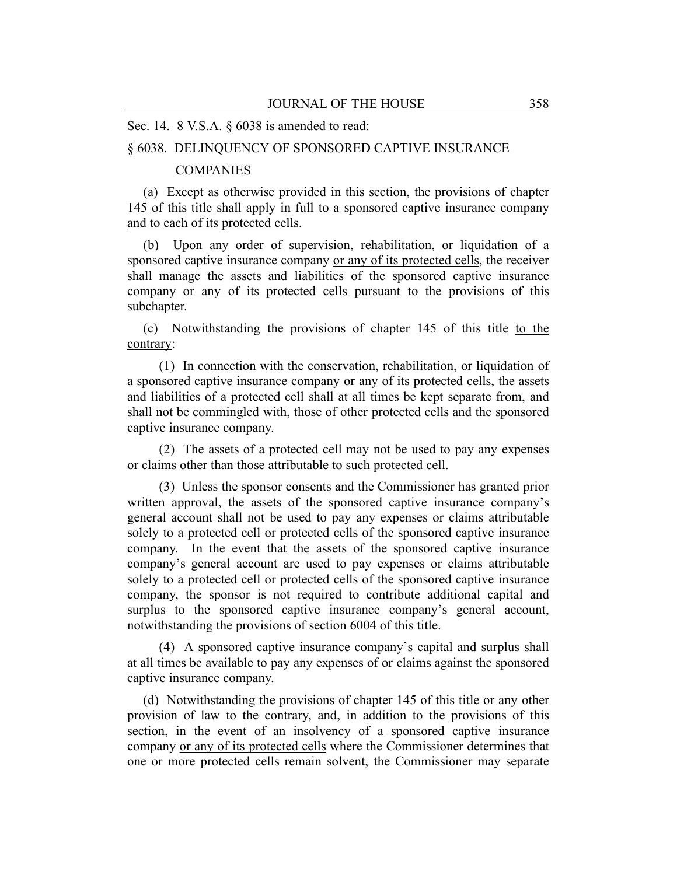#### Sec. 14. 8 V.S.A. § 6038 is amended to read:

## § 6038. DELINQUENCY OF SPONSORED CAPTIVE INSURANCE

#### **COMPANIES**

(a) Except as otherwise provided in this section, the provisions of chapter 145 of this title shall apply in full to a sponsored captive insurance company and to each of its protected cells.

(b) Upon any order of supervision, rehabilitation, or liquidation of a sponsored captive insurance company or any of its protected cells, the receiver shall manage the assets and liabilities of the sponsored captive insurance company or any of its protected cells pursuant to the provisions of this subchapter.

(c) Notwithstanding the provisions of chapter 145 of this title to the contrary:

(1) In connection with the conservation, rehabilitation, or liquidation of a sponsored captive insurance company or any of its protected cells, the assets and liabilities of a protected cell shall at all times be kept separate from, and shall not be commingled with, those of other protected cells and the sponsored captive insurance company.

(2) The assets of a protected cell may not be used to pay any expenses or claims other than those attributable to such protected cell.

(3) Unless the sponsor consents and the Commissioner has granted prior written approval, the assets of the sponsored captive insurance company's general account shall not be used to pay any expenses or claims attributable solely to a protected cell or protected cells of the sponsored captive insurance company. In the event that the assets of the sponsored captive insurance company's general account are used to pay expenses or claims attributable solely to a protected cell or protected cells of the sponsored captive insurance company, the sponsor is not required to contribute additional capital and surplus to the sponsored captive insurance company's general account, notwithstanding the provisions of section 6004 of this title.

(4) A sponsored captive insurance company's capital and surplus shall at all times be available to pay any expenses of or claims against the sponsored captive insurance company.

(d) Notwithstanding the provisions of chapter 145 of this title or any other provision of law to the contrary, and, in addition to the provisions of this section, in the event of an insolvency of a sponsored captive insurance company or any of its protected cells where the Commissioner determines that one or more protected cells remain solvent, the Commissioner may separate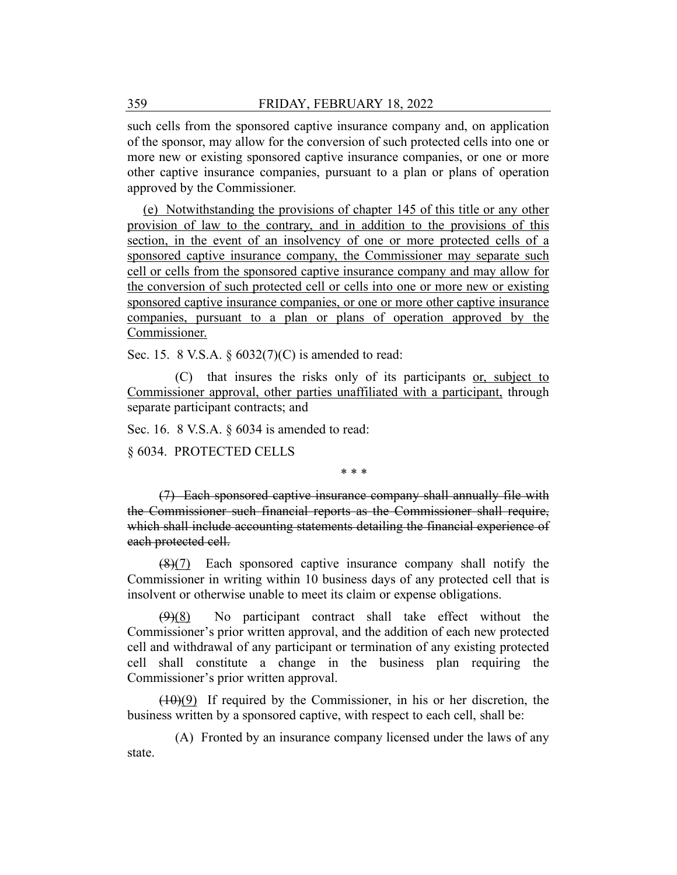such cells from the sponsored captive insurance company and, on application of the sponsor, may allow for the conversion of such protected cells into one or more new or existing sponsored captive insurance companies, or one or more other captive insurance companies, pursuant to a plan or plans of operation approved by the Commissioner.

(e) Notwithstanding the provisions of chapter 145 of this title or any other provision of law to the contrary, and in addition to the provisions of this section, in the event of an insolvency of one or more protected cells of a sponsored captive insurance company, the Commissioner may separate such cell or cells from the sponsored captive insurance company and may allow for the conversion of such protected cell or cells into one or more new or existing sponsored captive insurance companies, or one or more other captive insurance companies, pursuant to a plan or plans of operation approved by the Commissioner.

Sec. 15. 8 V.S.A. § 6032(7)(C) is amended to read:

(C) that insures the risks only of its participants or, subject to Commissioner approval, other parties unaffiliated with a participant, through separate participant contracts; and

Sec. 16. 8 V.S.A. § 6034 is amended to read:

§ 6034. PROTECTED CELLS

\* \* \*

(7) Each sponsored captive insurance company shall annually file with the Commissioner such financial reports as the Commissioner shall require, which shall include accounting statements detailing the financial experience of each protected cell.

 $(8)(7)$  Each sponsored captive insurance company shall notify the Commissioner in writing within 10 business days of any protected cell that is insolvent or otherwise unable to meet its claim or expense obligations.

 $(9)(8)$  No participant contract shall take effect without the Commissioner's prior written approval, and the addition of each new protected cell and withdrawal of any participant or termination of any existing protected cell shall constitute a change in the business plan requiring the Commissioner's prior written approval.

 $(10)(9)$  If required by the Commissioner, in his or her discretion, the business written by a sponsored captive, with respect to each cell, shall be:

(A) Fronted by an insurance company licensed under the laws of any state.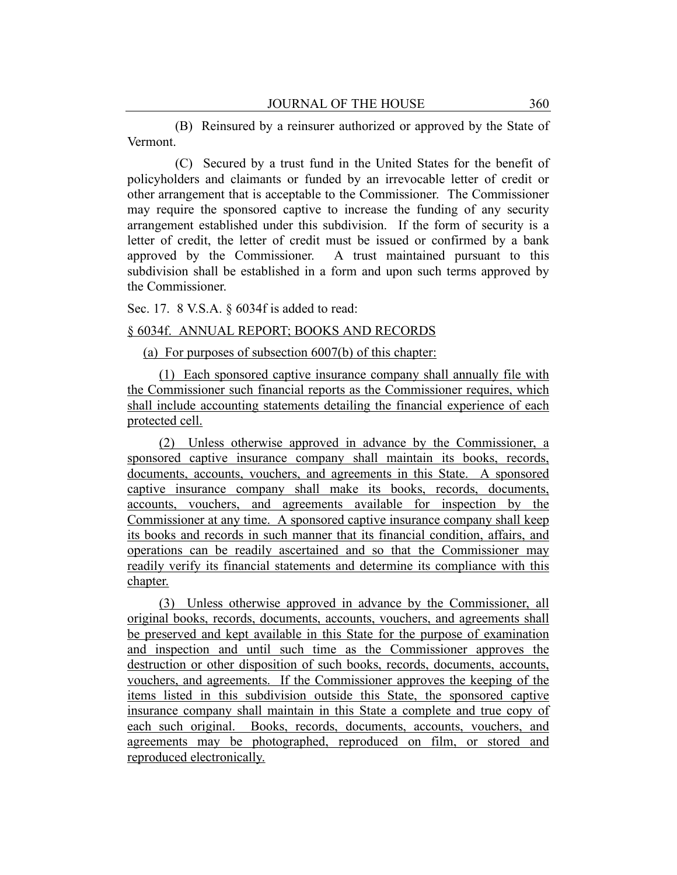(B) Reinsured by a reinsurer authorized or approved by the State of Vermont.

(C) Secured by a trust fund in the United States for the benefit of policyholders and claimants or funded by an irrevocable letter of credit or other arrangement that is acceptable to the Commissioner. The Commissioner may require the sponsored captive to increase the funding of any security arrangement established under this subdivision. If the form of security is a letter of credit, the letter of credit must be issued or confirmed by a bank approved by the Commissioner. A trust maintained pursuant to this subdivision shall be established in a form and upon such terms approved by the Commissioner.

Sec. 17. 8 V.S.A. § 6034f is added to read:

#### § 6034f. ANNUAL REPORT; BOOKS AND RECORDS

(a) For purposes of subsection 6007(b) of this chapter:

(1) Each sponsored captive insurance company shall annually file with the Commissioner such financial reports as the Commissioner requires, which shall include accounting statements detailing the financial experience of each protected cell.

(2) Unless otherwise approved in advance by the Commissioner, a sponsored captive insurance company shall maintain its books, records, documents, accounts, vouchers, and agreements in this State. A sponsored captive insurance company shall make its books, records, documents, accounts, vouchers, and agreements available for inspection by the Commissioner at any time. A sponsored captive insurance company shall keep its books and records in such manner that its financial condition, affairs, and operations can be readily ascertained and so that the Commissioner may readily verify its financial statements and determine its compliance with this chapter.

(3) Unless otherwise approved in advance by the Commissioner, all original books, records, documents, accounts, vouchers, and agreements shall be preserved and kept available in this State for the purpose of examination and inspection and until such time as the Commissioner approves the destruction or other disposition of such books, records, documents, accounts, vouchers, and agreements. If the Commissioner approves the keeping of the items listed in this subdivision outside this State, the sponsored captive insurance company shall maintain in this State a complete and true copy of each such original. Books, records, documents, accounts, vouchers, and agreements may be photographed, reproduced on film, or stored and reproduced electronically.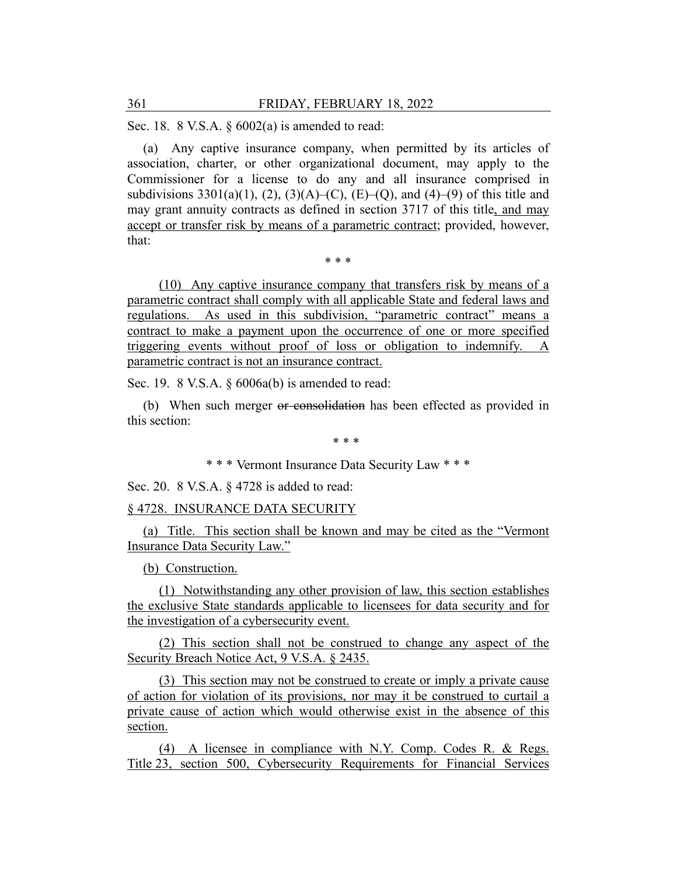Sec. 18. 8 V.S.A. § 6002(a) is amended to read:

(a) Any captive insurance company, when permitted by its articles of association, charter, or other organizational document, may apply to the Commissioner for a license to do any and all insurance comprised in subdivisions  $3301(a)(1)$ ,  $(2)$ ,  $(3)(A)-(C)$ ,  $(E)-(Q)$ , and  $(4)-(9)$  of this title and may grant annuity contracts as defined in section 3717 of this title, and may accept or transfer risk by means of a parametric contract; provided, however, that:

\* \* \*

(10) Any captive insurance company that transfers risk by means of a parametric contract shall comply with all applicable State and federal laws and regulations. As used in this subdivision, "parametric contract" means a contract to make a payment upon the occurrence of one or more specified triggering events without proof of loss or obligation to indemnify. A parametric contract is not an insurance contract.

Sec. 19. 8 V.S.A. § 6006a(b) is amended to read:

(b) When such merger or consolidation has been effected as provided in this section:

\* \* \*

\* \* \* Vermont Insurance Data Security Law \* \* \*

Sec. 20. 8 V.S.A. § 4728 is added to read:

## § 4728. INSURANCE DATA SECURITY

(a) Title. This section shall be known and may be cited as the "Vermont Insurance Data Security Law."

(b) Construction.

(1) Notwithstanding any other provision of law, this section establishes the exclusive State standards applicable to licensees for data security and for the investigation of a cybersecurity event.

(2) This section shall not be construed to change any aspect of the Security Breach Notice Act, 9 V.S.A. § 2435.

(3) This section may not be construed to create or imply a private cause of action for violation of its provisions, nor may it be construed to curtail a private cause of action which would otherwise exist in the absence of this section.

(4) A licensee in compliance with N.Y. Comp. Codes R. & Regs. Title 23, section 500, Cybersecurity Requirements for Financial Services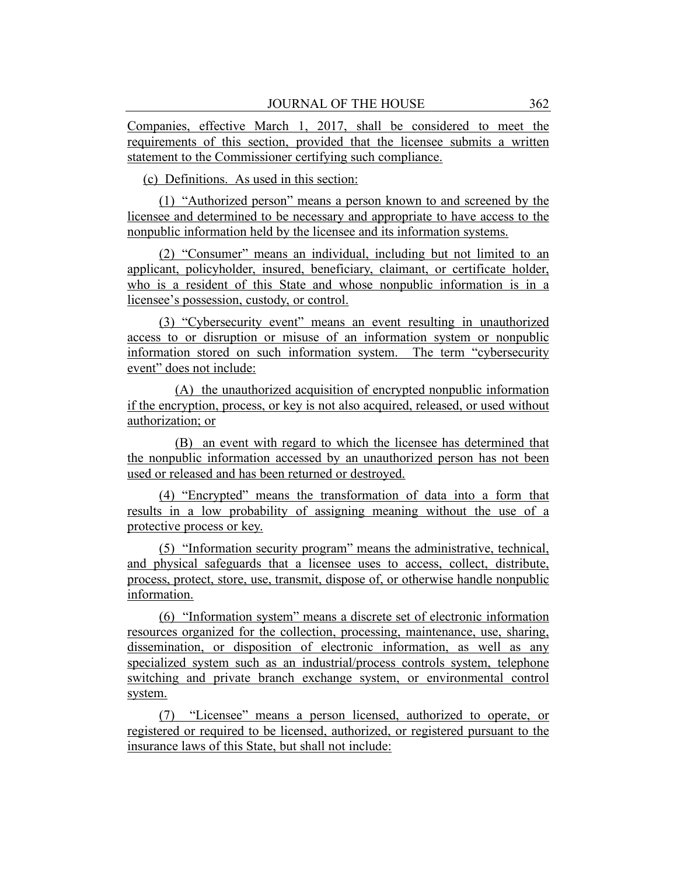Companies, effective March 1, 2017, shall be considered to meet the requirements of this section, provided that the licensee submits a written statement to the Commissioner certifying such compliance.

(c) Definitions. As used in this section:

(1) "Authorized person" means a person known to and screened by the licensee and determined to be necessary and appropriate to have access to the nonpublic information held by the licensee and its information systems.

(2) "Consumer" means an individual, including but not limited to an applicant, policyholder, insured, beneficiary, claimant, or certificate holder, who is a resident of this State and whose nonpublic information is in a licensee's possession, custody, or control.

(3) "Cybersecurity event" means an event resulting in unauthorized access to or disruption or misuse of an information system or nonpublic information stored on such information system. The term "cybersecurity event" does not include:

(A) the unauthorized acquisition of encrypted nonpublic information if the encryption, process, or key is not also acquired, released, or used without authorization; or

(B) an event with regard to which the licensee has determined that the nonpublic information accessed by an unauthorized person has not been used or released and has been returned or destroyed.

(4) "Encrypted" means the transformation of data into a form that results in a low probability of assigning meaning without the use of a protective process or key.

(5) "Information security program" means the administrative, technical, and physical safeguards that a licensee uses to access, collect, distribute, process, protect, store, use, transmit, dispose of, or otherwise handle nonpublic information.

(6) "Information system" means a discrete set of electronic information resources organized for the collection, processing, maintenance, use, sharing, dissemination, or disposition of electronic information, as well as any specialized system such as an industrial/process controls system, telephone switching and private branch exchange system, or environmental control system.

(7) "Licensee" means a person licensed, authorized to operate, or registered or required to be licensed, authorized, or registered pursuant to the insurance laws of this State, but shall not include: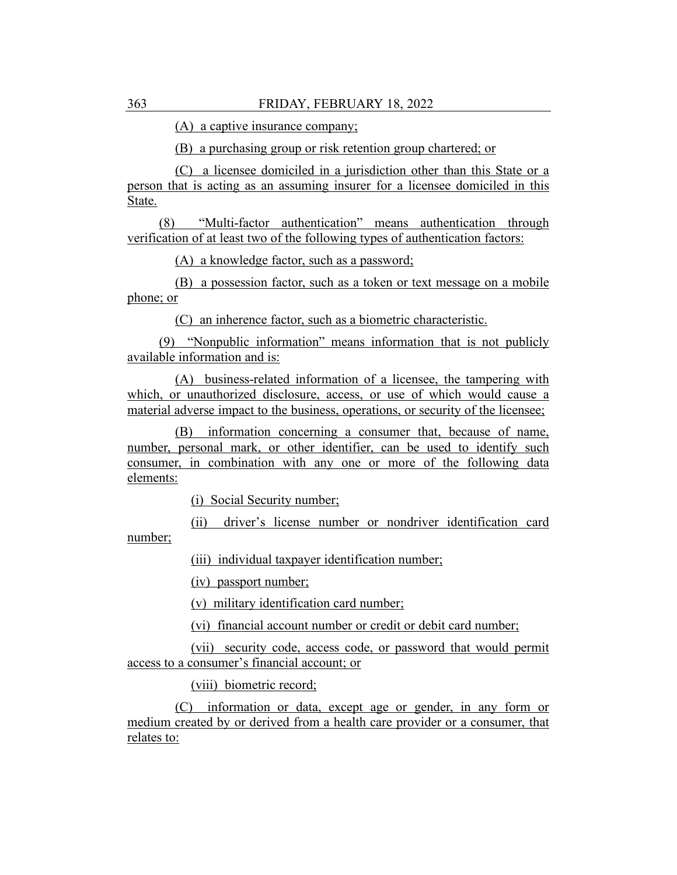(A) a captive insurance company;

(B) a purchasing group or risk retention group chartered; or

(C) a licensee domiciled in a jurisdiction other than this State or a person that is acting as an assuming insurer for a licensee domiciled in this State.

(8) "Multi-factor authentication" means authentication through verification of at least two of the following types of authentication factors:

(A) a knowledge factor, such as a password;

(B) a possession factor, such as a token or text message on a mobile phone; or

(C) an inherence factor, such as a biometric characteristic.

(9) "Nonpublic information" means information that is not publicly available information and is:

(A) business-related information of a licensee, the tampering with which, or unauthorized disclosure, access, or use of which would cause a material adverse impact to the business, operations, or security of the licensee;

(B) information concerning a consumer that, because of name, number, personal mark, or other identifier, can be used to identify such consumer, in combination with any one or more of the following data elements:

(i) Social Security number;

(ii) driver's license number or nondriver identification card number;

(iii) individual taxpayer identification number;

(iv) passport number;

(v) military identification card number;

(vi) financial account number or credit or debit card number;

(vii) security code, access code, or password that would permit access to a consumer's financial account; or

(viii) biometric record;

(C) information or data, except age or gender, in any form or medium created by or derived from a health care provider or a consumer, that relates to: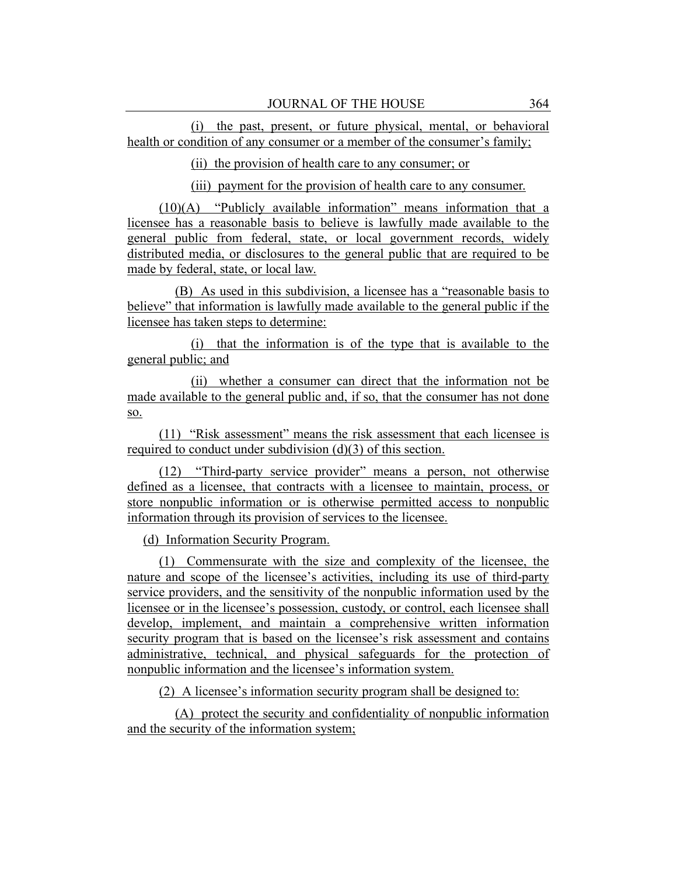(i) the past, present, or future physical, mental, or behavioral health or condition of any consumer or a member of the consumer's family;

(ii) the provision of health care to any consumer; or

(iii) payment for the provision of health care to any consumer.

(10)(A) "Publicly available information" means information that a licensee has a reasonable basis to believe is lawfully made available to the general public from federal, state, or local government records, widely distributed media, or disclosures to the general public that are required to be made by federal, state, or local law.

(B) As used in this subdivision, a licensee has a "reasonable basis to believe" that information is lawfully made available to the general public if the licensee has taken steps to determine:

(i) that the information is of the type that is available to the general public; and

(ii) whether a consumer can direct that the information not be made available to the general public and, if so, that the consumer has not done so.

(11) "Risk assessment" means the risk assessment that each licensee is required to conduct under subdivision (d)(3) of this section.

(12) "Third-party service provider" means a person, not otherwise defined as a licensee, that contracts with a licensee to maintain, process, or store nonpublic information or is otherwise permitted access to nonpublic information through its provision of services to the licensee.

(d) Information Security Program.

(1) Commensurate with the size and complexity of the licensee, the nature and scope of the licensee's activities, including its use of third-party service providers, and the sensitivity of the nonpublic information used by the licensee or in the licensee's possession, custody, or control, each licensee shall develop, implement, and maintain a comprehensive written information security program that is based on the licensee's risk assessment and contains administrative, technical, and physical safeguards for the protection of nonpublic information and the licensee's information system.

(2) A licensee's information security program shall be designed to:

(A) protect the security and confidentiality of nonpublic information and the security of the information system;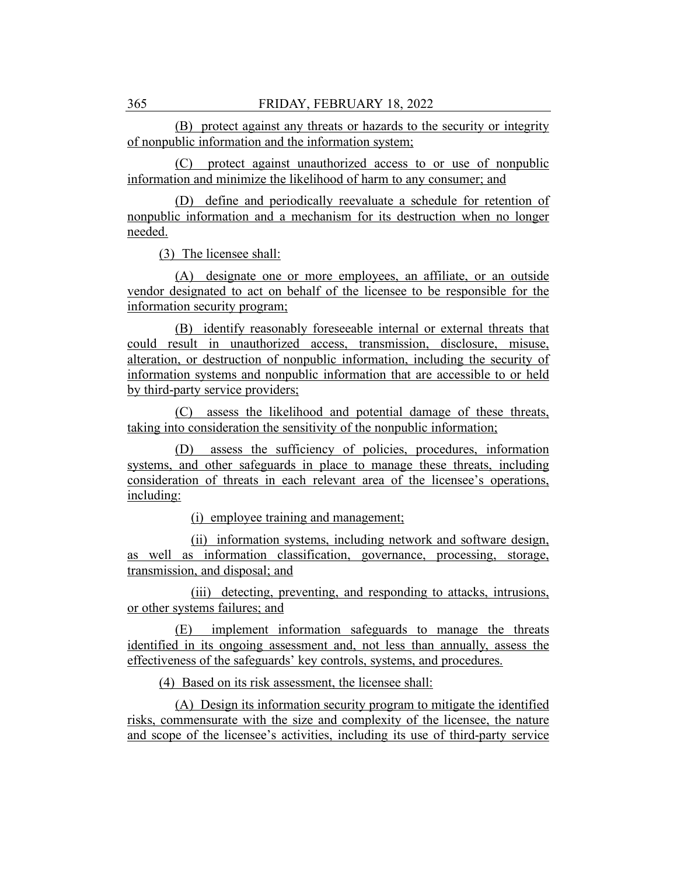(B) protect against any threats or hazards to the security or integrity of nonpublic information and the information system;

(C) protect against unauthorized access to or use of nonpublic information and minimize the likelihood of harm to any consumer; and

(D) define and periodically reevaluate a schedule for retention of nonpublic information and a mechanism for its destruction when no longer needed.

(3) The licensee shall:

(A) designate one or more employees, an affiliate, or an outside vendor designated to act on behalf of the licensee to be responsible for the information security program;

(B) identify reasonably foreseeable internal or external threats that could result in unauthorized access, transmission, disclosure, misuse, alteration, or destruction of nonpublic information, including the security of information systems and nonpublic information that are accessible to or held by third-party service providers;

(C) assess the likelihood and potential damage of these threats, taking into consideration the sensitivity of the nonpublic information;

(D) assess the sufficiency of policies, procedures, information systems, and other safeguards in place to manage these threats, including consideration of threats in each relevant area of the licensee's operations, including:

(i) employee training and management;

(ii) information systems, including network and software design, as well as information classification, governance, processing, storage, transmission, and disposal; and

(iii) detecting, preventing, and responding to attacks, intrusions, or other systems failures; and

(E) implement information safeguards to manage the threats identified in its ongoing assessment and, not less than annually, assess the effectiveness of the safeguards' key controls, systems, and procedures.

(4) Based on its risk assessment, the licensee shall:

(A) Design its information security program to mitigate the identified risks, commensurate with the size and complexity of the licensee, the nature and scope of the licensee's activities, including its use of third-party service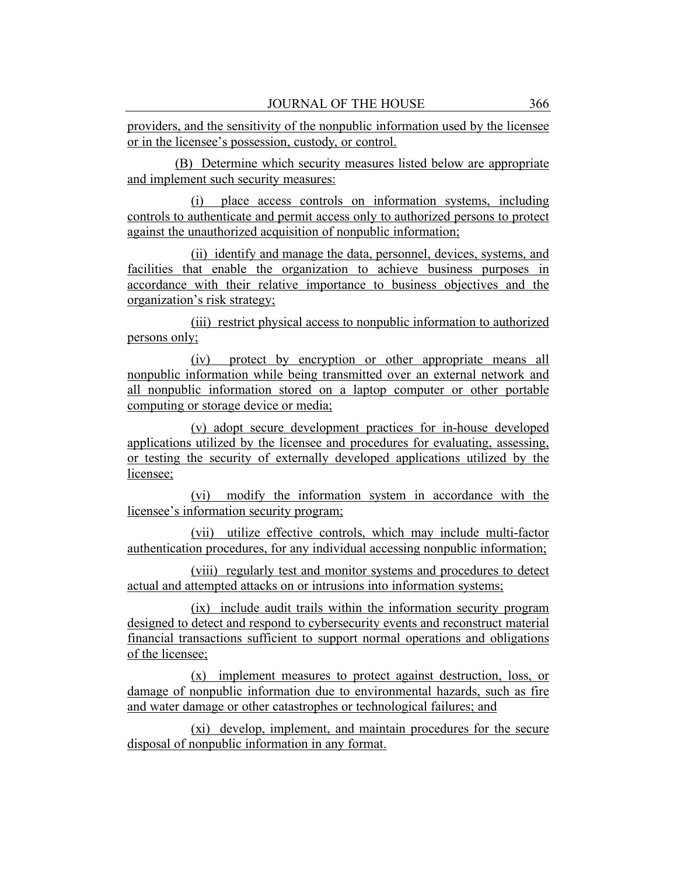providers, and the sensitivity of the nonpublic information used by the licensee or in the licensee's possession, custody, or control.

(B) Determine which security measures listed below are appropriate and implement such security measures:

(i) place access controls on information systems, including controls to authenticate and permit access only to authorized persons to protect against the unauthorized acquisition of nonpublic information;

(ii) identify and manage the data, personnel, devices, systems, and facilities that enable the organization to achieve business purposes in accordance with their relative importance to business objectives and the organization's risk strategy;

(iii) restrict physical access to nonpublic information to authorized persons only;

(iv) protect by encryption or other appropriate means all nonpublic information while being transmitted over an external network and all nonpublic information stored on a laptop computer or other portable computing or storage device or media;

(v) adopt secure development practices for in-house developed applications utilized by the licensee and procedures for evaluating, assessing, or testing the security of externally developed applications utilized by the licensee;

(vi) modify the information system in accordance with the licensee's information security program;

(vii) utilize effective controls, which may include multi-factor authentication procedures, for any individual accessing nonpublic information;

(viii) regularly test and monitor systems and procedures to detect actual and attempted attacks on or intrusions into information systems;

(ix) include audit trails within the information security program designed to detect and respond to cybersecurity events and reconstruct material financial transactions sufficient to support normal operations and obligations of the licensee;

(x) implement measures to protect against destruction, loss, or damage of nonpublic information due to environmental hazards, such as fire and water damage or other catastrophes or technological failures; and

(xi) develop, implement, and maintain procedures for the secure disposal of nonpublic information in any format.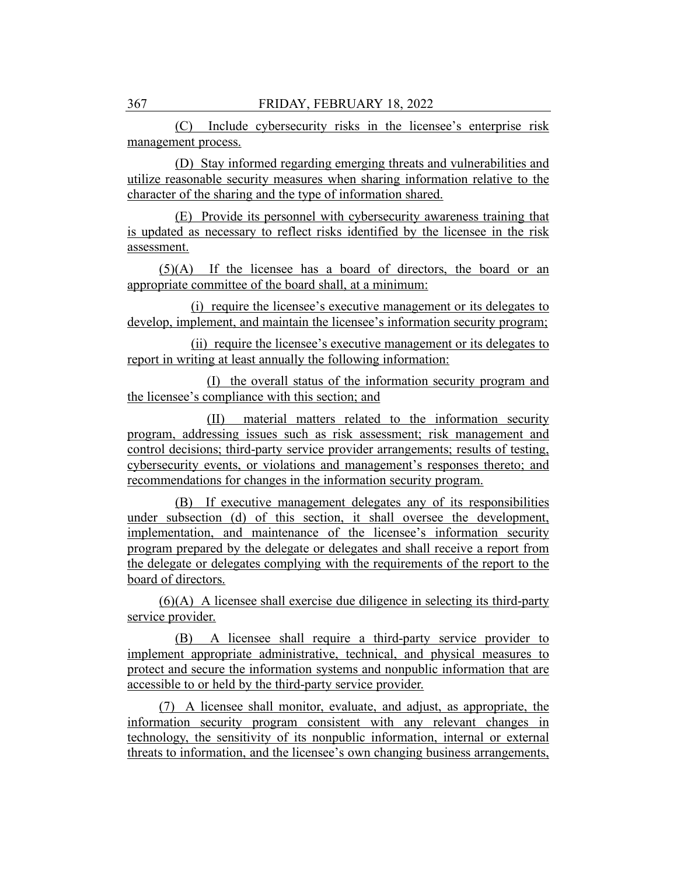(C) Include cybersecurity risks in the licensee's enterprise risk management process.

(D) Stay informed regarding emerging threats and vulnerabilities and utilize reasonable security measures when sharing information relative to the character of the sharing and the type of information shared.

(E) Provide its personnel with cybersecurity awareness training that is updated as necessary to reflect risks identified by the licensee in the risk assessment.

(5)(A) If the licensee has a board of directors, the board or an appropriate committee of the board shall, at a minimum:

(i) require the licensee's executive management or its delegates to develop, implement, and maintain the licensee's information security program;

(ii) require the licensee's executive management or its delegates to report in writing at least annually the following information:

(I) the overall status of the information security program and the licensee's compliance with this section; and

(II) material matters related to the information security program, addressing issues such as risk assessment; risk management and control decisions; third-party service provider arrangements; results of testing, cybersecurity events, or violations and management's responses thereto; and recommendations for changes in the information security program.

(B) If executive management delegates any of its responsibilities under subsection (d) of this section, it shall oversee the development, implementation, and maintenance of the licensee's information security program prepared by the delegate or delegates and shall receive a report from the delegate or delegates complying with the requirements of the report to the board of directors.

(6)(A) A licensee shall exercise due diligence in selecting its third-party service provider.

(B) A licensee shall require a third-party service provider to implement appropriate administrative, technical, and physical measures to protect and secure the information systems and nonpublic information that are accessible to or held by the third-party service provider.

(7) A licensee shall monitor, evaluate, and adjust, as appropriate, the information security program consistent with any relevant changes in technology, the sensitivity of its nonpublic information, internal or external threats to information, and the licensee's own changing business arrangements,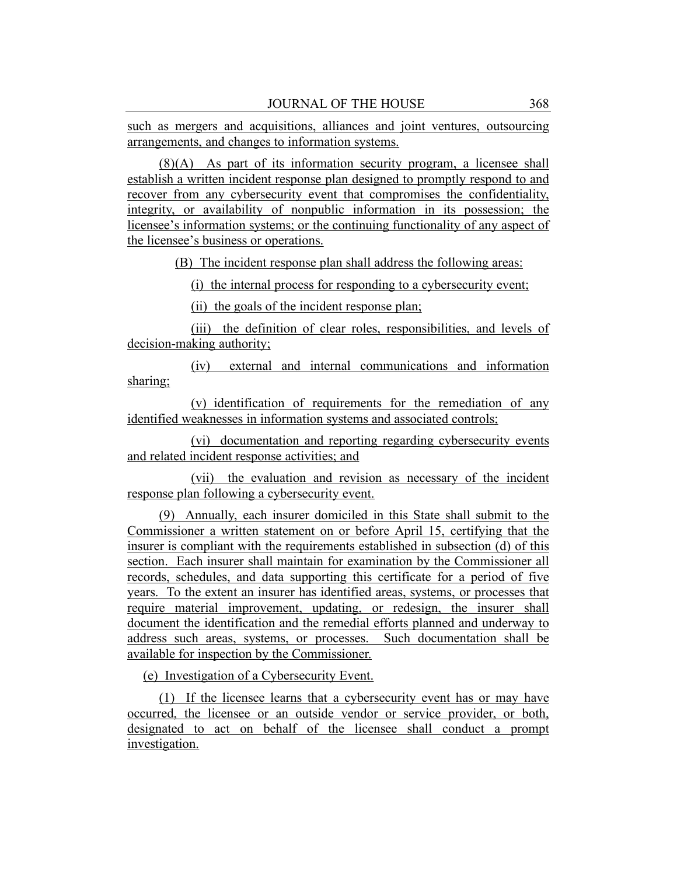such as mergers and acquisitions, alliances and joint ventures, outsourcing arrangements, and changes to information systems.

(8)(A) As part of its information security program, a licensee shall establish a written incident response plan designed to promptly respond to and recover from any cybersecurity event that compromises the confidentiality, integrity, or availability of nonpublic information in its possession; the licensee's information systems; or the continuing functionality of any aspect of the licensee's business or operations.

(B) The incident response plan shall address the following areas:

(i) the internal process for responding to a cybersecurity event;

(ii) the goals of the incident response plan;

(iii) the definition of clear roles, responsibilities, and levels of decision-making authority;

(iv) external and internal communications and information sharing;

(v) identification of requirements for the remediation of any identified weaknesses in information systems and associated controls;

(vi) documentation and reporting regarding cybersecurity events and related incident response activities; and

(vii) the evaluation and revision as necessary of the incident response plan following a cybersecurity event.

(9) Annually, each insurer domiciled in this State shall submit to the Commissioner a written statement on or before April 15, certifying that the insurer is compliant with the requirements established in subsection (d) of this section. Each insurer shall maintain for examination by the Commissioner all records, schedules, and data supporting this certificate for a period of five years. To the extent an insurer has identified areas, systems, or processes that require material improvement, updating, or redesign, the insurer shall document the identification and the remedial efforts planned and underway to address such areas, systems, or processes. Such documentation shall be available for inspection by the Commissioner.

(e) Investigation of a Cybersecurity Event.

(1) If the licensee learns that a cybersecurity event has or may have occurred, the licensee or an outside vendor or service provider, or both, designated to act on behalf of the licensee shall conduct a prompt investigation.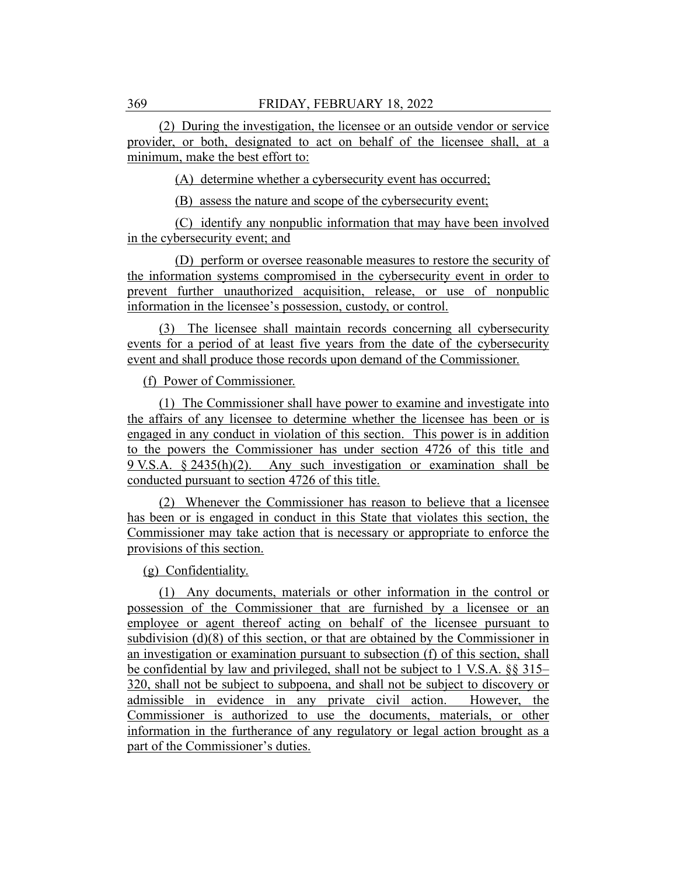(2) During the investigation, the licensee or an outside vendor or service provider, or both, designated to act on behalf of the licensee shall, at a minimum, make the best effort to:

(A) determine whether a cybersecurity event has occurred;

(B) assess the nature and scope of the cybersecurity event;

(C) identify any nonpublic information that may have been involved in the cybersecurity event; and

(D) perform or oversee reasonable measures to restore the security of the information systems compromised in the cybersecurity event in order to prevent further unauthorized acquisition, release, or use of nonpublic information in the licensee's possession, custody, or control.

(3) The licensee shall maintain records concerning all cybersecurity events for a period of at least five years from the date of the cybersecurity event and shall produce those records upon demand of the Commissioner.

#### (f) Power of Commissioner.

(1) The Commissioner shall have power to examine and investigate into the affairs of any licensee to determine whether the licensee has been or is engaged in any conduct in violation of this section. This power is in addition to the powers the Commissioner has under section 4726 of this title and 9 V.S.A. § 2435(h)(2). Any such investigation or examination shall be conducted pursuant to section 4726 of this title.

(2) Whenever the Commissioner has reason to believe that a licensee has been or is engaged in conduct in this State that violates this section, the Commissioner may take action that is necessary or appropriate to enforce the provisions of this section.

(g) Confidentiality.

(1) Any documents, materials or other information in the control or possession of the Commissioner that are furnished by a licensee or an employee or agent thereof acting on behalf of the licensee pursuant to subdivision (d)(8) of this section, or that are obtained by the Commissioner in an investigation or examination pursuant to subsection (f) of this section, shall be confidential by law and privileged, shall not be subject to 1 V.S.A. §§ 315– 320, shall not be subject to subpoena, and shall not be subject to discovery or admissible in evidence in any private civil action. However, the Commissioner is authorized to use the documents, materials, or other information in the furtherance of any regulatory or legal action brought as a part of the Commissioner's duties.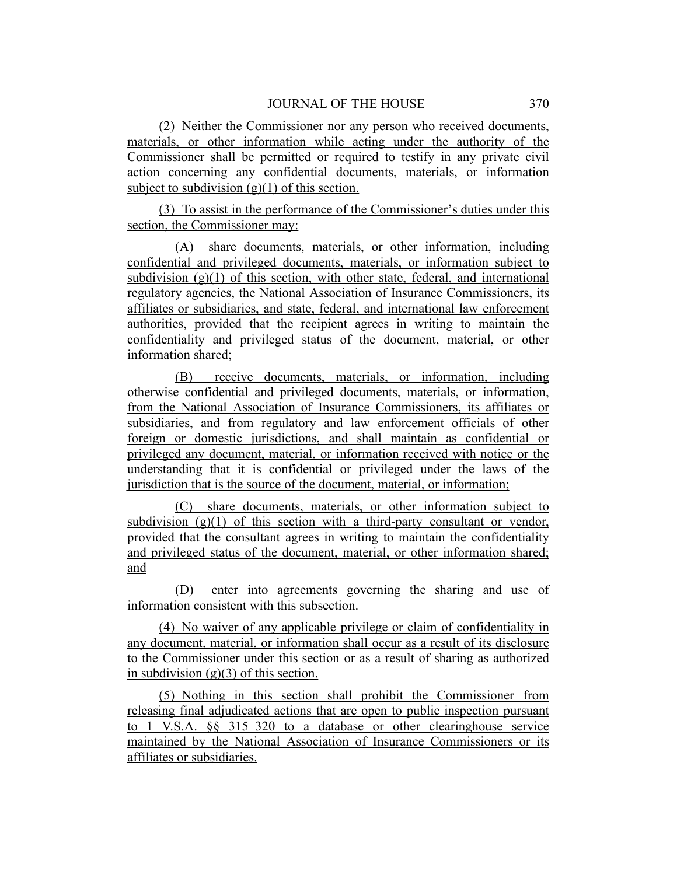(2) Neither the Commissioner nor any person who received documents, materials, or other information while acting under the authority of the Commissioner shall be permitted or required to testify in any private civil action concerning any confidential documents, materials, or information subject to subdivision  $(g)(1)$  of this section.

(3) To assist in the performance of the Commissioner's duties under this section, the Commissioner may:

(A) share documents, materials, or other information, including confidential and privileged documents, materials, or information subject to subdivision  $(g)(1)$  of this section, with other state, federal, and international regulatory agencies, the National Association of Insurance Commissioners, its affiliates or subsidiaries, and state, federal, and international law enforcement authorities, provided that the recipient agrees in writing to maintain the confidentiality and privileged status of the document, material, or other information shared;

(B) receive documents, materials, or information, including otherwise confidential and privileged documents, materials, or information, from the National Association of Insurance Commissioners, its affiliates or subsidiaries, and from regulatory and law enforcement officials of other foreign or domestic jurisdictions, and shall maintain as confidential or privileged any document, material, or information received with notice or the understanding that it is confidential or privileged under the laws of the jurisdiction that is the source of the document, material, or information;

(C) share documents, materials, or other information subject to subdivision  $(g)(1)$  of this section with a third-party consultant or vendor, provided that the consultant agrees in writing to maintain the confidentiality and privileged status of the document, material, or other information shared; and

(D) enter into agreements governing the sharing and use of information consistent with this subsection.

(4) No waiver of any applicable privilege or claim of confidentiality in any document, material, or information shall occur as a result of its disclosure to the Commissioner under this section or as a result of sharing as authorized in subdivision  $(g)(3)$  of this section.

(5) Nothing in this section shall prohibit the Commissioner from releasing final adjudicated actions that are open to public inspection pursuant to 1 V.S.A. §§ 315–320 to a database or other clearinghouse service maintained by the National Association of Insurance Commissioners or its affiliates or subsidiaries.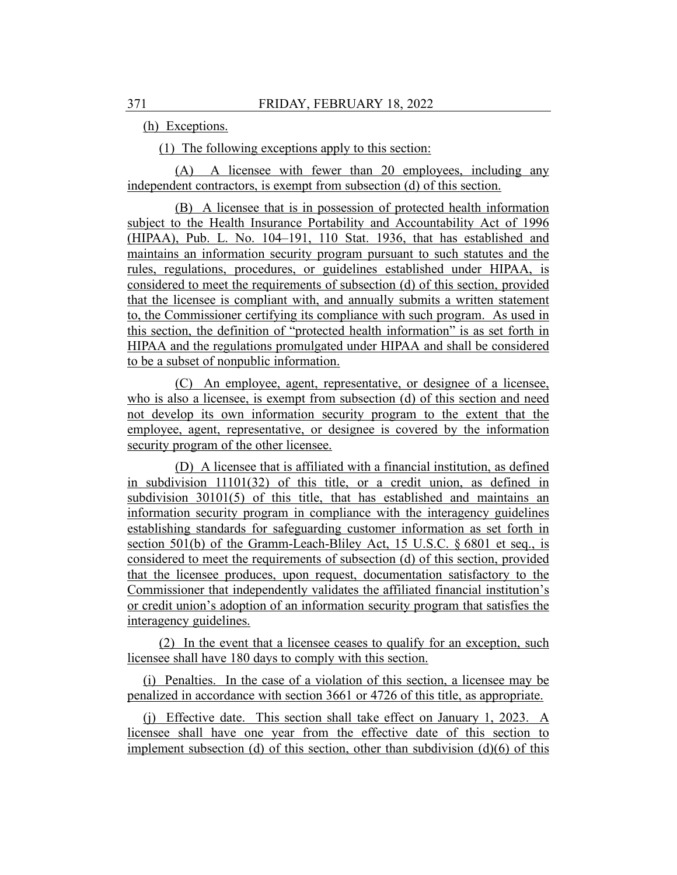(h) Exceptions.

(1) The following exceptions apply to this section:

(A) A licensee with fewer than 20 employees, including any independent contractors, is exempt from subsection (d) of this section.

(B) A licensee that is in possession of protected health information subject to the Health Insurance Portability and Accountability Act of 1996 (HIPAA), Pub. L. No. 104–191, 110 Stat. 1936, that has established and maintains an information security program pursuant to such statutes and the rules, regulations, procedures, or guidelines established under HIPAA, is considered to meet the requirements of subsection (d) of this section, provided that the licensee is compliant with, and annually submits a written statement to, the Commissioner certifying its compliance with such program. As used in this section, the definition of "protected health information" is as set forth in HIPAA and the regulations promulgated under HIPAA and shall be considered to be a subset of nonpublic information.

(C) An employee, agent, representative, or designee of a licensee, who is also a licensee, is exempt from subsection (d) of this section and need not develop its own information security program to the extent that the employee, agent, representative, or designee is covered by the information security program of the other licensee.

(D) A licensee that is affiliated with a financial institution, as defined in subdivision 11101(32) of this title, or a credit union, as defined in subdivision  $30101(5)$  of this title, that has established and maintains an information security program in compliance with the interagency guidelines establishing standards for safeguarding customer information as set forth in section 501(b) of the Gramm-Leach-Bliley Act, 15 U.S.C. § 6801 et seq., is considered to meet the requirements of subsection (d) of this section, provided that the licensee produces, upon request, documentation satisfactory to the Commissioner that independently validates the affiliated financial institution's or credit union's adoption of an information security program that satisfies the interagency guidelines.

(2) In the event that a licensee ceases to qualify for an exception, such licensee shall have 180 days to comply with this section.

(i) Penalties. In the case of a violation of this section, a licensee may be penalized in accordance with section 3661 or 4726 of this title, as appropriate.

(j) Effective date. This section shall take effect on January 1, 2023. A licensee shall have one year from the effective date of this section to implement subsection (d) of this section, other than subdivision  $(d)(6)$  of this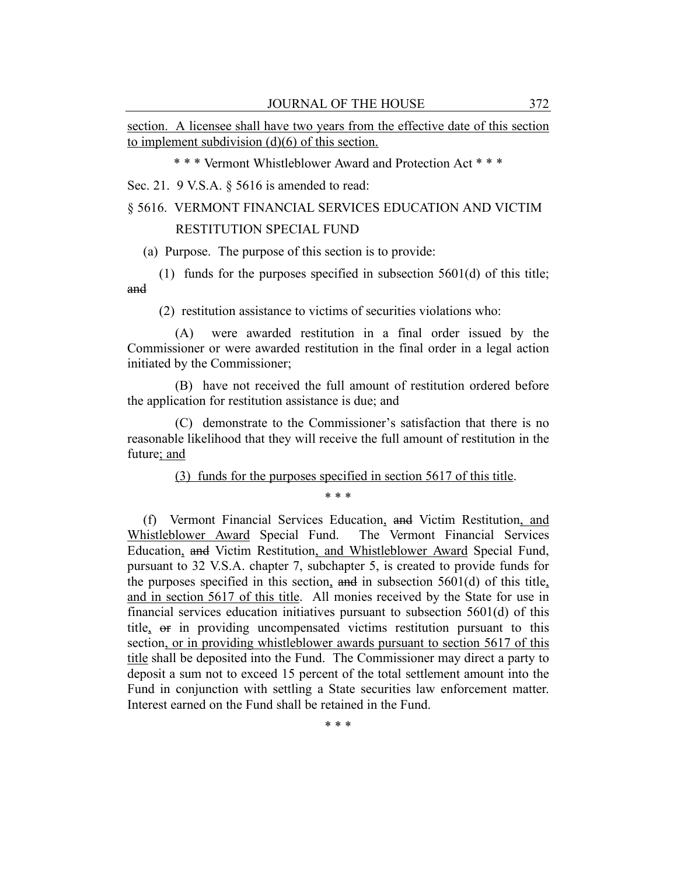section. A licensee shall have two years from the effective date of this section to implement subdivision (d)(6) of this section.

\* \* \* Vermont Whistleblower Award and Protection Act \* \* \*

Sec. 21. 9 V.S.A. § 5616 is amended to read:

# § 5616. VERMONT FINANCIAL SERVICES EDUCATION AND VICTIM RESTITUTION SPECIAL FUND

(a) Purpose. The purpose of this section is to provide:

(1) funds for the purposes specified in subsection 5601(d) of this title; and

(2) restitution assistance to victims of securities violations who:

(A) were awarded restitution in a final order issued by the Commissioner or were awarded restitution in the final order in a legal action initiated by the Commissioner;

(B) have not received the full amount of restitution ordered before the application for restitution assistance is due; and

(C) demonstrate to the Commissioner's satisfaction that there is no reasonable likelihood that they will receive the full amount of restitution in the future; and

(3) funds for the purposes specified in section 5617 of this title.

\* \* \*

(f) Vermont Financial Services Education, and Victim Restitution, and Whistleblower Award Special Fund. The Vermont Financial Services Education, and Victim Restitution, and Whistleblower Award Special Fund, pursuant to 32 V.S.A. chapter 7, subchapter 5, is created to provide funds for the purposes specified in this section, and in subsection  $5601(d)$  of this title, and in section 5617 of this title. All monies received by the State for use in financial services education initiatives pursuant to subsection 5601(d) of this title, or in providing uncompensated victims restitution pursuant to this section, or in providing whistleblower awards pursuant to section 5617 of this title shall be deposited into the Fund. The Commissioner may direct a party to deposit a sum not to exceed 15 percent of the total settlement amount into the Fund in conjunction with settling a State securities law enforcement matter. Interest earned on the Fund shall be retained in the Fund.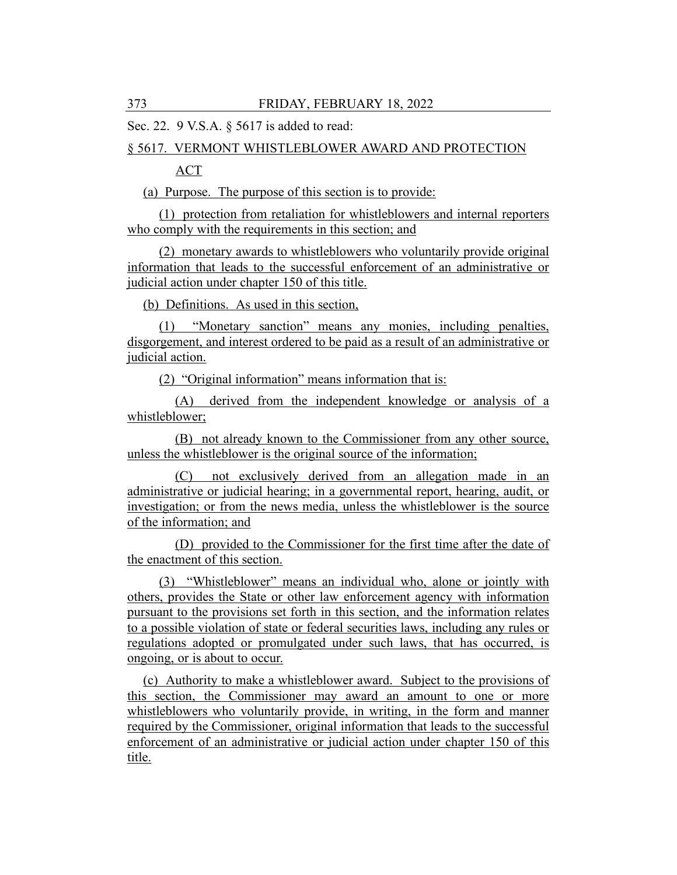Sec. 22. 9 V.S.A. § 5617 is added to read:

#### § 5617. VERMONT WHISTLEBLOWER AWARD AND PROTECTION

ACT

(a) Purpose. The purpose of this section is to provide:

(1) protection from retaliation for whistleblowers and internal reporters who comply with the requirements in this section; and

(2) monetary awards to whistleblowers who voluntarily provide original information that leads to the successful enforcement of an administrative or judicial action under chapter 150 of this title.

(b) Definitions. As used in this section,

(1) "Monetary sanction" means any monies, including penalties, disgorgement, and interest ordered to be paid as a result of an administrative or judicial action.

(2) "Original information" means information that is:

(A) derived from the independent knowledge or analysis of a whistleblower;

(B) not already known to the Commissioner from any other source, unless the whistleblower is the original source of the information;

(C) not exclusively derived from an allegation made in an administrative or judicial hearing; in a governmental report, hearing, audit, or investigation; or from the news media, unless the whistleblower is the source of the information; and

(D) provided to the Commissioner for the first time after the date of the enactment of this section.

(3) "Whistleblower" means an individual who, alone or jointly with others, provides the State or other law enforcement agency with information pursuant to the provisions set forth in this section, and the information relates to a possible violation of state or federal securities laws, including any rules or regulations adopted or promulgated under such laws, that has occurred, is ongoing, or is about to occur.

(c) Authority to make a whistleblower award. Subject to the provisions of this section, the Commissioner may award an amount to one or more whistleblowers who voluntarily provide, in writing, in the form and manner required by the Commissioner, original information that leads to the successful enforcement of an administrative or judicial action under chapter 150 of this title.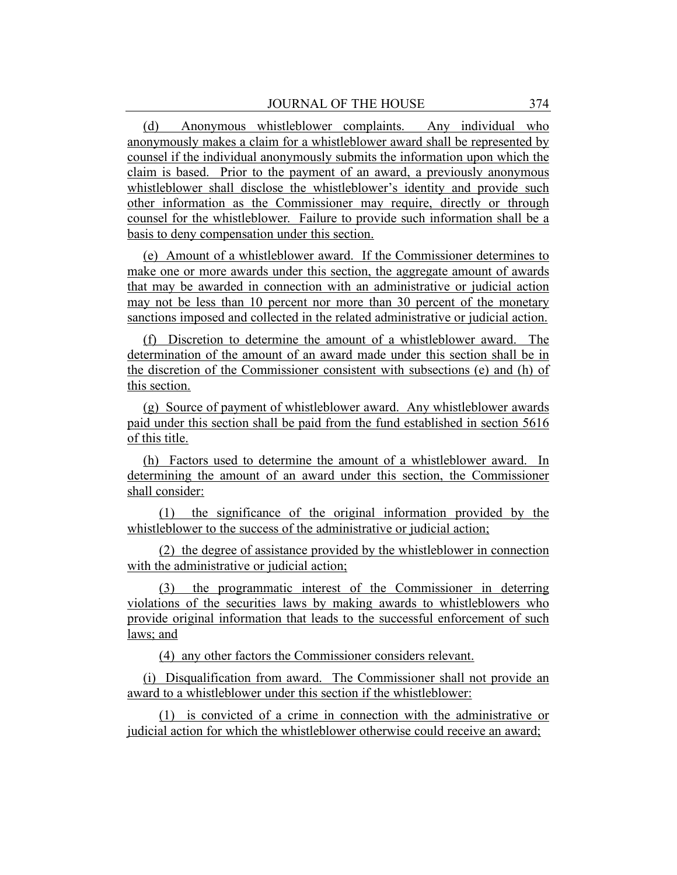(d) Anonymous whistleblower complaints. Any individual who anonymously makes a claim for a whistleblower award shall be represented by counsel if the individual anonymously submits the information upon which the claim is based. Prior to the payment of an award, a previously anonymous whistleblower shall disclose the whistleblower's identity and provide such other information as the Commissioner may require, directly or through counsel for the whistleblower. Failure to provide such information shall be a basis to deny compensation under this section.

(e) Amount of a whistleblower award. If the Commissioner determines to make one or more awards under this section, the aggregate amount of awards that may be awarded in connection with an administrative or judicial action may not be less than 10 percent nor more than 30 percent of the monetary sanctions imposed and collected in the related administrative or judicial action.

(f) Discretion to determine the amount of a whistleblower award. The determination of the amount of an award made under this section shall be in the discretion of the Commissioner consistent with subsections (e) and (h) of this section.

(g) Source of payment of whistleblower award. Any whistleblower awards paid under this section shall be paid from the fund established in section 5616 of this title.

(h) Factors used to determine the amount of a whistleblower award. In determining the amount of an award under this section, the Commissioner shall consider:

(1) the significance of the original information provided by the whistleblower to the success of the administrative or judicial action;

(2) the degree of assistance provided by the whistleblower in connection with the administrative or judicial action;

(3) the programmatic interest of the Commissioner in deterring violations of the securities laws by making awards to whistleblowers who provide original information that leads to the successful enforcement of such laws; and

(4) any other factors the Commissioner considers relevant.

(i) Disqualification from award. The Commissioner shall not provide an award to a whistleblower under this section if the whistleblower:

(1) is convicted of a crime in connection with the administrative or judicial action for which the whistleblower otherwise could receive an award;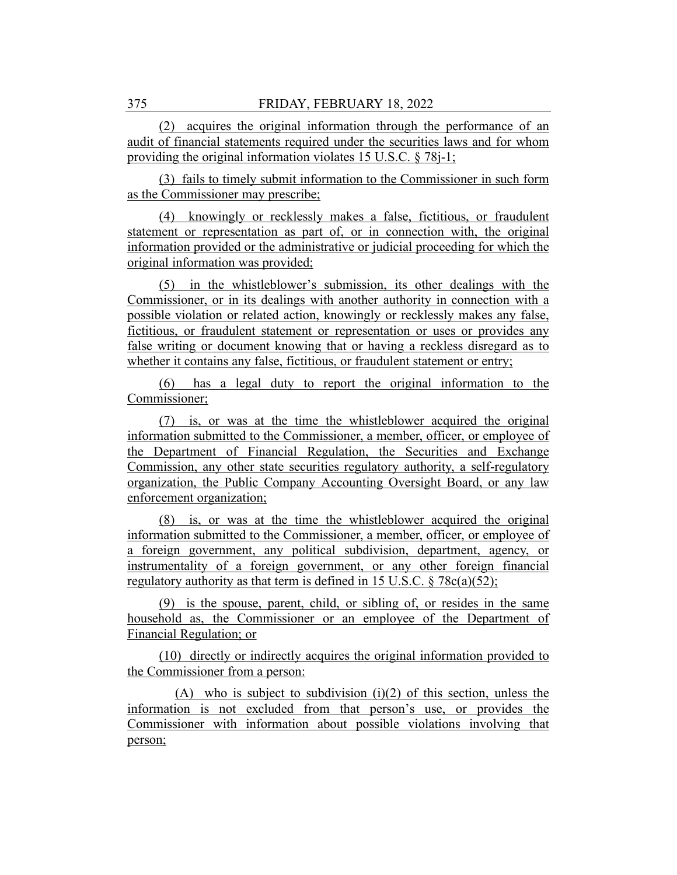(2) acquires the original information through the performance of an audit of financial statements required under the securities laws and for whom providing the original information violates 15 U.S.C. § 78*j*-1;

(3) fails to timely submit information to the Commissioner in such form as the Commissioner may prescribe;

(4) knowingly or recklessly makes a false, fictitious, or fraudulent statement or representation as part of, or in connection with, the original information provided or the administrative or judicial proceeding for which the original information was provided;

(5) in the whistleblower's submission, its other dealings with the Commissioner, or in its dealings with another authority in connection with a possible violation or related action, knowingly or recklessly makes any false, fictitious, or fraudulent statement or representation or uses or provides any false writing or document knowing that or having a reckless disregard as to whether it contains any false, fictitious, or fraudulent statement or entry;

(6) has a legal duty to report the original information to the Commissioner;

(7) is, or was at the time the whistleblower acquired the original information submitted to the Commissioner, a member, officer, or employee of the Department of Financial Regulation, the Securities and Exchange Commission, any other state securities regulatory authority, a self-regulatory organization, the Public Company Accounting Oversight Board, or any law enforcement organization;

(8) is, or was at the time the whistleblower acquired the original information submitted to the Commissioner, a member, officer, or employee of a foreign government, any political subdivision, department, agency, or instrumentality of a foreign government, or any other foreign financial regulatory authority as that term is defined in 15 U.S.C.  $\S 78c(a)(52)$ ;

(9) is the spouse, parent, child, or sibling of, or resides in the same household as, the Commissioner or an employee of the Department of Financial Regulation; or

(10) directly or indirectly acquires the original information provided to the Commissioner from a person:

 $(A)$  who is subject to subdivision  $(i)(2)$  of this section, unless the information is not excluded from that person's use, or provides the Commissioner with information about possible violations involving that person;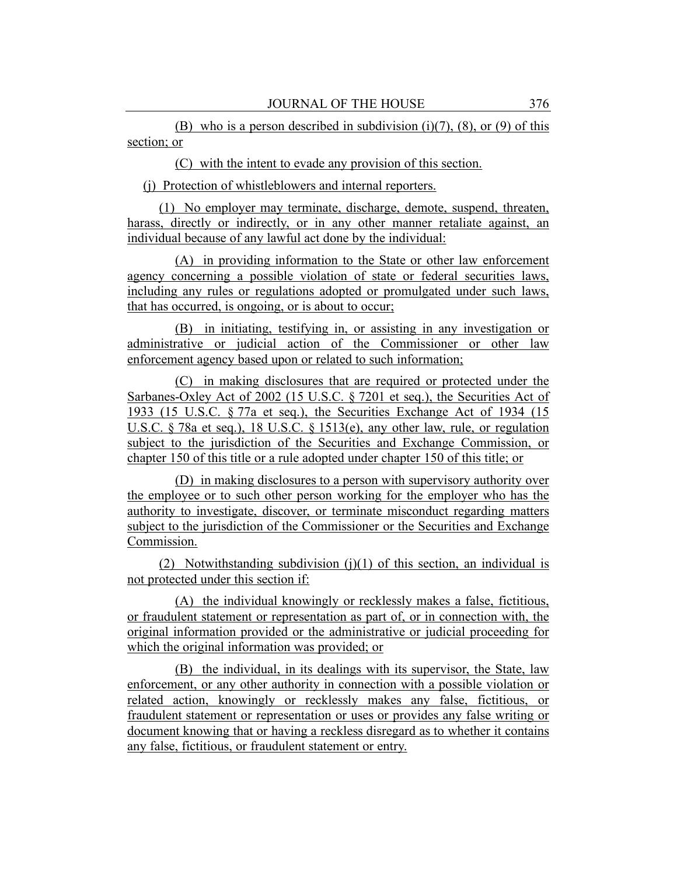(B) who is a person described in subdivision (i)(7), (8), or (9) of this section; or

(C) with the intent to evade any provision of this section.

(j) Protection of whistleblowers and internal reporters.

(1) No employer may terminate, discharge, demote, suspend, threaten, harass, directly or indirectly, or in any other manner retaliate against, an individual because of any lawful act done by the individual:

(A) in providing information to the State or other law enforcement agency concerning a possible violation of state or federal securities laws, including any rules or regulations adopted or promulgated under such laws, that has occurred, is ongoing, or is about to occur;

(B) in initiating, testifying in, or assisting in any investigation or administrative or judicial action of the Commissioner or other law enforcement agency based upon or related to such information;

(C) in making disclosures that are required or protected under the Sarbanes-Oxley Act of 2002 (15 U.S.C. § 7201 et seq.), the Securities Act of 1933 (15 U.S.C. § 77a et seq.), the Securities Exchange Act of 1934 (15 U.S.C. § 78a et seq.), 18 U.S.C. § 1513(e), any other law, rule, or regulation subject to the jurisdiction of the Securities and Exchange Commission, or chapter 150 of this title or a rule adopted under chapter 150 of this title; or

(D) in making disclosures to a person with supervisory authority over the employee or to such other person working for the employer who has the authority to investigate, discover, or terminate misconduct regarding matters subject to the jurisdiction of the Commissioner or the Securities and Exchange Commission.

(2) Notwithstanding subdivision  $(i)(1)$  of this section, an individual is not protected under this section if:

(A) the individual knowingly or recklessly makes a false, fictitious, or fraudulent statement or representation as part of, or in connection with, the original information provided or the administrative or judicial proceeding for which the original information was provided; or

(B) the individual, in its dealings with its supervisor, the State, law enforcement, or any other authority in connection with a possible violation or related action, knowingly or recklessly makes any false, fictitious, or fraudulent statement or representation or uses or provides any false writing or document knowing that or having a reckless disregard as to whether it contains any false, fictitious, or fraudulent statement or entry.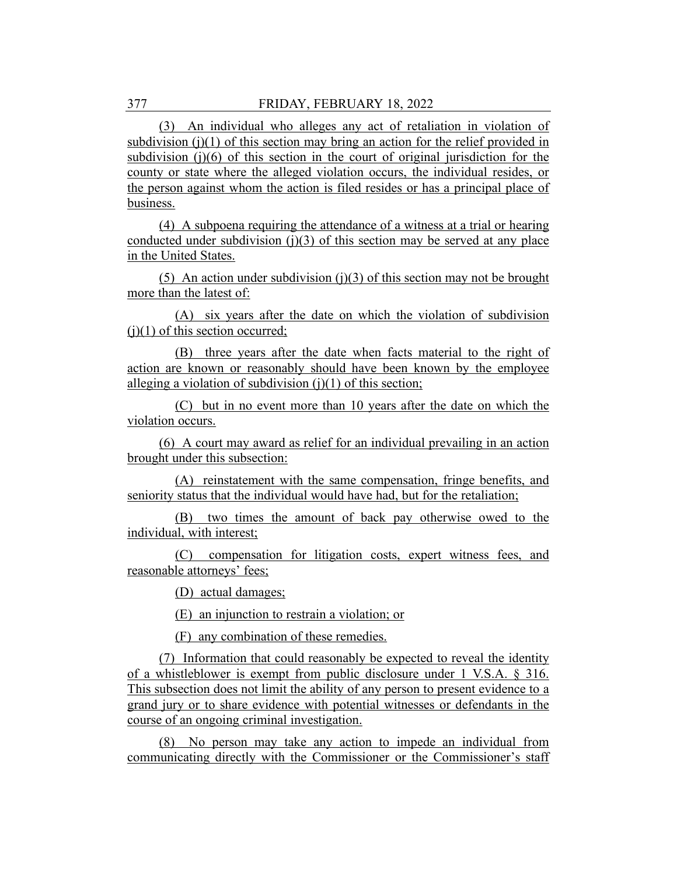(3) An individual who alleges any act of retaliation in violation of subdivision (j)(1) of this section may bring an action for the relief provided in subdivision (j)(6) of this section in the court of original jurisdiction for the county or state where the alleged violation occurs, the individual resides, or the person against whom the action is filed resides or has a principal place of business.

(4) A subpoena requiring the attendance of a witness at a trial or hearing conducted under subdivision  $(j)(3)$  of this section may be served at any place in the United States.

(5) An action under subdivision (j)(3) of this section may not be brought more than the latest of:

(A) six years after the date on which the violation of subdivision  $(i)(1)$  of this section occurred;

(B) three years after the date when facts material to the right of action are known or reasonably should have been known by the employee alleging a violation of subdivision  $(i)(1)$  of this section;

(C) but in no event more than 10 years after the date on which the violation occurs.

(6) A court may award as relief for an individual prevailing in an action brought under this subsection:

(A) reinstatement with the same compensation, fringe benefits, and seniority status that the individual would have had, but for the retaliation;

(B) two times the amount of back pay otherwise owed to the individual, with interest;

(C) compensation for litigation costs, expert witness fees, and reasonable attorneys' fees;

(D) actual damages;

(E) an injunction to restrain a violation; or

(F) any combination of these remedies.

(7) Information that could reasonably be expected to reveal the identity of a whistleblower is exempt from public disclosure under 1 V.S.A. § 316. This subsection does not limit the ability of any person to present evidence to a grand jury or to share evidence with potential witnesses or defendants in the course of an ongoing criminal investigation.

(8) No person may take any action to impede an individual from communicating directly with the Commissioner or the Commissioner's staff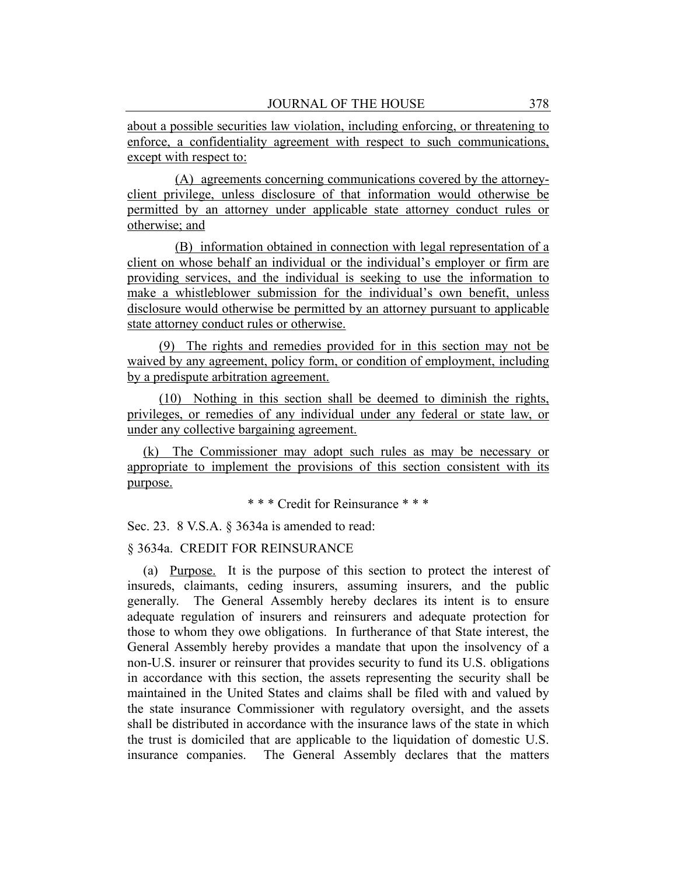about a possible securities law violation, including enforcing, or threatening to enforce, a confidentiality agreement with respect to such communications, except with respect to:

(A) agreements concerning communications covered by the attorneyclient privilege, unless disclosure of that information would otherwise be permitted by an attorney under applicable state attorney conduct rules or otherwise; and

(B) information obtained in connection with legal representation of a client on whose behalf an individual or the individual's employer or firm are providing services, and the individual is seeking to use the information to make a whistleblower submission for the individual's own benefit, unless disclosure would otherwise be permitted by an attorney pursuant to applicable state attorney conduct rules or otherwise.

(9) The rights and remedies provided for in this section may not be waived by any agreement, policy form, or condition of employment, including by a predispute arbitration agreement.

(10) Nothing in this section shall be deemed to diminish the rights, privileges, or remedies of any individual under any federal or state law, or under any collective bargaining agreement.

(k) The Commissioner may adopt such rules as may be necessary or appropriate to implement the provisions of this section consistent with its purpose.

\* \* \* Credit for Reinsurance \* \* \*

Sec. 23. 8 V.S.A. § 3634a is amended to read:

## § 3634a. CREDIT FOR REINSURANCE

(a) Purpose. It is the purpose of this section to protect the interest of insureds, claimants, ceding insurers, assuming insurers, and the public generally. The General Assembly hereby declares its intent is to ensure adequate regulation of insurers and reinsurers and adequate protection for those to whom they owe obligations. In furtherance of that State interest, the General Assembly hereby provides a mandate that upon the insolvency of a non-U.S. insurer or reinsurer that provides security to fund its U.S. obligations in accordance with this section, the assets representing the security shall be maintained in the United States and claims shall be filed with and valued by the state insurance Commissioner with regulatory oversight, and the assets shall be distributed in accordance with the insurance laws of the state in which the trust is domiciled that are applicable to the liquidation of domestic U.S. insurance companies. The General Assembly declares that the matters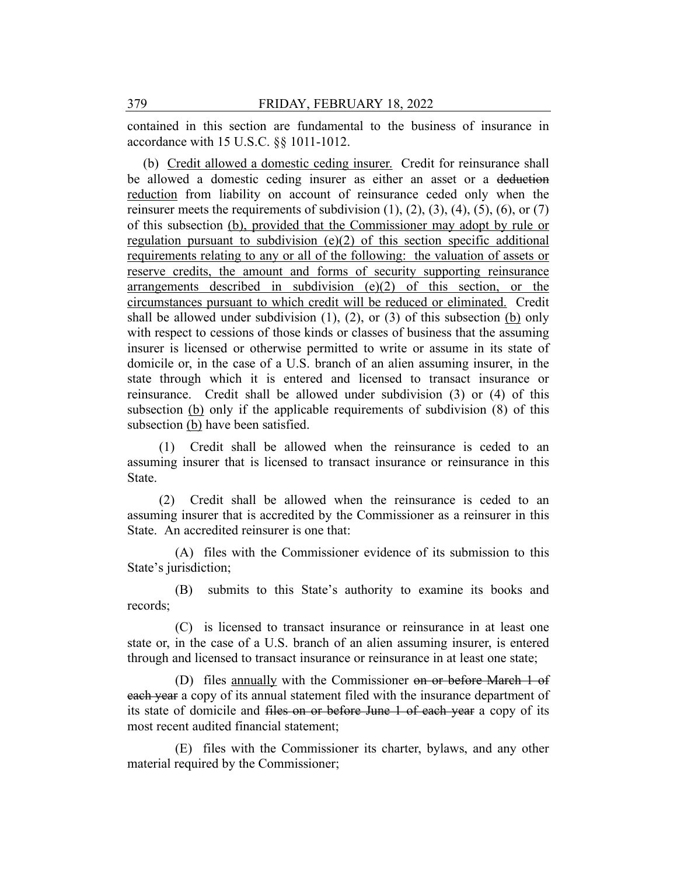contained in this section are fundamental to the business of insurance in accordance with 15 U.S.C. §§ 1011-1012.

(b) Credit allowed a domestic ceding insurer. Credit for reinsurance shall be allowed a domestic ceding insurer as either an asset or a deduction reduction from liability on account of reinsurance ceded only when the reinsurer meets the requirements of subdivision  $(1)$ ,  $(2)$ ,  $(3)$ ,  $(4)$ ,  $(5)$ ,  $(6)$ , or  $(7)$ of this subsection (b), provided that the Commissioner may adopt by rule or regulation pursuant to subdivision (e)(2) of this section specific additional requirements relating to any or all of the following: the valuation of assets or reserve credits, the amount and forms of security supporting reinsurance arrangements described in subdivision (e)(2) of this section, or the circumstances pursuant to which credit will be reduced or eliminated. Credit shall be allowed under subdivision  $(1)$ ,  $(2)$ , or  $(3)$  of this subsection  $(b)$  only with respect to cessions of those kinds or classes of business that the assuming insurer is licensed or otherwise permitted to write or assume in its state of domicile or, in the case of a U.S. branch of an alien assuming insurer, in the state through which it is entered and licensed to transact insurance or reinsurance. Credit shall be allowed under subdivision (3) or (4) of this subsection (b) only if the applicable requirements of subdivision (8) of this subsection (b) have been satisfied.

(1) Credit shall be allowed when the reinsurance is ceded to an assuming insurer that is licensed to transact insurance or reinsurance in this State.

(2) Credit shall be allowed when the reinsurance is ceded to an assuming insurer that is accredited by the Commissioner as a reinsurer in this State. An accredited reinsurer is one that:

(A) files with the Commissioner evidence of its submission to this State's jurisdiction;

(B) submits to this State's authority to examine its books and records;

(C) is licensed to transact insurance or reinsurance in at least one state or, in the case of a U.S. branch of an alien assuming insurer, is entered through and licensed to transact insurance or reinsurance in at least one state;

(D) files annually with the Commissioner on or before March 1 of each year a copy of its annual statement filed with the insurance department of its state of domicile and files on or before June 1 of each year a copy of its most recent audited financial statement;

(E) files with the Commissioner its charter, bylaws, and any other material required by the Commissioner;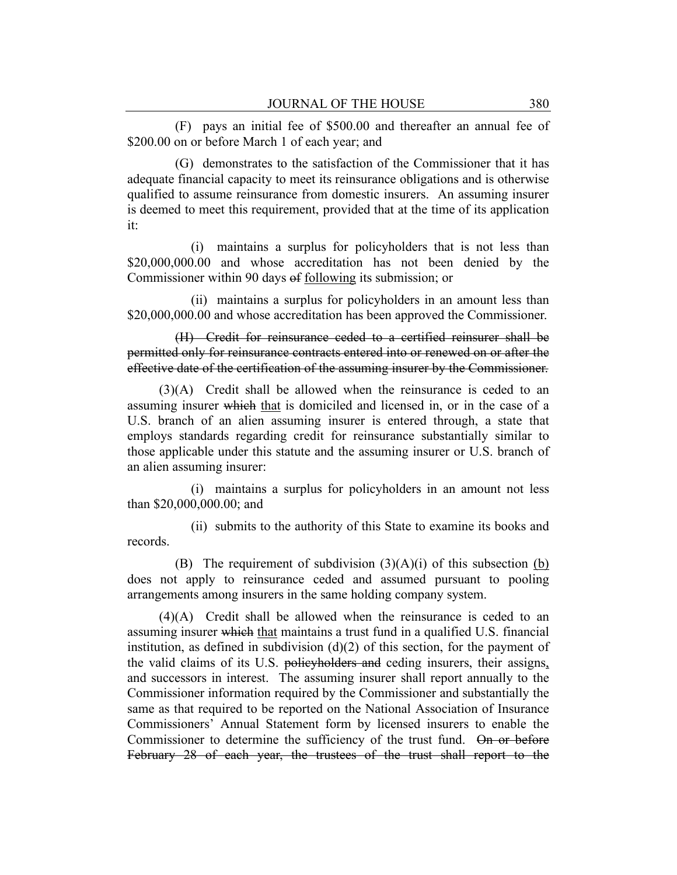(F) pays an initial fee of \$500.00 and thereafter an annual fee of \$200.00 on or before March 1 of each year; and

(G) demonstrates to the satisfaction of the Commissioner that it has adequate financial capacity to meet its reinsurance obligations and is otherwise qualified to assume reinsurance from domestic insurers. An assuming insurer is deemed to meet this requirement, provided that at the time of its application it:

(i) maintains a surplus for policyholders that is not less than \$20,000,000,000 and whose accreditation has not been denied by the Commissioner within 90 days of following its submission; or

(ii) maintains a surplus for policyholders in an amount less than \$20,000,000.00 and whose accreditation has been approved the Commissioner.

(H) Credit for reinsurance ceded to a certified reinsurer shall be permitted only for reinsurance contracts entered into or renewed on or after the effective date of the certification of the assuming insurer by the Commissioner.

(3)(A) Credit shall be allowed when the reinsurance is ceded to an assuming insurer which that is domiciled and licensed in, or in the case of a U.S. branch of an alien assuming insurer is entered through, a state that employs standards regarding credit for reinsurance substantially similar to those applicable under this statute and the assuming insurer or U.S. branch of an alien assuming insurer:

(i) maintains a surplus for policyholders in an amount not less than \$20,000,000.00; and

(ii) submits to the authority of this State to examine its books and records.

(B) The requirement of subdivision  $(3)(A)(i)$  of this subsection (b) does not apply to reinsurance ceded and assumed pursuant to pooling arrangements among insurers in the same holding company system.

(4)(A) Credit shall be allowed when the reinsurance is ceded to an assuming insurer which that maintains a trust fund in a qualified U.S. financial institution, as defined in subdivision  $(d)(2)$  of this section, for the payment of the valid claims of its U.S. policyholders and ceding insurers, their assigns, and successors in interest. The assuming insurer shall report annually to the Commissioner information required by the Commissioner and substantially the same as that required to be reported on the National Association of Insurance Commissioners' Annual Statement form by licensed insurers to enable the Commissioner to determine the sufficiency of the trust fund. On or before February 28 of each year, the trustees of the trust shall report to the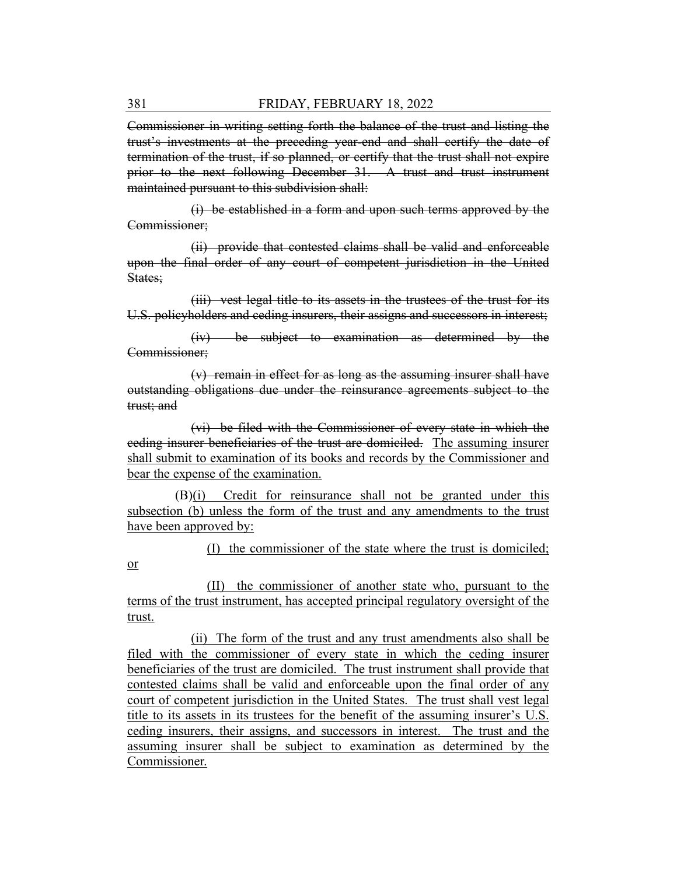Commissioner in writing setting forth the balance of the trust and listing the trust's investments at the preceding year-end and shall certify the date of termination of the trust, if so planned, or certify that the trust shall not expire prior to the next following December 31. A trust and trust instrument maintained pursuant to this subdivision shall:

(i) be established in a form and upon such terms approved by the Commissioner;

(ii) provide that contested claims shall be valid and enforceable upon the final order of any court of competent jurisdiction in the United States;

(iii) vest legal title to its assets in the trustees of the trust for its U.S. policyholders and ceding insurers, their assigns and successors in interest;

(iv) be subject to examination as determined by the Commissioner;

(v) remain in effect for as long as the assuming insurer shall have outstanding obligations due under the reinsurance agreements subject to the trust; and

(vi) be filed with the Commissioner of every state in which the ceding insurer beneficiaries of the trust are domiciled. The assuming insurer shall submit to examination of its books and records by the Commissioner and bear the expense of the examination.

(B)(i) Credit for reinsurance shall not be granted under this subsection (b) unless the form of the trust and any amendments to the trust have been approved by:

(I) the commissioner of the state where the trust is domiciled;

(II) the commissioner of another state who, pursuant to the terms of the trust instrument, has accepted principal regulatory oversight of the trust.

(ii) The form of the trust and any trust amendments also shall be filed with the commissioner of every state in which the ceding insurer beneficiaries of the trust are domiciled. The trust instrument shall provide that contested claims shall be valid and enforceable upon the final order of any court of competent jurisdiction in the United States. The trust shall vest legal title to its assets in its trustees for the benefit of the assuming insurer's U.S. ceding insurers, their assigns, and successors in interest. The trust and the assuming insurer shall be subject to examination as determined by the Commissioner.

or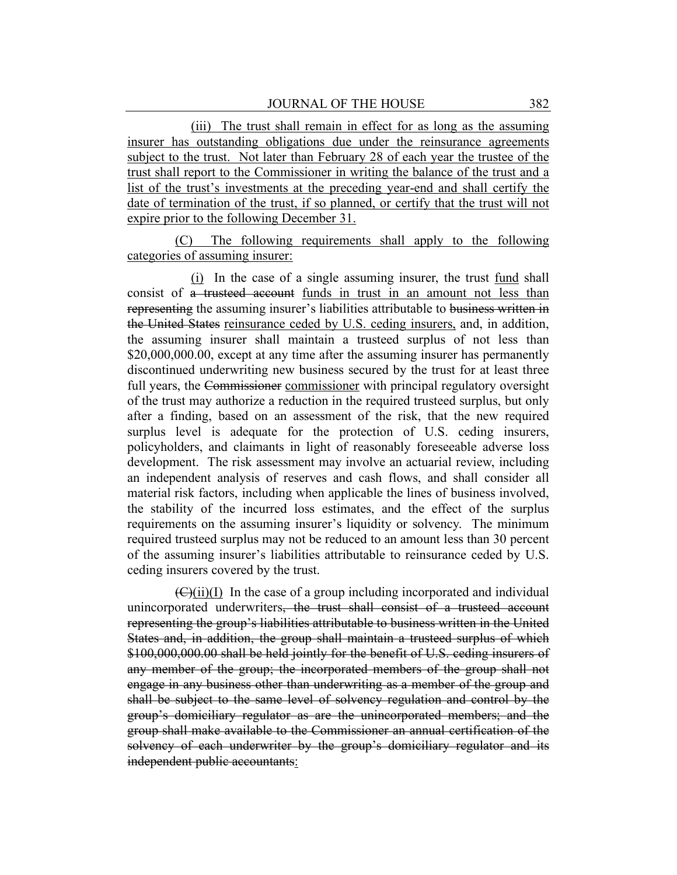(iii) The trust shall remain in effect for as long as the assuming insurer has outstanding obligations due under the reinsurance agreements subject to the trust. Not later than February 28 of each year the trustee of the trust shall report to the Commissioner in writing the balance of the trust and a list of the trust's investments at the preceding year-end and shall certify the date of termination of the trust, if so planned, or certify that the trust will not expire prior to the following December 31.

(C) The following requirements shall apply to the following categories of assuming insurer:

(i) In the case of a single assuming insurer, the trust fund shall consist of a trusteed account funds in trust in an amount not less than representing the assuming insurer's liabilities attributable to business written in the United States reinsurance ceded by U.S. ceding insurers, and, in addition, the assuming insurer shall maintain a trusteed surplus of not less than \$20,000,000.00, except at any time after the assuming insurer has permanently discontinued underwriting new business secured by the trust for at least three full years, the Commissioner commissioner with principal regulatory oversight of the trust may authorize a reduction in the required trusteed surplus, but only after a finding, based on an assessment of the risk, that the new required surplus level is adequate for the protection of U.S. ceding insurers, policyholders, and claimants in light of reasonably foreseeable adverse loss development. The risk assessment may involve an actuarial review, including an independent analysis of reserves and cash flows, and shall consider all material risk factors, including when applicable the lines of business involved, the stability of the incurred loss estimates, and the effect of the surplus requirements on the assuming insurer's liquidity or solvency. The minimum required trusteed surplus may not be reduced to an amount less than 30 percent of the assuming insurer's liabilities attributable to reinsurance ceded by U.S. ceding insurers covered by the trust.

 $(\mathcal{C}(\mathcal{U}))$  In the case of a group including incorporated and individual unincorporated underwriters, the trust shall consist of a trusteed account representing the group's liabilities attributable to business written in the United States and, in addition, the group shall maintain a trusteed surplus of which \$100,000,000.00 shall be held jointly for the benefit of U.S. ceding insurers of any member of the group; the incorporated members of the group shall not engage in any business other than underwriting as a member of the group and shall be subject to the same level of solvency regulation and control by the group's domiciliary regulator as are the unincorporated members; and the group shall make available to the Commissioner an annual certification of the solvency of each underwriter by the group's domiciliary regulator and its independent public accountants: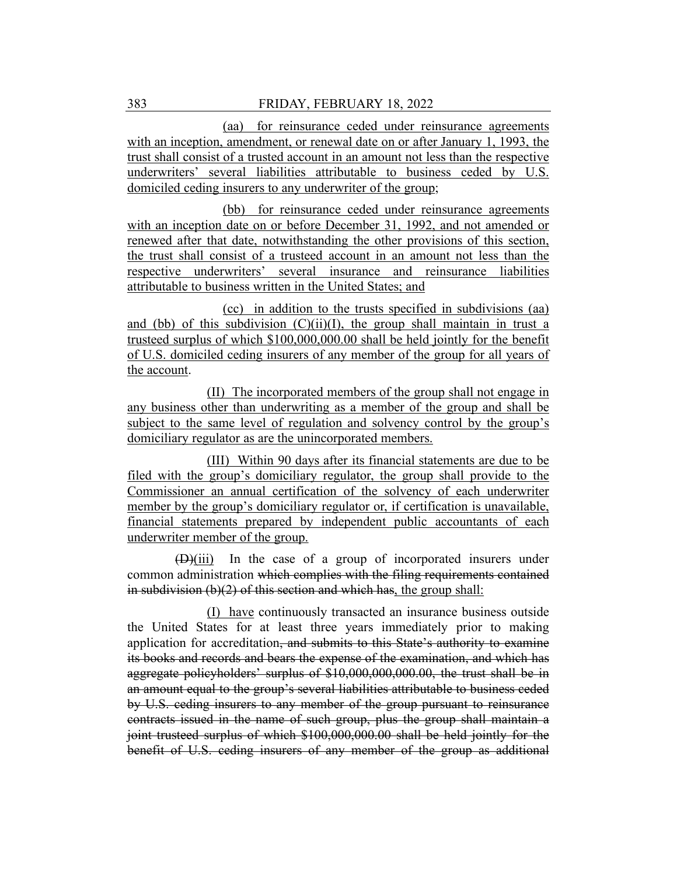## 383 FRIDAY, FEBRUARY 18, 2022

(aa) for reinsurance ceded under reinsurance agreements with an inception, amendment, or renewal date on or after January 1, 1993, the trust shall consist of a trusted account in an amount not less than the respective underwriters' several liabilities attributable to business ceded by U.S. domiciled ceding insurers to any underwriter of the group;

(bb) for reinsurance ceded under reinsurance agreements with an inception date on or before December 31, 1992, and not amended or renewed after that date, notwithstanding the other provisions of this section, the trust shall consist of a trusteed account in an amount not less than the respective underwriters' several insurance and reinsurance liabilities attributable to business written in the United States; and

(cc) in addition to the trusts specified in subdivisions (aa) and (bb) of this subdivision  $(C)(ii)(I)$ , the group shall maintain in trust a trusteed surplus of which \$100,000,000.00 shall be held jointly for the benefit of U.S. domiciled ceding insurers of any member of the group for all years of the account.

(II) The incorporated members of the group shall not engage in any business other than underwriting as a member of the group and shall be subject to the same level of regulation and solvency control by the group's domiciliary regulator as are the unincorporated members.

(III) Within 90 days after its financial statements are due to be filed with the group's domiciliary regulator, the group shall provide to the Commissioner an annual certification of the solvency of each underwriter member by the group's domiciliary regulator or, if certification is unavailable, financial statements prepared by independent public accountants of each underwriter member of the group.

(D)(iii) In the case of a group of incorporated insurers under common administration which complies with the filing requirements contained in subdivision  $(b)(2)$  of this section and which has, the group shall:

(I) have continuously transacted an insurance business outside the United States for at least three years immediately prior to making application for accreditation, and submits to this State's authority to examine its books and records and bears the expense of the examination, and which has aggregate policyholders' surplus of \$10,000,000,000.00, the trust shall be in an amount equal to the group's several liabilities attributable to business ceded by U.S. ceding insurers to any member of the group pursuant to reinsurance contracts issued in the name of such group, plus the group shall maintain a joint trusteed surplus of which \$100,000,000.00 shall be held jointly for the benefit of U.S. ceding insurers of any member of the group as additional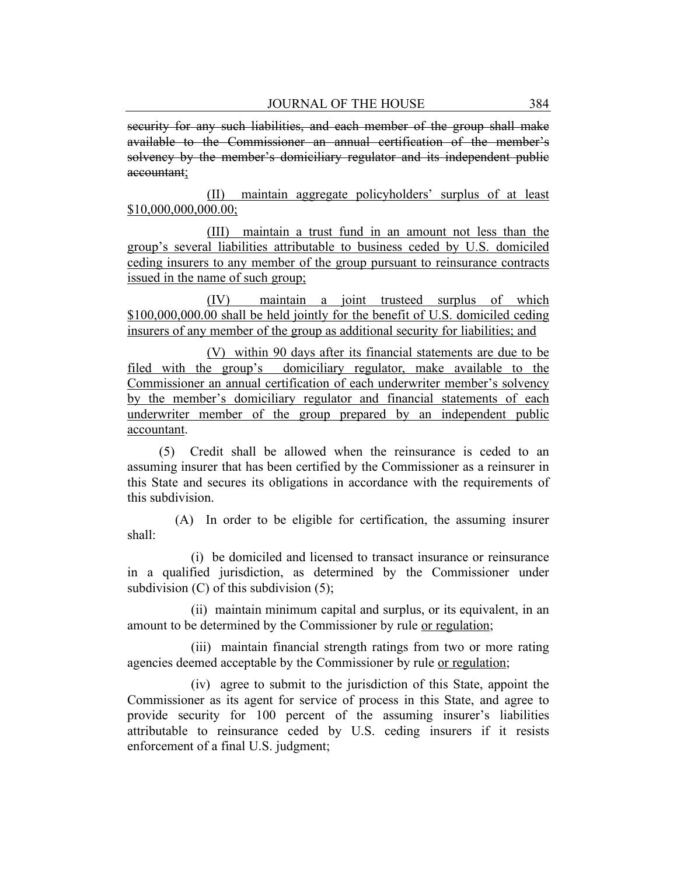security for any such liabilities, and each member of the group shall make available to the Commissioner an annual certification of the member's solvency by the member's domiciliary regulator and its independent public accountant;

(II) maintain aggregate policyholders' surplus of at least \$10,000,000,000.00;

(III) maintain a trust fund in an amount not less than the group's several liabilities attributable to business ceded by U.S. domiciled ceding insurers to any member of the group pursuant to reinsurance contracts issued in the name of such group;

(IV) maintain a joint trusteed surplus of which \$100,000,000.00 shall be held jointly for the benefit of U.S. domiciled ceding insurers of any member of the group as additional security for liabilities; and

(V) within 90 days after its financial statements are due to be filed with the group's domiciliary regulator, make available to the Commissioner an annual certification of each underwriter member's solvency by the member's domiciliary regulator and financial statements of each underwriter member of the group prepared by an independent public accountant.

(5) Credit shall be allowed when the reinsurance is ceded to an assuming insurer that has been certified by the Commissioner as a reinsurer in this State and secures its obligations in accordance with the requirements of this subdivision.

(A) In order to be eligible for certification, the assuming insurer shall:

(i) be domiciled and licensed to transact insurance or reinsurance in a qualified jurisdiction, as determined by the Commissioner under subdivision  $(C)$  of this subdivision  $(5)$ ;

(ii) maintain minimum capital and surplus, or its equivalent, in an amount to be determined by the Commissioner by rule or regulation;

(iii) maintain financial strength ratings from two or more rating agencies deemed acceptable by the Commissioner by rule or regulation;

(iv) agree to submit to the jurisdiction of this State, appoint the Commissioner as its agent for service of process in this State, and agree to provide security for 100 percent of the assuming insurer's liabilities attributable to reinsurance ceded by U.S. ceding insurers if it resists enforcement of a final U.S. judgment;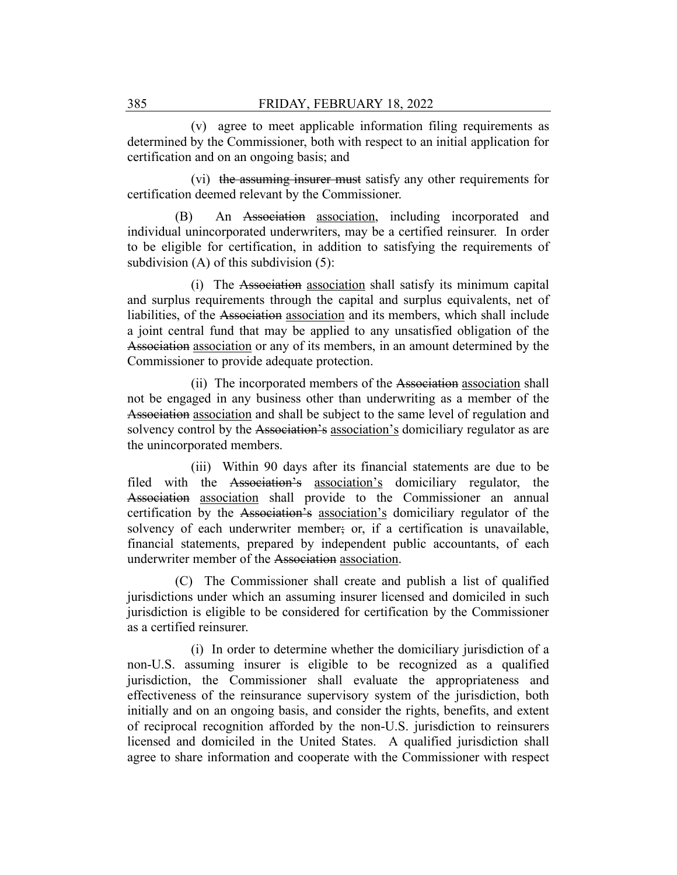(v) agree to meet applicable information filing requirements as determined by the Commissioner, both with respect to an initial application for certification and on an ongoing basis; and

(vi) the assuming insurer must satisfy any other requirements for certification deemed relevant by the Commissioner.

(B) An Association association, including incorporated and individual unincorporated underwriters, may be a certified reinsurer. In order to be eligible for certification, in addition to satisfying the requirements of subdivision (A) of this subdivision (5):

(i) The Association association shall satisfy its minimum capital and surplus requirements through the capital and surplus equivalents, net of liabilities, of the Association association and its members, which shall include a joint central fund that may be applied to any unsatisfied obligation of the Association association or any of its members, in an amount determined by the Commissioner to provide adequate protection.

(ii) The incorporated members of the Association association shall not be engaged in any business other than underwriting as a member of the Association association and shall be subject to the same level of regulation and solvency control by the Association's association's domiciliary regulator as are the unincorporated members.

(iii) Within 90 days after its financial statements are due to be filed with the Association's association's domiciliary regulator, the Association association shall provide to the Commissioner an annual certification by the Association's association's domiciliary regulator of the solvency of each underwriter member; or, if a certification is unavailable, financial statements, prepared by independent public accountants, of each underwriter member of the Association association.

(C) The Commissioner shall create and publish a list of qualified jurisdictions under which an assuming insurer licensed and domiciled in such jurisdiction is eligible to be considered for certification by the Commissioner as a certified reinsurer.

(i) In order to determine whether the domiciliary jurisdiction of a non-U.S. assuming insurer is eligible to be recognized as a qualified jurisdiction, the Commissioner shall evaluate the appropriateness and effectiveness of the reinsurance supervisory system of the jurisdiction, both initially and on an ongoing basis, and consider the rights, benefits, and extent of reciprocal recognition afforded by the non-U.S. jurisdiction to reinsurers licensed and domiciled in the United States. A qualified jurisdiction shall agree to share information and cooperate with the Commissioner with respect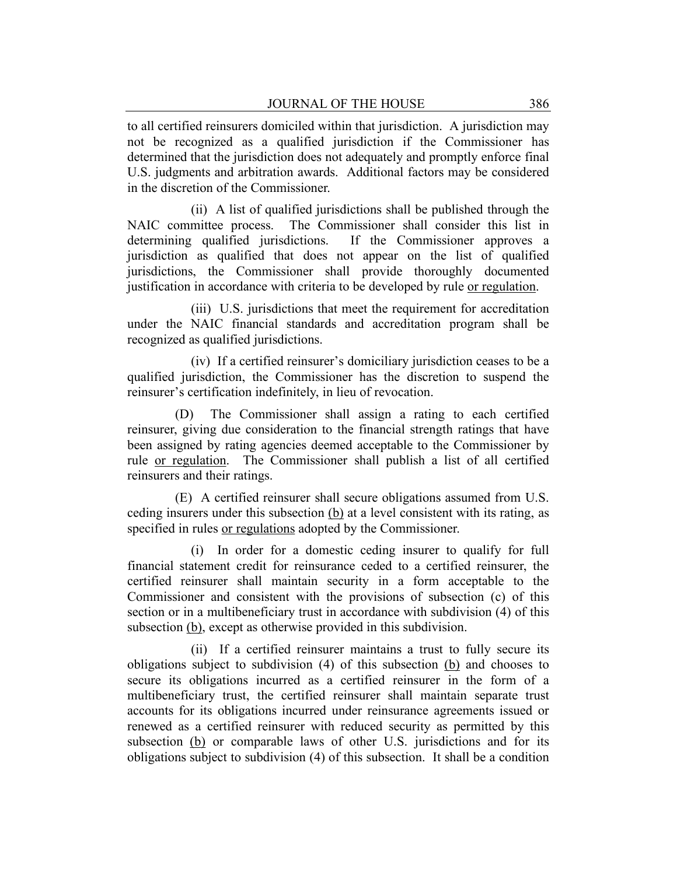to all certified reinsurers domiciled within that jurisdiction. A jurisdiction may not be recognized as a qualified jurisdiction if the Commissioner has determined that the jurisdiction does not adequately and promptly enforce final U.S. judgments and arbitration awards. Additional factors may be considered in the discretion of the Commissioner.

(ii) A list of qualified jurisdictions shall be published through the NAIC committee process. The Commissioner shall consider this list in determining qualified jurisdictions. If the Commissioner approves a jurisdiction as qualified that does not appear on the list of qualified jurisdictions, the Commissioner shall provide thoroughly documented justification in accordance with criteria to be developed by rule or regulation.

(iii) U.S. jurisdictions that meet the requirement for accreditation under the NAIC financial standards and accreditation program shall be recognized as qualified jurisdictions.

(iv) If a certified reinsurer's domiciliary jurisdiction ceases to be a qualified jurisdiction, the Commissioner has the discretion to suspend the reinsurer's certification indefinitely, in lieu of revocation.

(D) The Commissioner shall assign a rating to each certified reinsurer, giving due consideration to the financial strength ratings that have been assigned by rating agencies deemed acceptable to the Commissioner by rule or regulation. The Commissioner shall publish a list of all certified reinsurers and their ratings.

(E) A certified reinsurer shall secure obligations assumed from U.S. ceding insurers under this subsection (b) at a level consistent with its rating, as specified in rules or regulations adopted by the Commissioner.

(i) In order for a domestic ceding insurer to qualify for full financial statement credit for reinsurance ceded to a certified reinsurer, the certified reinsurer shall maintain security in a form acceptable to the Commissioner and consistent with the provisions of subsection (c) of this section or in a multibeneficiary trust in accordance with subdivision (4) of this subsection (b), except as otherwise provided in this subdivision.

(ii) If a certified reinsurer maintains a trust to fully secure its obligations subject to subdivision (4) of this subsection (b) and chooses to secure its obligations incurred as a certified reinsurer in the form of a multibeneficiary trust, the certified reinsurer shall maintain separate trust accounts for its obligations incurred under reinsurance agreements issued or renewed as a certified reinsurer with reduced security as permitted by this subsection (b) or comparable laws of other U.S. jurisdictions and for its obligations subject to subdivision (4) of this subsection. It shall be a condition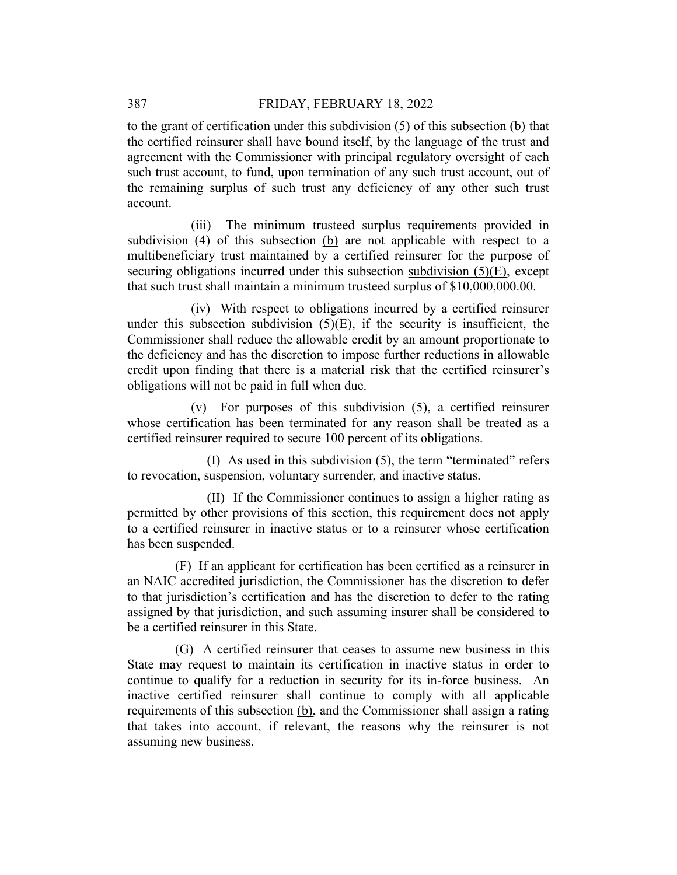to the grant of certification under this subdivision (5) of this subsection (b) that the certified reinsurer shall have bound itself, by the language of the trust and agreement with the Commissioner with principal regulatory oversight of each such trust account, to fund, upon termination of any such trust account, out of the remaining surplus of such trust any deficiency of any other such trust account.

(iii) The minimum trusteed surplus requirements provided in subdivision (4) of this subsection (b) are not applicable with respect to a multibeneficiary trust maintained by a certified reinsurer for the purpose of securing obligations incurred under this subsection subdivision (5)(E), except that such trust shall maintain a minimum trusteed surplus of \$10,000,000.00.

(iv) With respect to obligations incurred by a certified reinsurer under this subsection subdivision  $(5)(E)$ , if the security is insufficient, the Commissioner shall reduce the allowable credit by an amount proportionate to the deficiency and has the discretion to impose further reductions in allowable credit upon finding that there is a material risk that the certified reinsurer's obligations will not be paid in full when due.

(v) For purposes of this subdivision (5), a certified reinsurer whose certification has been terminated for any reason shall be treated as a certified reinsurer required to secure 100 percent of its obligations.

(I) As used in this subdivision (5), the term "terminated" refers to revocation, suspension, voluntary surrender, and inactive status.

(II) If the Commissioner continues to assign a higher rating as permitted by other provisions of this section, this requirement does not apply to a certified reinsurer in inactive status or to a reinsurer whose certification has been suspended.

(F) If an applicant for certification has been certified as a reinsurer in an NAIC accredited jurisdiction, the Commissioner has the discretion to defer to that jurisdiction's certification and has the discretion to defer to the rating assigned by that jurisdiction, and such assuming insurer shall be considered to be a certified reinsurer in this State.

(G) A certified reinsurer that ceases to assume new business in this State may request to maintain its certification in inactive status in order to continue to qualify for a reduction in security for its in-force business. An inactive certified reinsurer shall continue to comply with all applicable requirements of this subsection (b), and the Commissioner shall assign a rating that takes into account, if relevant, the reasons why the reinsurer is not assuming new business.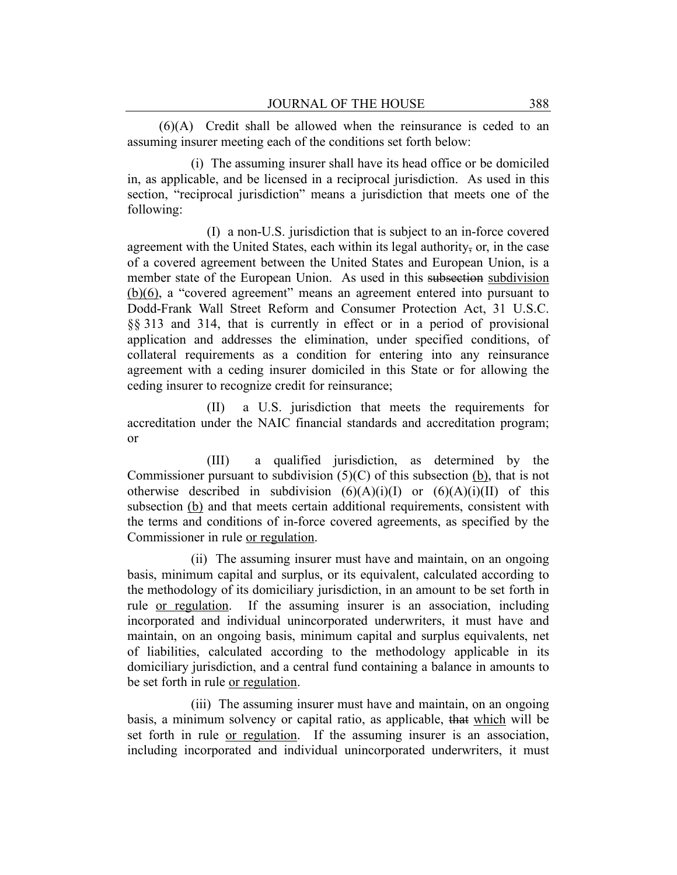(6)(A) Credit shall be allowed when the reinsurance is ceded to an assuming insurer meeting each of the conditions set forth below:

(i) The assuming insurer shall have its head office or be domiciled in, as applicable, and be licensed in a reciprocal jurisdiction. As used in this section, "reciprocal jurisdiction" means a jurisdiction that meets one of the following:

(I) a non-U.S. jurisdiction that is subject to an in-force covered agreement with the United States, each within its legal authority, or, in the case of a covered agreement between the United States and European Union, is a member state of the European Union. As used in this subsection subdivision (b)(6), a "covered agreement" means an agreement entered into pursuant to Dodd-Frank Wall Street Reform and Consumer Protection Act, 31 U.S.C. §§ 313 and 314, that is currently in effect or in a period of provisional application and addresses the elimination, under specified conditions, of collateral requirements as a condition for entering into any reinsurance agreement with a ceding insurer domiciled in this State or for allowing the ceding insurer to recognize credit for reinsurance;

(II) a U.S. jurisdiction that meets the requirements for accreditation under the NAIC financial standards and accreditation program; or

(III) a qualified jurisdiction, as determined by the Commissioner pursuant to subdivision  $(5)(C)$  of this subsection  $(b)$ , that is not otherwise described in subdivision  $(6)(A)(i)(I)$  or  $(6)(A)(i)(II)$  of this subsection (b) and that meets certain additional requirements, consistent with the terms and conditions of in-force covered agreements, as specified by the Commissioner in rule or regulation.

(ii) The assuming insurer must have and maintain, on an ongoing basis, minimum capital and surplus, or its equivalent, calculated according to the methodology of its domiciliary jurisdiction, in an amount to be set forth in rule or regulation. If the assuming insurer is an association, including incorporated and individual unincorporated underwriters, it must have and maintain, on an ongoing basis, minimum capital and surplus equivalents, net of liabilities, calculated according to the methodology applicable in its domiciliary jurisdiction, and a central fund containing a balance in amounts to be set forth in rule or regulation.

(iii) The assuming insurer must have and maintain, on an ongoing basis, a minimum solvency or capital ratio, as applicable, that which will be set forth in rule or regulation. If the assuming insurer is an association, including incorporated and individual unincorporated underwriters, it must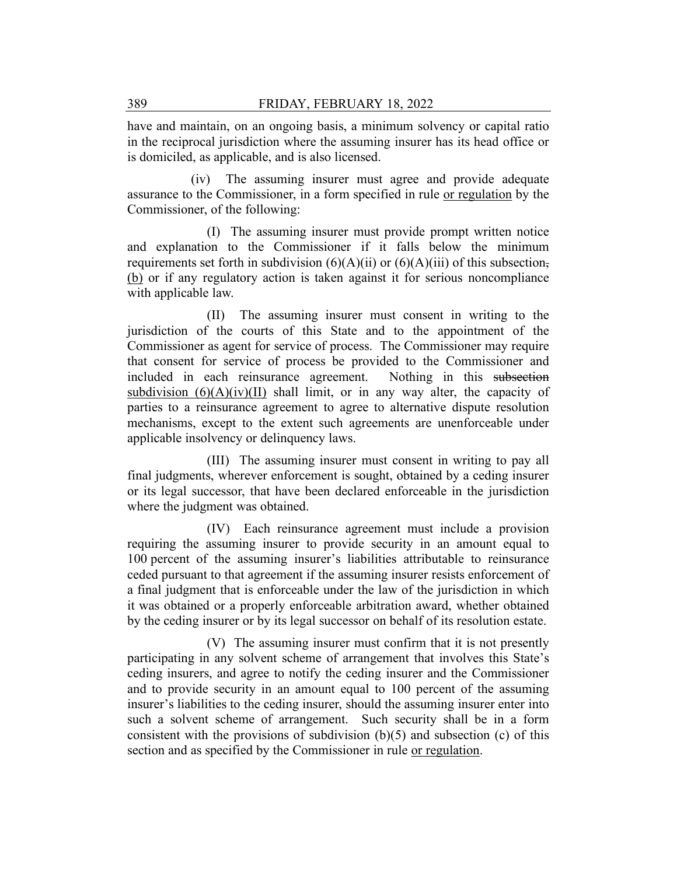have and maintain, on an ongoing basis, a minimum solvency or capital ratio in the reciprocal jurisdiction where the assuming insurer has its head office or is domiciled, as applicable, and is also licensed.

(iv) The assuming insurer must agree and provide adequate assurance to the Commissioner, in a form specified in rule or regulation by the Commissioner, of the following:

(I) The assuming insurer must provide prompt written notice and explanation to the Commissioner if it falls below the minimum requirements set forth in subdivision  $(6)(A)(ii)$  or  $(6)(A)(iii)$  of this subsection, (b) or if any regulatory action is taken against it for serious noncompliance with applicable law.

(II) The assuming insurer must consent in writing to the jurisdiction of the courts of this State and to the appointment of the Commissioner as agent for service of process. The Commissioner may require that consent for service of process be provided to the Commissioner and included in each reinsurance agreement. Nothing in this subsection subdivision  $(6)(A)(iv)(II)$  shall limit, or in any way alter, the capacity of parties to a reinsurance agreement to agree to alternative dispute resolution mechanisms, except to the extent such agreements are unenforceable under applicable insolvency or delinquency laws.

(III) The assuming insurer must consent in writing to pay all final judgments, wherever enforcement is sought, obtained by a ceding insurer or its legal successor, that have been declared enforceable in the jurisdiction where the judgment was obtained.

(IV) Each reinsurance agreement must include a provision requiring the assuming insurer to provide security in an amount equal to 100 percent of the assuming insurer's liabilities attributable to reinsurance ceded pursuant to that agreement if the assuming insurer resists enforcement of a final judgment that is enforceable under the law of the jurisdiction in which it was obtained or a properly enforceable arbitration award, whether obtained by the ceding insurer or by its legal successor on behalf of its resolution estate.

(V) The assuming insurer must confirm that it is not presently participating in any solvent scheme of arrangement that involves this State's ceding insurers, and agree to notify the ceding insurer and the Commissioner and to provide security in an amount equal to 100 percent of the assuming insurer's liabilities to the ceding insurer, should the assuming insurer enter into such a solvent scheme of arrangement. Such security shall be in a form consistent with the provisions of subdivision  $(b)(5)$  and subsection (c) of this section and as specified by the Commissioner in rule or regulation.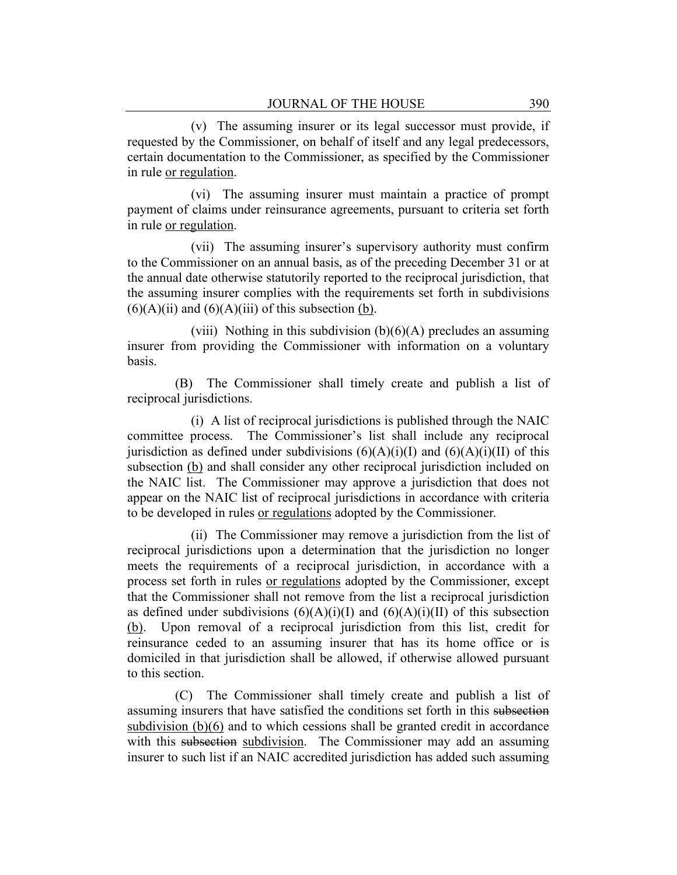(v) The assuming insurer or its legal successor must provide, if requested by the Commissioner, on behalf of itself and any legal predecessors, certain documentation to the Commissioner, as specified by the Commissioner in rule or regulation.

(vi) The assuming insurer must maintain a practice of prompt payment of claims under reinsurance agreements, pursuant to criteria set forth in rule or regulation.

(vii) The assuming insurer's supervisory authority must confirm to the Commissioner on an annual basis, as of the preceding December 31 or at the annual date otherwise statutorily reported to the reciprocal jurisdiction, that the assuming insurer complies with the requirements set forth in subdivisions  $(6)(A)(ii)$  and  $(6)(A)(iii)$  of this subsection (b).

(viii) Nothing in this subdivision  $(b)(6)(A)$  precludes an assuming insurer from providing the Commissioner with information on a voluntary basis.

(B) The Commissioner shall timely create and publish a list of reciprocal jurisdictions.

(i) A list of reciprocal jurisdictions is published through the NAIC committee process. The Commissioner's list shall include any reciprocal jurisdiction as defined under subdivisions  $(6)(A)(i)(I)$  and  $(6)(A)(i)(II)$  of this subsection (b) and shall consider any other reciprocal jurisdiction included on the NAIC list. The Commissioner may approve a jurisdiction that does not appear on the NAIC list of reciprocal jurisdictions in accordance with criteria to be developed in rules or regulations adopted by the Commissioner.

(ii) The Commissioner may remove a jurisdiction from the list of reciprocal jurisdictions upon a determination that the jurisdiction no longer meets the requirements of a reciprocal jurisdiction, in accordance with a process set forth in rules or regulations adopted by the Commissioner, except that the Commissioner shall not remove from the list a reciprocal jurisdiction as defined under subdivisions  $(6)(A)(i)(I)$  and  $(6)(A)(i)(II)$  of this subsection (b). Upon removal of a reciprocal jurisdiction from this list, credit for reinsurance ceded to an assuming insurer that has its home office or is domiciled in that jurisdiction shall be allowed, if otherwise allowed pursuant to this section.

(C) The Commissioner shall timely create and publish a list of assuming insurers that have satisfied the conditions set forth in this subsection subdivision (b)(6) and to which cessions shall be granted credit in accordance with this subsection subdivision. The Commissioner may add an assuming insurer to such list if an NAIC accredited jurisdiction has added such assuming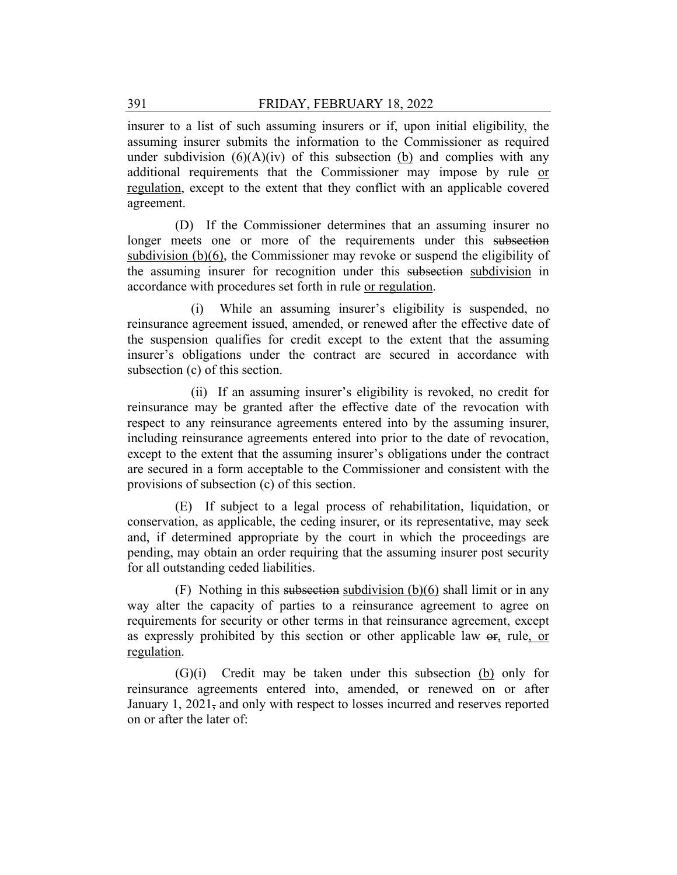insurer to a list of such assuming insurers or if, upon initial eligibility, the assuming insurer submits the information to the Commissioner as required under subdivision  $(6)(A)(iv)$  of this subsection (b) and complies with any additional requirements that the Commissioner may impose by rule or regulation, except to the extent that they conflict with an applicable covered agreement.

(D) If the Commissioner determines that an assuming insurer no longer meets one or more of the requirements under this subsection subdivision (b)(6), the Commissioner may revoke or suspend the eligibility of the assuming insurer for recognition under this subsection subdivision in accordance with procedures set forth in rule or regulation.

(i) While an assuming insurer's eligibility is suspended, no reinsurance agreement issued, amended, or renewed after the effective date of the suspension qualifies for credit except to the extent that the assuming insurer's obligations under the contract are secured in accordance with subsection (c) of this section.

(ii) If an assuming insurer's eligibility is revoked, no credit for reinsurance may be granted after the effective date of the revocation with respect to any reinsurance agreements entered into by the assuming insurer, including reinsurance agreements entered into prior to the date of revocation, except to the extent that the assuming insurer's obligations under the contract are secured in a form acceptable to the Commissioner and consistent with the provisions of subsection (c) of this section.

(E) If subject to a legal process of rehabilitation, liquidation, or conservation, as applicable, the ceding insurer, or its representative, may seek and, if determined appropriate by the court in which the proceedings are pending, may obtain an order requiring that the assuming insurer post security for all outstanding ceded liabilities.

(F) Nothing in this subsection subdivision (b)(6) shall limit or in any way alter the capacity of parties to a reinsurance agreement to agree on requirements for security or other terms in that reinsurance agreement, except as expressly prohibited by this section or other applicable law  $\sigma_{\text{f}_1}$  rule, or regulation.

(G)(i) Credit may be taken under this subsection (b) only for reinsurance agreements entered into, amended, or renewed on or after January 1, 2021, and only with respect to losses incurred and reserves reported on or after the later of: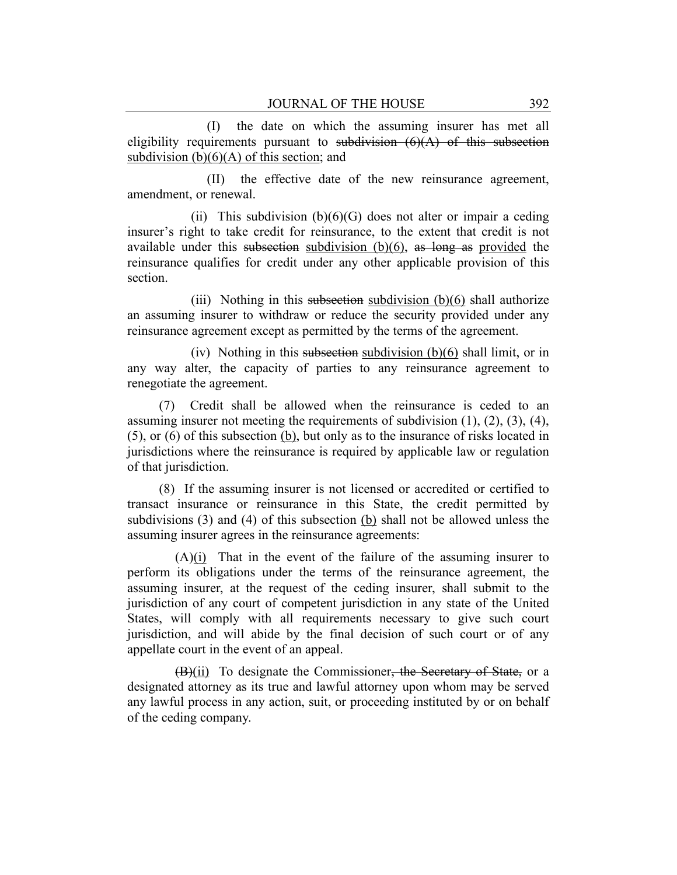(I) the date on which the assuming insurer has met all eligibility requirements pursuant to subdivision  $(6)(A)$  of this subsection subdivision  $(b)(6)(A)$  of this section; and

(II) the effective date of the new reinsurance agreement, amendment, or renewal.

(ii) This subdivision  $(b)(6)(G)$  does not alter or impair a ceding insurer's right to take credit for reinsurance, to the extent that credit is not available under this subsection subdivision  $(b)(6)$ , as long as provided the reinsurance qualifies for credit under any other applicable provision of this section.

(iii) Nothing in this subsection subdivision  $(b)(6)$  shall authorize an assuming insurer to withdraw or reduce the security provided under any reinsurance agreement except as permitted by the terms of the agreement.

(iv) Nothing in this subsection subdivision  $(b)(6)$  shall limit, or in any way alter, the capacity of parties to any reinsurance agreement to renegotiate the agreement.

(7) Credit shall be allowed when the reinsurance is ceded to an assuming insurer not meeting the requirements of subdivision  $(1)$ ,  $(2)$ ,  $(3)$ ,  $(4)$ , (5), or (6) of this subsection (b), but only as to the insurance of risks located in jurisdictions where the reinsurance is required by applicable law or regulation of that jurisdiction.

(8) If the assuming insurer is not licensed or accredited or certified to transact insurance or reinsurance in this State, the credit permitted by subdivisions (3) and (4) of this subsection (b) shall not be allowed unless the assuming insurer agrees in the reinsurance agreements:

(A)(i) That in the event of the failure of the assuming insurer to perform its obligations under the terms of the reinsurance agreement, the assuming insurer, at the request of the ceding insurer, shall submit to the jurisdiction of any court of competent jurisdiction in any state of the United States, will comply with all requirements necessary to give such court jurisdiction, and will abide by the final decision of such court or of any appellate court in the event of an appeal.

(B)(ii) To designate the Commissioner, the Secretary of State, or a designated attorney as its true and lawful attorney upon whom may be served any lawful process in any action, suit, or proceeding instituted by or on behalf of the ceding company.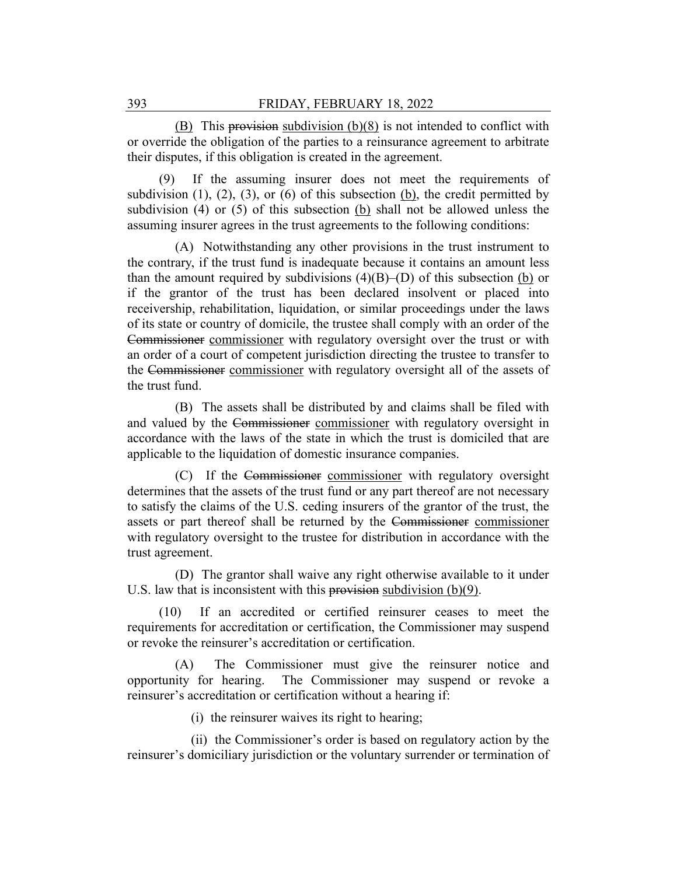(B) This provision subdivision (b)(8) is not intended to conflict with or override the obligation of the parties to a reinsurance agreement to arbitrate their disputes, if this obligation is created in the agreement.

(9) If the assuming insurer does not meet the requirements of subdivision  $(1)$ ,  $(2)$ ,  $(3)$ , or  $(6)$  of this subsection  $(b)$ , the credit permitted by subdivision (4) or (5) of this subsection (b) shall not be allowed unless the assuming insurer agrees in the trust agreements to the following conditions:

(A) Notwithstanding any other provisions in the trust instrument to the contrary, if the trust fund is inadequate because it contains an amount less than the amount required by subdivisions  $(4)(B)$ –(D) of this subsection (b) or if the grantor of the trust has been declared insolvent or placed into receivership, rehabilitation, liquidation, or similar proceedings under the laws of its state or country of domicile, the trustee shall comply with an order of the Commissioner commissioner with regulatory oversight over the trust or with an order of a court of competent jurisdiction directing the trustee to transfer to the Commissioner commissioner with regulatory oversight all of the assets of the trust fund.

(B) The assets shall be distributed by and claims shall be filed with and valued by the Commissioner commissioner with regulatory oversight in accordance with the laws of the state in which the trust is domiciled that are applicable to the liquidation of domestic insurance companies.

(C) If the Commissioner commissioner with regulatory oversight determines that the assets of the trust fund or any part thereof are not necessary to satisfy the claims of the U.S. ceding insurers of the grantor of the trust, the assets or part thereof shall be returned by the Commissioner commissioner with regulatory oversight to the trustee for distribution in accordance with the trust agreement.

(D) The grantor shall waive any right otherwise available to it under U.S. law that is inconsistent with this provision subdivision  $(b)(9)$ .

(10) If an accredited or certified reinsurer ceases to meet the requirements for accreditation or certification, the Commissioner may suspend or revoke the reinsurer's accreditation or certification.

(A) The Commissioner must give the reinsurer notice and opportunity for hearing. The Commissioner may suspend or revoke a reinsurer's accreditation or certification without a hearing if:

(i) the reinsurer waives its right to hearing;

(ii) the Commissioner's order is based on regulatory action by the reinsurer's domiciliary jurisdiction or the voluntary surrender or termination of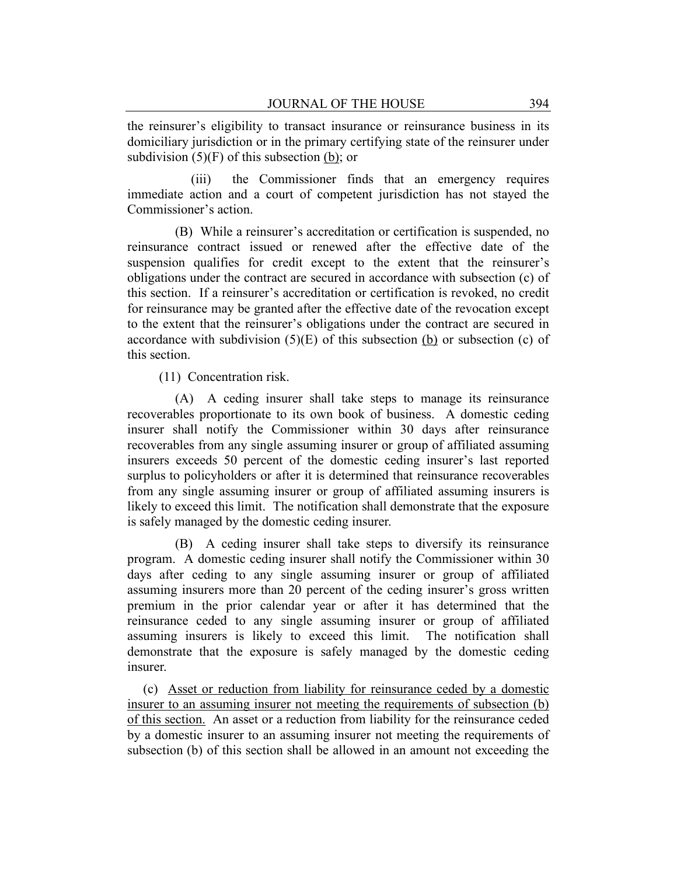the reinsurer's eligibility to transact insurance or reinsurance business in its domiciliary jurisdiction or in the primary certifying state of the reinsurer under subdivision  $(5)(F)$  of this subsection (b); or

(iii) the Commissioner finds that an emergency requires immediate action and a court of competent jurisdiction has not stayed the Commissioner's action.

(B) While a reinsurer's accreditation or certification is suspended, no reinsurance contract issued or renewed after the effective date of the suspension qualifies for credit except to the extent that the reinsurer's obligations under the contract are secured in accordance with subsection (c) of this section. If a reinsurer's accreditation or certification is revoked, no credit for reinsurance may be granted after the effective date of the revocation except to the extent that the reinsurer's obligations under the contract are secured in accordance with subdivision  $(5)(E)$  of this subsection  $(b)$  or subsection (c) of this section.

(11) Concentration risk.

(A) A ceding insurer shall take steps to manage its reinsurance recoverables proportionate to its own book of business. A domestic ceding insurer shall notify the Commissioner within 30 days after reinsurance recoverables from any single assuming insurer or group of affiliated assuming insurers exceeds 50 percent of the domestic ceding insurer's last reported surplus to policyholders or after it is determined that reinsurance recoverables from any single assuming insurer or group of affiliated assuming insurers is likely to exceed this limit. The notification shall demonstrate that the exposure is safely managed by the domestic ceding insurer.

(B) A ceding insurer shall take steps to diversify its reinsurance program. A domestic ceding insurer shall notify the Commissioner within 30 days after ceding to any single assuming insurer or group of affiliated assuming insurers more than 20 percent of the ceding insurer's gross written premium in the prior calendar year or after it has determined that the reinsurance ceded to any single assuming insurer or group of affiliated assuming insurers is likely to exceed this limit. The notification shall demonstrate that the exposure is safely managed by the domestic ceding insurer.

(c) Asset or reduction from liability for reinsurance ceded by a domestic insurer to an assuming insurer not meeting the requirements of subsection (b) of this section. An asset or a reduction from liability for the reinsurance ceded by a domestic insurer to an assuming insurer not meeting the requirements of subsection (b) of this section shall be allowed in an amount not exceeding the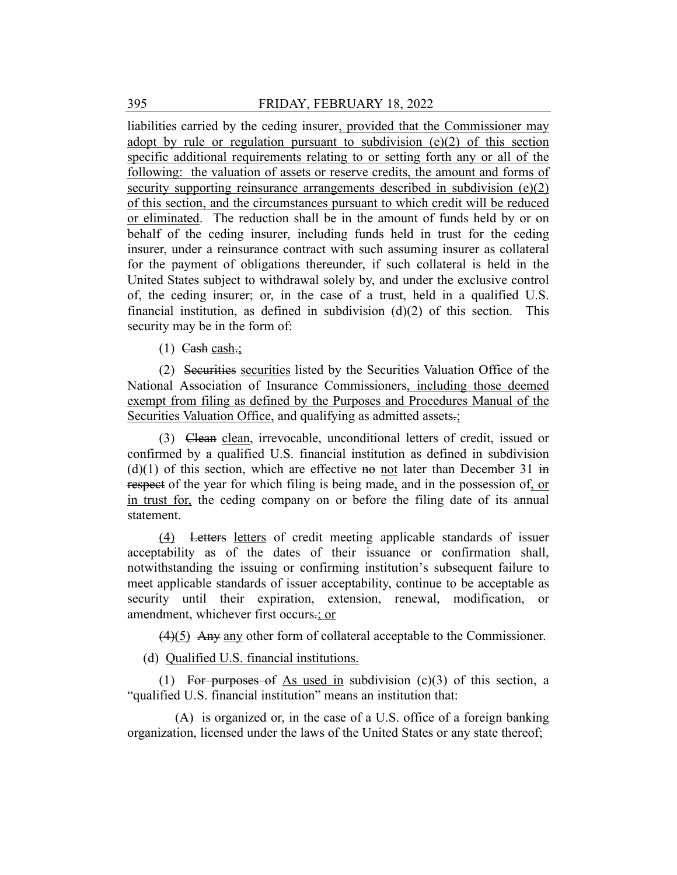liabilities carried by the ceding insurer, provided that the Commissioner may adopt by rule or regulation pursuant to subdivision  $(e)(2)$  of this section specific additional requirements relating to or setting forth any or all of the following: the valuation of assets or reserve credits, the amount and forms of security supporting reinsurance arrangements described in subdivision (e)(2) of this section, and the circumstances pursuant to which credit will be reduced or eliminated. The reduction shall be in the amount of funds held by or on behalf of the ceding insurer, including funds held in trust for the ceding insurer, under a reinsurance contract with such assuming insurer as collateral for the payment of obligations thereunder, if such collateral is held in the United States subject to withdrawal solely by, and under the exclusive control of, the ceding insurer; or, in the case of a trust, held in a qualified U.S. financial institution, as defined in subdivision  $(d)(2)$  of this section. This security may be in the form of:

(1) Cash cash.;

(2) Securities securities listed by the Securities Valuation Office of the National Association of Insurance Commissioners, including those deemed exempt from filing as defined by the Purposes and Procedures Manual of the Securities Valuation Office, and qualifying as admitted assets.;

(3) Clean clean, irrevocable, unconditional letters of credit, issued or confirmed by a qualified U.S. financial institution as defined in subdivision  $(d)(1)$  of this section, which are effective no not later than December 31 in respect of the year for which filing is being made, and in the possession of, or in trust for, the ceding company on or before the filing date of its annual statement.

(4) Letters letters of credit meeting applicable standards of issuer acceptability as of the dates of their issuance or confirmation shall, notwithstanding the issuing or confirming institution's subsequent failure to meet applicable standards of issuer acceptability, continue to be acceptable as security until their expiration, extension, renewal, modification, or amendment, whichever first occurs.; or

 $(4)(5)$  Any any other form of collateral acceptable to the Commissioner.

(d) Qualified U.S. financial institutions.

(1) For purposes of As used in subdivision  $(c)(3)$  of this section, a "qualified U.S. financial institution" means an institution that:

(A) is organized or, in the case of a U.S. office of a foreign banking organization, licensed under the laws of the United States or any state thereof;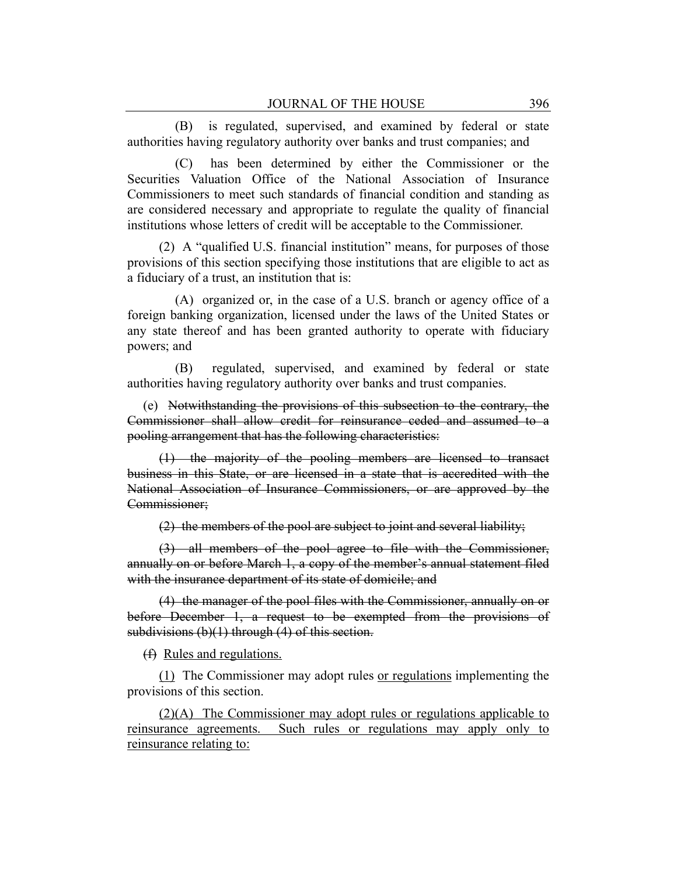(B) is regulated, supervised, and examined by federal or state authorities having regulatory authority over banks and trust companies; and

(C) has been determined by either the Commissioner or the Securities Valuation Office of the National Association of Insurance Commissioners to meet such standards of financial condition and standing as are considered necessary and appropriate to regulate the quality of financial institutions whose letters of credit will be acceptable to the Commissioner.

(2) A "qualified U.S. financial institution" means, for purposes of those provisions of this section specifying those institutions that are eligible to act as a fiduciary of a trust, an institution that is:

(A) organized or, in the case of a U.S. branch or agency office of a foreign banking organization, licensed under the laws of the United States or any state thereof and has been granted authority to operate with fiduciary powers; and

(B) regulated, supervised, and examined by federal or state authorities having regulatory authority over banks and trust companies.

(e) Notwithstanding the provisions of this subsection to the contrary, the Commissioner shall allow credit for reinsurance ceded and assumed to a pooling arrangement that has the following characteristics:

(1) the majority of the pooling members are licensed to transact business in this State, or are licensed in a state that is accredited with the National Association of Insurance Commissioners, or are approved by the Commissioner;

(2) the members of the pool are subject to joint and several liability;

(3) all members of the pool agree to file with the Commissioner, annually on or before March 1, a copy of the member's annual statement filed with the insurance department of its state of domicile; and

(4) the manager of the pool files with the Commissioner, annually on or before December 1, a request to be exempted from the provisions of subdivisions  $(b)(1)$  through  $(4)$  of this section.

(f) Rules and regulations.

(1) The Commissioner may adopt rules or regulations implementing the provisions of this section.

(2)(A) The Commissioner may adopt rules or regulations applicable to reinsurance agreements. Such rules or regulations may apply only to reinsurance relating to: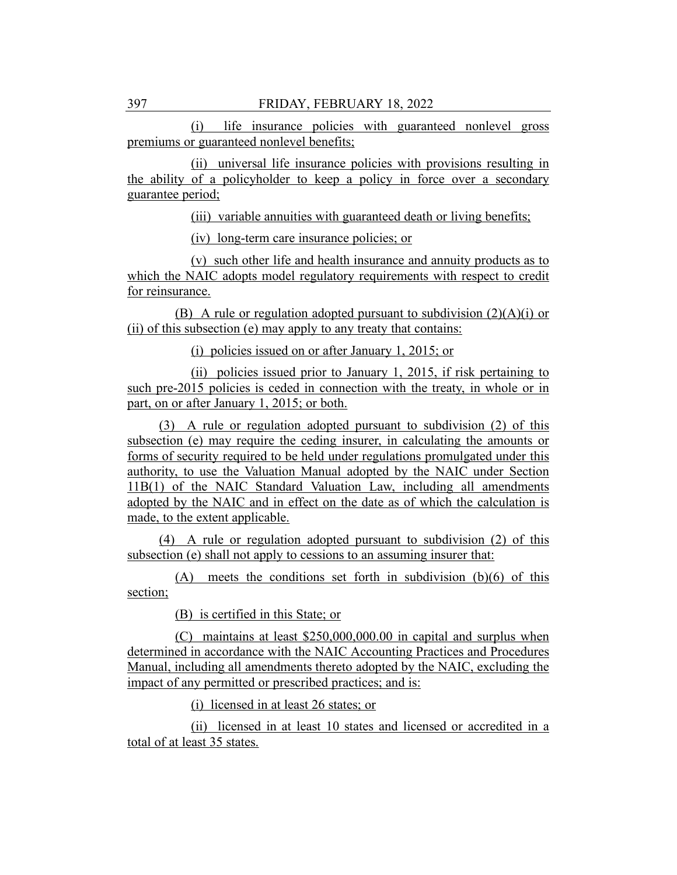(i) life insurance policies with guaranteed nonlevel gross premiums or guaranteed nonlevel benefits;

(ii) universal life insurance policies with provisions resulting in the ability of a policyholder to keep a policy in force over a secondary guarantee period;

(iii) variable annuities with guaranteed death or living benefits;

(iv) long-term care insurance policies; or

(v) such other life and health insurance and annuity products as to which the NAIC adopts model regulatory requirements with respect to credit for reinsurance.

(B) A rule or regulation adopted pursuant to subdivision  $(2)(A)(i)$  or (ii) of this subsection (e) may apply to any treaty that contains:

(i) policies issued on or after January 1, 2015; or

(ii) policies issued prior to January 1, 2015, if risk pertaining to such pre-2015 policies is ceded in connection with the treaty, in whole or in part, on or after January 1, 2015; or both.

(3) A rule or regulation adopted pursuant to subdivision (2) of this subsection (e) may require the ceding insurer, in calculating the amounts or forms of security required to be held under regulations promulgated under this authority, to use the Valuation Manual adopted by the NAIC under Section 11B(1) of the NAIC Standard Valuation Law, including all amendments adopted by the NAIC and in effect on the date as of which the calculation is made, to the extent applicable.

(4) A rule or regulation adopted pursuant to subdivision (2) of this subsection (e) shall not apply to cessions to an assuming insurer that:

(A) meets the conditions set forth in subdivision (b)(6) of this section;

(B) is certified in this State; or

(C) maintains at least \$250,000,000.00 in capital and surplus when determined in accordance with the NAIC Accounting Practices and Procedures Manual, including all amendments thereto adopted by the NAIC, excluding the impact of any permitted or prescribed practices; and is:

(i) licensed in at least 26 states; or

(ii) licensed in at least 10 states and licensed or accredited in a total of at least 35 states.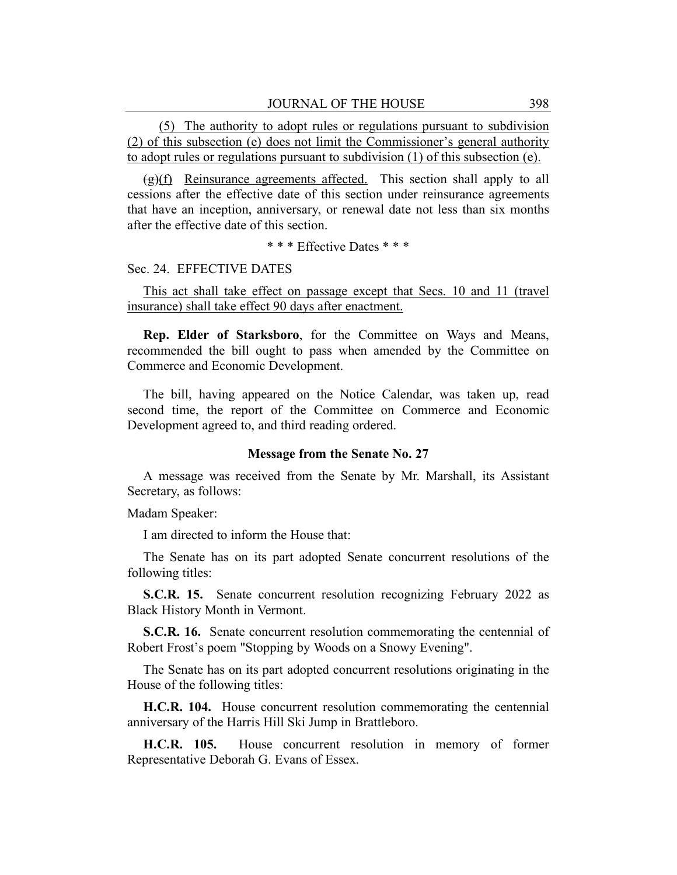(5) The authority to adopt rules or regulations pursuant to subdivision (2) of this subsection (e) does not limit the Commissioner's general authority to adopt rules or regulations pursuant to subdivision (1) of this subsection (e).

 $(g)(f)$  Reinsurance agreements affected. This section shall apply to all cessions after the effective date of this section under reinsurance agreements that have an inception, anniversary, or renewal date not less than six months after the effective date of this section.

\* \* \* Effective Dates \* \* \*

## Sec. 24. EFFECTIVE DATES

This act shall take effect on passage except that Secs. 10 and 11 (travel insurance) shall take effect 90 days after enactment.

**Rep. Elder of Starksboro**, for the Committee on Ways and Means, recommended the bill ought to pass when amended by the Committee on Commerce and Economic Development.

The bill, having appeared on the Notice Calendar, was taken up, read second time, the report of the Committee on Commerce and Economic Development agreed to, and third reading ordered.

#### **Message from the Senate No. 27**

A message was received from the Senate by Mr. Marshall, its Assistant Secretary, as follows:

Madam Speaker:

I am directed to inform the House that:

The Senate has on its part adopted Senate concurrent resolutions of the following titles:

**S.C.R. 15.** Senate concurrent resolution recognizing February 2022 as Black History Month in Vermont.

**S.C.R. 16.** Senate concurrent resolution commemorating the centennial of Robert Frost's poem "Stopping by Woods on a Snowy Evening".

The Senate has on its part adopted concurrent resolutions originating in the House of the following titles:

**H.C.R. 104.** House concurrent resolution commemorating the centennial anniversary of the Harris Hill Ski Jump in Brattleboro.

**H.C.R. 105.** House concurrent resolution in memory of former Representative Deborah G. Evans of Essex.